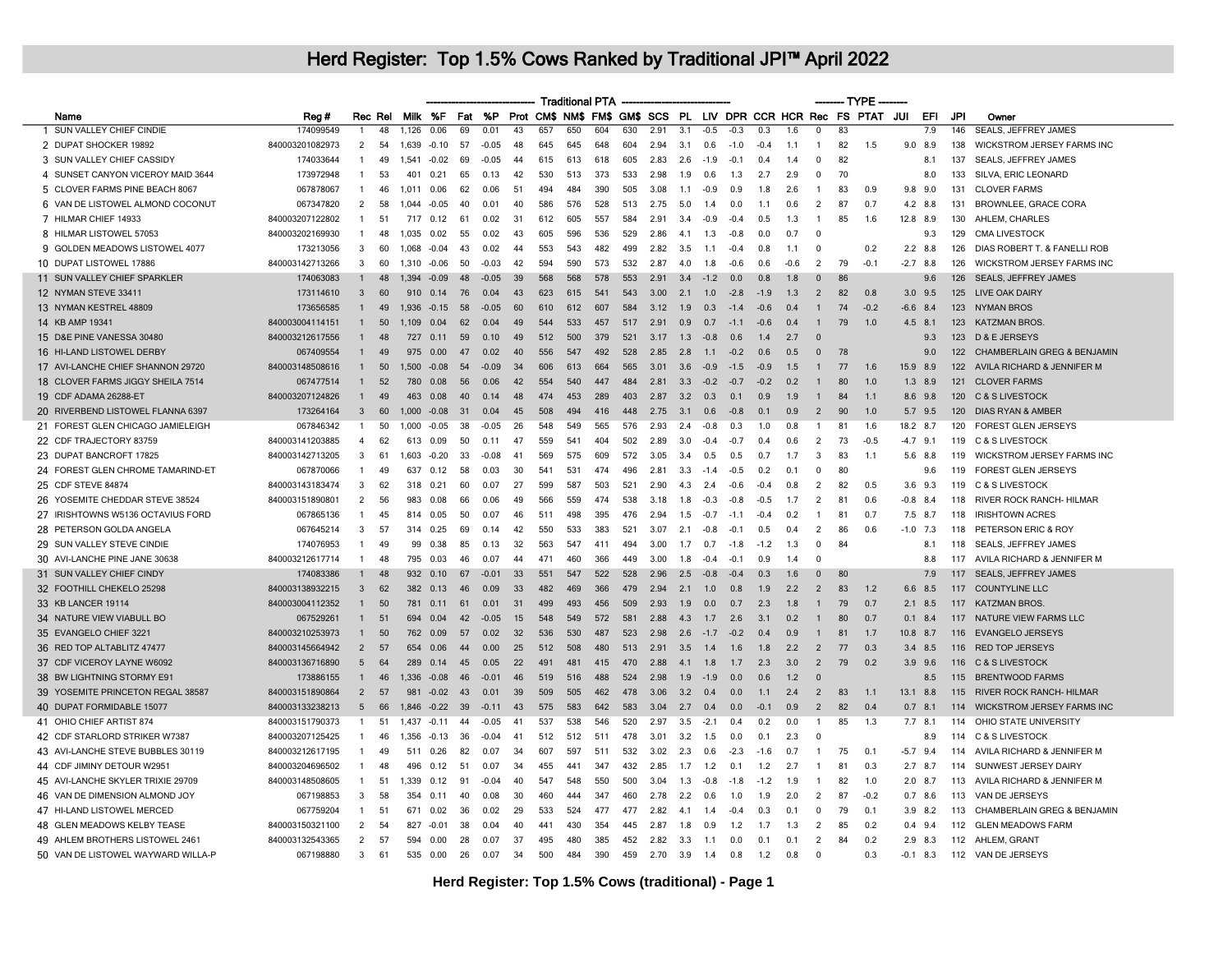|                                    |                 |                 |         |         |         |     |           |     |     | <b>Traditional PTA</b> |     |     |      |      |        |                |                |        |                | $-$ TYPE |                                                                 |             |             |            |                                 |
|------------------------------------|-----------------|-----------------|---------|---------|---------|-----|-----------|-----|-----|------------------------|-----|-----|------|------|--------|----------------|----------------|--------|----------------|----------|-----------------------------------------------------------------|-------------|-------------|------------|---------------------------------|
| Name                               | Reg#            |                 | Rec Rel |         | Milk %F | Fat | <b>%P</b> |     |     |                        |     |     |      |      |        |                |                |        |                |          | Prot CM\$ NM\$ FM\$ GM\$ SCS PL LIV DPR CCR HCR Rec FS PTAT JUI |             | EFI         | <b>JPI</b> | Owner                           |
| 1 SUN VALLEY CHIEF CINDIE          | 174099549       |                 | 48      | 1,126   | 0.06    | 69  | 0.01      | 43  | 657 | 650                    | 604 | 630 | 2.91 | 3.1  | $-0.5$ | $-0.3$         | 0.3            | 1.6    | $\overline{0}$ | 83       |                                                                 |             | 7.9         | 146        | <b>SEALS, JEFFREY JAMES</b>     |
| 2 DUPAT SHOCKER 19892              | 840003201082973 | $\overline{2}$  | 54      | 1,639   | $-0.10$ | 57  | $-0.05$   | 48  | 645 | 645                    | 648 | 604 | 2.94 | 3.1  | 0.6    | $-1.0$         | $-0.4$         | 1.1    | -1             | 82       | 1.5                                                             | $9.0$ 8.9   |             | 138        | WICKSTROM JERSEY FARMS INC      |
| 3 SUN VALLEY CHIEF CASSIDY         | 174033644       | 1               | 49      | 1,541   | $-0.02$ | 69  | $-0.05$   | 44  | 615 | 613                    | 618 | 605 | 2.83 | 2.6  | $-1.9$ | $-0.1$         | 0.4            | 1.4    | $\Omega$       | 82       |                                                                 |             | 8.1         | 137        | <b>SEALS, JEFFREY JAMES</b>     |
| 4 SUNSET CANYON VICEROY MAID 3644  | 173972948       | -1              | 53      | 401     | 0.21    | 65  | 0.13      | 42  | 530 | 513                    | 373 | 533 | 2.98 | 1.9  | 0.6    | 1.3            | 2.7            | 2.9    | $\Omega$       | 70       |                                                                 |             | 8.0         | 133        | SILVA, ERIC LEONARD             |
| 5 CLOVER FARMS PINE BEACH 8067     | 067878067       | $\mathbf{1}$    | 46      | 1.011   | 0.06    | 62  | 0.06      | 51  | 494 | 484                    | 390 | 505 | 3.08 | 1.1  | $-0.9$ | 0.9            | 1.8            | 2.6    | $\mathbf{1}$   | 83       | 0.9                                                             | $9.8$ 9.0   |             | 131        | <b>CLOVER FARMS</b>             |
| 6 VAN DE LISTOWEL ALMOND COCONUT   | 067347820       | $\overline{2}$  | 58      | 1.044   | $-0.05$ | 40  | 0.01      | 40  | 586 | 576                    | 528 | 513 | 2.75 | 5.0  | 1.4    | 0.0            | 1.1            | 0.6    | $\overline{2}$ | 87       | 0.7                                                             | 4.2 8.8     |             | 131        | <b>BROWNLEE, GRACE CORA</b>     |
| 7 HILMAR CHIEF 14933               | 840003207122802 | 1               | -51     | 717     | 0.12    | 61  | 0.02      | -31 | 612 | 605                    | 557 | 584 | 2.91 | 3.4  | $-0.9$ | -0.4           | 0.5            | 1.3    | $\mathbf{1}$   | 85       | 1.6                                                             | 12.8 8.9    |             | 130        | AHLEM, CHARLES                  |
| 8 HILMAR LISTOWEL 57053            | 840003202169930 | 1               | 48      | 1.035   | 0.02    | 55  | 0.02      | 43  | 605 | 596                    | 536 | 529 | 2.86 | 4.1  | 1.3    | $-0.8$         | 0.0            | 0.7    | $\Omega$       |          |                                                                 |             | 9.3         | 129        | <b>CMA LIVESTOCK</b>            |
| 9 GOLDEN MEADOWS LISTOWEL 4077     | 173213056       | 3               | 60      | 1.068   | $-0.04$ | 43  | 0.02      | 44  | 553 | 543                    | 482 | 499 | 2.82 | 3.5  | 1.1    | $-0.4$         | 0.8            | 1.1    | $\Omega$       |          | 0.2                                                             | $2.2$ 8.8   |             | 126        | DIAS ROBERT T. & FANELLI ROB    |
| 10 DUPAT LISTOWEL 17886            | 840003142713266 | 3               | 60      | 1,310   | $-0.06$ | 50  | $-0.03$   | 42  | 594 | 590                    | 573 | 532 | 2.87 | 4.0  | 1.8    | $-0.6$         | 0.6            | $-0.6$ | $\overline{2}$ | 79       | $-0.1$                                                          | $-2.7$ 8.8  |             | 126        | WICKSTROM JERSEY FARMS INC      |
| 11 SUN VALLEY CHIEF SPARKLER       | 174063083       |                 | 48      | 1.394   | $-0.09$ | 48  | $-0.05$   | 39  | 568 | 568                    | 578 | 553 | 2.91 | 3.4  | $-1.2$ | 0.0            | 0.8            | 1.8    | $\Omega$       | 86       |                                                                 |             | 9.6         | 126        | <b>SEALS, JEFFREY JAMES</b>     |
| 12 NYMAN STEVE 33411               | 173114610       | 3               | 60      | 910     | 0.14    | 76  | 0.04      | 43  | 623 | 615                    | 541 | 543 | 3.00 | 2.1  | 1.0    | $-2.8$         | $-1.9$         | 1.3    | 2              | 82       | 0.8                                                             |             | $3.0$ $9.5$ | 125        | <b>LIVE OAK DAIRY</b>           |
| 13 NYMAN KESTREL 48809             | 173656585       | 1               | 49      | 1,936   | $-0.15$ | 58  | $-0.05$   | 60  | 610 | 612                    | 607 | 584 | 3.12 | 1.9  | 0.3    | $-1.4$         | $-06$          | 0.4    | $\mathbf{1}$   | 74       | $-0.2$                                                          | $-6.6$ 8.4  |             | 123        | <b>NYMAN BROS</b>               |
| 14 KB AMP 19341                    | 840003004114151 |                 | 50      | 1.109   | 0.04    | 62  | 0.04      | 49  | 544 | 533                    | 457 | 517 | 2.91 | 0.9  | 0.7    | $-1.1$         | $-0.6$         | 0.4    |                | 79       | 1.0                                                             | 4.5 8.1     |             | 123        | <b>KATZMAN BROS</b>             |
| 15 D&E PINE VANESSA 30480          | 840003212617556 |                 | 48      | 727     | 0.11    | 59  | 0.10      | 49  | 512 | 500                    | 379 | 521 | 3.17 | 1.3  | $-0.8$ | 0.6            | 1.4            | 2.7    | $\Omega$       |          |                                                                 |             | 9.3         | 123        | D & E JERSEYS                   |
| 16 HI-LAND LISTOWEL DERBY          | 067409554       |                 | 49      | 975     | 0.00    | 47  | 0.02      | 40  | 556 | 547                    | 492 | 528 | 285  | 28   | 1.1    | $-0.2$         | 06             | 0.5    | $\Omega$       | 78       |                                                                 |             | 9.0         | 122        | CHAMBERLAIN GREG & BENJAMIN     |
| 17 AVI-LANCHE CHIEF SHANNON 29720  | 840003148508616 | 1               | 50      | 1.500   | $-0.08$ | 54  | $-0.09$   | 34  | 606 | 613                    | 664 | 565 | 3.01 | 3.6  | $-0.9$ | $-1.5$         | $-0.9$         | 1.5    | -1             | 77       | 1.6                                                             | 15.9 8.9    |             | 122        | AVILA RICHARD & JENNIFER M      |
| 18 CLOVER FARMS JIGGY SHEILA 7514  | 067477514       |                 | 52      | 780     | 0.08    | 56  | 0.06      | 42  | 554 | 540                    | 447 | 484 | 2.81 | 3.3  | $-0.2$ | $-0.7$         | $-0.2$         | 0.2    |                | 80       | 1.0                                                             |             | $1.3$ 8.9   | 121        | <b>CLOVER FARMS</b>             |
| 19 CDF ADAMA 26288-ET              | 840003207124826 | $\mathbf{1}$    | 49      | 463     | 0.08    | 40  | 0.14      | 48  | 474 | 453                    | 289 | 403 | 2.87 | 3.2  | 0.3    | 0.1            | 0.9            | 1.9    | -1             | 84       | 1.1                                                             | 8.6 9.8     |             | 120        | <b>C &amp; S LIVESTOCK</b>      |
| 20 RIVERBEND LISTOWEL FLANNA 6397  | 173264164       | 3               | 60      | 1.000   | $-0.08$ | 31  | 0.04      | 45  | 508 | 494                    | 416 | 448 | 2.75 | 3.1  | 0.6    | -0.8           | 0.1            | 0.9    | 2              | 90       | 1.0                                                             |             | 5.7 9.5     | 120        | <b>DIAS RYAN &amp; AMBER</b>    |
| 21 FOREST GLEN CHICAGO JAMIELEIGH  | 067846342       | $\mathbf{1}$    | 50      | 1.000   | $-0.05$ | 38  | $-0.05$   | 26  | 548 | 549                    | 565 | 576 | 2.93 | 2.4  | $-0.8$ | 0.3            | 1.0            | 0.8    | -1             | 81       | 1.6                                                             | 18.2 8.7    |             | 120        | <b>FOREST GLEN JERSEYS</b>      |
| 22 CDF TRAJECTORY 83759            | 840003141203885 | $\overline{4}$  | 62      | 613     | 0.09    | 50  | 0.11      | 47  | 559 | 541                    | 404 | 502 | 2.89 | 3.0  | $-0.4$ | $-0.7$         | 0.4            | 0.6    | $\overline{2}$ | 73       | $-0.5$                                                          | $-4.7$ 9.1  |             | 119        | <b>C &amp; S LIVESTOCK</b>      |
| 23 DUPAT BANCROFT 17825            | 840003142713205 | 3               | 61      | 1,603   | $-0.20$ | 33  | $-0.08$   | 41  | 569 | 575                    | 609 | 572 | 3.05 | 3.4  | 0.5    | 0.5            | 0.7            | 1.7    | -3             | 83       | 1.1                                                             | 5.6 8.8     |             | 119        | WICKSTROM JERSEY FARMS INC      |
| 24 FOREST GLEN CHROME TAMARIND-ET  | 067870066       | 1               | 49      | 637     | 0.12    | 58  | 0.03      | 30  | 541 | 531                    | 474 | 496 | 2.81 | 3.3  | $-1.4$ | $-0.5$         | 0.2            | 0.1    | $\mathbf 0$    | 80       |                                                                 |             | 9.6         | 119        | <b>FOREST GLEN JERSEYS</b>      |
| 25 CDF STEVE 84874                 | 840003143183474 | 3               | 62      | 318     | 0.21    | 60  | 0.07      | 27  | 599 | 587                    | 503 | 521 | 2.90 | 4.3  | 2.4    | $-06$          | $-0.4$         | 0.8    | $\overline{2}$ | 82       | 0.5                                                             | $3.6$ $9.3$ |             | 119        | C & S LIVESTOCK                 |
| 26 YOSEMITE CHEDDAR STEVE 38524    | 840003151890801 | 2               | 56      | 983     | 0.08    | 66  | 0.06      | 49  | 566 | 559                    | 474 | 538 | 3.18 | 1.8  | $-0.3$ | $-0.8$         | $-0.5$         | 1.7    | $\overline{2}$ | 81       | 0.6                                                             | $-0.8$ 8.4  |             | 118        | RIVER ROCK RANCH- HILMAR        |
| 27 IRISHTOWNS W5136 OCTAVIUS FORD  | 067865136       | $\mathbf{1}$    | 45      | 814     | 0.05    | 50  | 0.07      | 46  | 511 | 498                    | 395 | 476 | 2.94 | 1.5  | $-0.7$ | $-1.1$         | $-0.4$         | 0.2    | $\mathbf{1}$   | 81       | 0.7                                                             | 7.5 8.7     |             | 118        | <b>IRISHTOWN ACRES</b>          |
| 28 PETERSON GOLDA ANGELA           | 067645214       | 3               | 57      | 314     | 0.25    | 69  | 0,14      | 42  | 550 | 533                    | 383 | 521 | 3.07 | 2.1  | $-0.8$ | $-0.1$         | 0.5            | 0.4    | 2              | 86       | 0.6                                                             |             | $-1.0$ 7.3  | 118        | PETERSON ERIC & ROY             |
| 29 SUN VALLEY STEVE CINDIE         | 174076953       | $\mathbf{1}$    | 49      | 99      | 0.38    | 85  | 0.13      | 32  | 563 | 547                    | 411 | 494 | 3.00 | 1.7  | 0.7    | $-1.8$         | $-1.2$         | 1.3    | $\Omega$       | 84       |                                                                 |             | 8.1         | 118        | SEALS, JEFFREY JAMES            |
| 30 AVI-LANCHE PINE JANE 30638      | 840003212617714 | $\mathbf{1}$    | 48      | 795     | 0.03    | 46  | 0.07      | 44  | 471 | 460                    | 366 | 449 | 3.00 | 1.8  | $-0.4$ | $-0.1$         | 0.9            | 1.4    | $\mathbf 0$    |          |                                                                 |             | 8.8         | 117        | AVILA RICHARD & JENNIFER M      |
| 31 SUN VALLEY CHIEF CINDY          | 174083386       |                 | 48      | 932     | 0.10    | 67  | $-0.01$   | 33  | 551 | 547                    | 522 | 528 | 2.96 | 2.5  | $-0.8$ | $-0.4$         | 0.3            | 1.6    | $\Omega$       | 80       |                                                                 |             | 7.9         | 117        | <b>SEALS, JEFFREY JAMES</b>     |
| 32 FOOTHILL CHEKELO 25298          | 840003138932215 | 3               | 62      | 382     | 0.13    | 46  | 0.09      | 33  | 482 | 469                    | 366 | 479 | 2.94 | 2.1  | 1.0    | 0.8            | 1.9            | 2.2    | $\overline{2}$ | 83       | 1.2                                                             | 6.6 8.5     |             | 117        | <b>COUNTYLINE LLC</b>           |
| 33 KB LANCER 19114                 | 840003004112352 | $\mathbf{1}$    | 50      | 781     | 0.11    | 61  | 0.01      | 31  | 499 | 493                    | 456 | 509 | 2.93 | 1.9  | 0.0    | 0.7            | 2.3            | 1.8    | $\mathbf{1}$   | 79       | 0.7                                                             | $2.1$ 8.5   |             | 117        | <b>KATZMAN BROS.</b>            |
| 34 NATURE VIEW VIABULL BO          | 067529261       |                 | 51      | 694     | 0.04    | 42  | $-0.05$   | 15  | 548 | 549                    | 572 | 581 | 2.88 | 4.3  | 1.7    | 2.6            | 3.1            | 0.2    |                | 80       | 0.7                                                             | 0.1         | 8.4         | 117        | <b>NATURE VIEW FARMS LLC</b>    |
| 35 EVANGELO CHIEF 3221             | 840003210253973 | $\mathbf{1}$    | 50      | 762     | 0.09    | 57  | 0.02      | 32  | 536 | 530                    | 487 | 523 | 2.98 | 2.6  | $-1.7$ | $-0.2$         | 0.4            | 0.9    |                | 81       | 1.7                                                             | 10.8 8.7    |             | 116        | <b>EVANGELO JERSEYS</b>         |
| 36 RED TOP ALTABLITZ 47477         | 840003145664942 | $\overline{2}$  | 57      | 654     | 0.06    | 44  | 0.00      | 25  | 512 | 508                    | 480 | 513 | 2.91 | 3.5  | 1.4    | 1.6            | 1.8            | 2.2    | $\overline{2}$ | 77       | 0.3                                                             | 3.4 8.5     |             | 116        | <b>RED TOP JERSEYS</b>          |
| 37 CDF VICEROY LAYNE W6092         | 840003136716890 | $5\overline{5}$ | 64      | 289     | 0.14    | 45  | 0.05      | 22  | 491 | 481                    | 415 | 470 | 2.88 | 4.1  | 1.8    | 1.7            | 2.3            | 3.0    | 2              | 79       | 0.2                                                             | $3.9$ $9.6$ |             | 116        | C & S LIVESTOCK                 |
| 38 BW LIGHTNING STORMY E91         | 173886155       | $\mathbf{1}$    | 46      | 1,336   | $-0.08$ | 46  | $-0.01$   | 46  | 519 | 516                    | 488 | 524 | 2.98 | 1.9  | $-1.9$ | 0.0            | 0.6            | 1.2    | $\Omega$       |          |                                                                 |             | 8.5         | 115        | <b>BRENTWOOD FARMS</b>          |
| 39 YOSEMITE PRINCETON REGAL 38587  | 840003151890864 | $\overline{2}$  | 57      | 981     | $-0.02$ | 43  | 0.01      | 39  | 509 | 505                    | 462 | 478 | 3.06 | 3.2  | 0.4    | 0.0            | 1.1            | 2.4    | $\overline{2}$ | 83       | 1.1                                                             | 13.1        | 8.8         | 115        | <b>RIVER ROCK RANCH- HILMAR</b> |
| 40 DUPAT FORMIDABLE 15077          | 840003133238213 | 5               | 66      | 1.846   | $-0.22$ | 39  | $-0.11$   | 43  | 575 | 583                    | 642 | 583 | 3.04 | 2.7  | 0.4    | 0.0            | $-0.1$         | 0.9    | 2              | 82       | 0.4                                                             | $0.7$ 8.1   |             | 114        | WICKSTROM JERSEY FARMS INC      |
| 41 OHIO CHIEF ARTIST 874           | 840003151790373 | 1               | 51      | 1 4 3 7 | $-0.11$ | 44  | -0.05     | 41  | 537 | 538                    | 546 | 520 | 297  | 3.5  | $-2.1$ | 0 <sup>4</sup> | 0 <sup>2</sup> | n n    | -1             | 85       | 1.3                                                             | $7.7$ 8.1   |             | 114        | OHIO STATE UNIVERSITY           |
| 42 CDF STARLORD STRIKER W7387      | 840003207125425 |                 | 46      | 1,356   | $-0.13$ | 36  | $-0.04$   | 41  | 512 | 512                    | 511 | 478 | 3.01 | 3.2  | 1.5    | 0.0            | 0.1            | 2.3    | $\mathbf 0$    |          |                                                                 |             | 8.9         | 114        | C & S LIVESTOCK                 |
| 43 AVI-LANCHE STEVE BUBBLES 30119  | 840003212617195 |                 | 49      | 511     | 0.26    | 82  | 0.07      | 34  | 607 | 597                    | 511 | 532 | 3.02 | 2.3  | 0.6    | $-2.3$         | $-1.6$         | 0.7    |                | 75       | 0.1                                                             | $-5.7$      | 9.4         | 114        | AVILA RICHARD & JENNIFER M      |
| 44 CDF JIMINY DETOUR W2951         | 840003204696502 | -1              | 48      | 496     | 0.12    | 51  | 0.07      | 34  | 455 | 441                    | 347 | 432 | 2.85 | 1.7  | 1.2    | 0.1            | $1.2$          | 2.7    | -1             | 81       | 0.3                                                             | $2.7$ 8.7   |             | 114        | SUNWEST JERSEY DAIRY            |
| 45 AVI-LANCHE SKYLER TRIXIE 29709  | 840003148508605 | $\mathbf{1}$    | 51      | 1.339   | 0.12    | 91  | $-0.04$   | 40  | 547 | 548                    | 550 | 500 | 3.04 | 1.3  | $-0.8$ | $-1.8$         | $-1.2$         | 1.9    | -1             | 82       | 1.0                                                             | $2.0$ 8.7   |             | 113        | AVILA RICHARD & JENNIFER M      |
| 46 VAN DE DIMENSION ALMOND JOY     | 067198853       | 3               | 58      | 354     | 0.11    | 40  | 0.08      | 30  | 460 | 444                    | 347 | 460 | 2.78 | 2.2  | 0.6    | 1.0            | 1.9            | 2.0    | 2              | 87       | $-0.2$                                                          |             | $0.7$ 8.6   | 113        | VAN DE JERSEYS                  |
| 47 HI-LAND LISTOWEL MERCED         | 067759204       | -1              | 51      | 671     | 0.02    | 36  | 0.02      | 29  | 533 | 524                    | 477 | 477 | 2.82 | -4.1 | 1.4    | -0.4           | 0.3            | 0.1    | $\Omega$       | 79       | 0.1                                                             | $3.9$ $8.2$ |             | 113        | CHAMBERLAIN GREG & BENJAMIN     |
| 48 GLEN MEADOWS KELBY TEASE        | 840003150321100 | 2               | 54      | 827     | $-0.01$ | 38  | 0.04      | 40  | 441 | 430                    | 354 | 445 | 2.87 | 1.8  | 0.9    | 1.2            | 1.7            | 1.3    | $\overline{2}$ | 85       | 0.2                                                             | $0.4$ 9.4   |             | 112        | <b>GLEN MEADOWS FARM</b>        |
| 49 AHLEM BROTHERS LISTOWEL 2461    | 840003132543365 | 2               | 57      | 594     | 0.00    | 28  | 0.07      | 37  | 495 | 480                    | 385 | 452 | 2.82 | 3.3  | 1.1    | 0.0            | 0.1            | 0.1    | $\overline{2}$ | 84       | 0.2                                                             | $2.9$ 8.3   |             |            | 112 AHLEM, GRANT                |
| 50 VAN DE LISTOWEL WAYWARD WILLA-P | 067198880       | 3               | 61      | 535     | 0.00    | 26  | 0.07      | 34  | 500 | 484                    | 390 | 459 | 2.70 | 3.9  | 1.4    | 0.8            | 1.2            | 0.8    | $\Omega$       |          | 0.3                                                             | $-0.1$      | 8.3         | 112        | VAN DE JERSEYS                  |
|                                    |                 |                 |         |         |         |     |           |     |     |                        |     |     |      |      |        |                |                |        |                |          |                                                                 |             |             |            |                                 |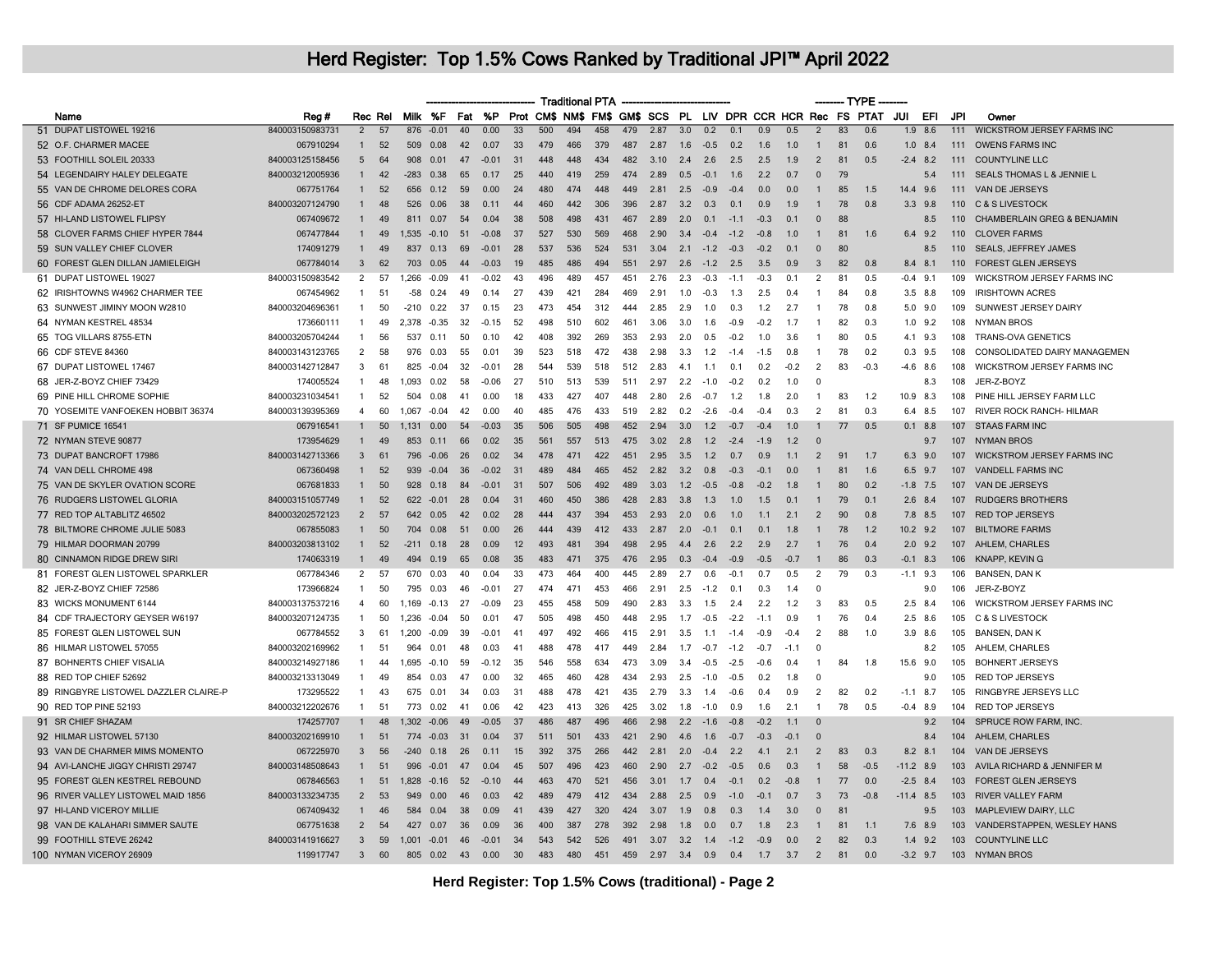|                                       |                 |                |         |        |             |    |                     |                 |     | <b>Traditional PTA</b> |     |     |      |     |        |        |        |        |                |    | $-$ TYPE $-$                                                |             |             |     |                                        |
|---------------------------------------|-----------------|----------------|---------|--------|-------------|----|---------------------|-----------------|-----|------------------------|-----|-----|------|-----|--------|--------|--------|--------|----------------|----|-------------------------------------------------------------|-------------|-------------|-----|----------------------------------------|
| Name                                  | Reg#            |                | Rec Rel |        | Milk %F     |    | Fat %P              |                 |     |                        |     |     |      |     |        |        |        |        |                |    | Prot CM\$ NM\$ FM\$ GM\$ SCS PL LIV DPR CCR HCR Rec FS PTAT | JUI         | EFI         | JPI | Owner                                  |
| 51 DUPAT LISTOWEL 19216               | 840003150983731 | $\overline{2}$ | 57      | 876    | $-0.01$     | 40 | 0.00                | $\overline{33}$ | 500 | 494                    | 458 | 479 | 2.87 | 3.0 | 0.2    | 0.1    | 0.9    | 0.5    | $\overline{2}$ | 83 | 0.6                                                         |             | $1.9$ 8.6   | 111 | <b>WICKSTROM JERSEY FARMS INC</b>      |
| 52 O.F. CHARMER MACEE                 | 067910294       |                | 52      | 509    | 0.08        | 42 | 0.07                | 33              | 479 | 466                    | 379 | 487 | 2.87 | 1.6 | $-0.5$ | 0.2    | 1.6    | 1.0    |                | 81 | 0.6                                                         |             | $1.0$ 8.4   | 111 | <b>OWENS FARMS INC</b>                 |
| 53 FOOTHILL SOLEIL 20333              | 840003125158456 | 5              | 64      | 908    | 0.01        | 47 | $-0.01$             | -31             | 448 | 448                    | 434 | 482 | 3.10 | 2.4 | 2.6    | 2.5    | 2.5    | 1.9    | $\overline{2}$ | 81 | 0.5                                                         | $-2.4$ 8.2  |             | 111 | <b>COUNTYLINE LLC</b>                  |
| 54 LEGENDAIRY HALEY DELEGATE          | 840003212005936 | $\mathbf{1}$   | 42      | $-283$ | 0.38        | 65 | 0.17                | 25              | 440 | 419                    | 259 | 474 | 2.89 | 0.5 | $-0.1$ | 1.6    | 2.2    | 0.7    | $\Omega$       | 79 |                                                             |             | 5.4         | 111 | <b>SEALS THOMAS L &amp; JENNIE L</b>   |
| 55 VAN DE CHROME DELORES CORA         | 067751764       | $\mathbf{1}$   | 52      | 656    | 0.12        | 59 | 0.00                | 24              | 480 | 474                    | 448 | 449 | 2.81 | 2.5 | $-0.9$ | $-0.4$ | 0.0    | 0.0    | $\mathbf{1}$   | 85 | 1.5                                                         | 14.4 9.6    |             | 111 | VAN DE JERSEYS                         |
| 56 CDF ADAMA 26252-ET                 | 840003207124790 |                | 48      | 526    | 0.06        | 38 | 0.11                | 44              | 460 | 442                    | 306 | 396 | 2.87 | 3.2 | 0.3    | 0.1    | 0.9    | 1.9    |                | 78 | 0.8                                                         |             | $3.3$ $9.8$ | 110 | C & S LIVESTOCK                        |
| 57 HI-LAND LISTOWEL FLIPSY            | 067409672       | $\mathbf{1}$   | 49      | 811    | 0.07        | 54 | 0.04                | 38              | 508 | 498                    | 431 | 467 | 2.89 | 2.0 | 0.1    | $-1.1$ | $-0.3$ | 0.1    | $\Omega$       | 88 |                                                             |             | 8.5         | 110 | <b>CHAMBERLAIN GREG &amp; BENJAMIN</b> |
| 58 CLOVER FARMS CHIEF HYPER 7844      | 067477844       |                | 49      |        | 1,535 -0.10 | 51 | $-0.08$             | 37              | 527 | 530                    | 569 | 468 | 2.90 | 3.4 | $-0.4$ | $-1.2$ | $-0.8$ | 1.0    | $\mathbf{1}$   | 81 | 1.6                                                         | 6.4 9.2     |             | 110 | <b>CLOVER FARMS</b>                    |
| 59 SUN VALLEY CHIEF CLOVER            | 174091279       |                | 49      | 837    | 0.13        | 69 | $-0.01$             | 28              | 537 | 536                    | 524 | 531 | 3.04 | 2.1 | $-1.2$ | $-0.3$ | $-0.2$ | 0.1    | $\Omega$       | 80 |                                                             |             | 8.5         | 110 | <b>SEALS, JEFFREY JAMES</b>            |
| 60 FOREST GLEN DILLAN JAMIELEIGH      | 067784014       | $\mathbf{3}$   | 62      | 703    | 0.05        | 44 | $-0.03$             | 19              | 485 | 486                    | 494 | 551 | 2.97 | 2.6 | $-1.2$ | 2.5    | 3.5    | 0.9    | $\mathbf{3}$   | 82 | 0.8                                                         | 8.4 8.1     |             | 110 | FOREST GLEN JERSEYS                    |
| 61 DUPAT LISTOWEL 19027               | 840003150983542 | 2              | 57      | 1,266  | $-0.09$     | 41 | $-0.02$             | 43              | 496 | 489                    | 457 | 451 | 2.76 | 2.3 | $-0.3$ | $-1.1$ | $-0.3$ | 0.1    | 2              | 81 | 0.5                                                         | $-0.4$ 9.1  |             | 109 | WICKSTROM JERSEY FARMS INC             |
| 62 IRISHTOWNS W4962 CHARMER TEE       | 067454962       | -1             | 51      | -58    | 0.24        | 49 | 0.14                | 27              | 439 | 421                    | 284 | 469 | 2.91 | 1.0 | $-0.3$ | 1.3    | 2.5    | 0.4    | $\mathbf{1}$   | 84 | 0.8                                                         | $3.5$ 8.8   |             | 109 | <b>IRISHTOWN ACRES</b>                 |
| 63 SUNWEST JIMINY MOON W2810          | 840003204696361 | -1             | 50      | $-210$ | 0.22        | 37 | 0.15                | 23              | 473 | 454                    | 312 | 444 | 2.85 | 2.9 | 1.0    | 0.3    | 1.2    | 2.7    | $\mathbf{1}$   | 78 | 0.8                                                         |             | $5.0$ $9.0$ | 109 | SUNWEST JERSEY DAIRY                   |
| 64 NYMAN KESTREL 48534                | 173660111       |                | 49      | 2.378  | $-0.35$     | 32 | $-0.15$             | 52              | 498 | 510                    | 602 | 461 | 3.06 | 3.0 | 1.6    | $-0.9$ | $-0.2$ | 1.7    | $\overline{1}$ | 82 | 0.3                                                         |             | $1.0$ $9.2$ | 108 | <b>NYMAN BROS</b>                      |
| 65 TOG VILLARS 8755-ETN               | 840003205704244 | -1             | 56      | 537    | 0.11        | 50 | 0.10                | 42              | 408 | 392                    | 269 | 353 | 2.93 | 2.0 | 0.5    | $-0.2$ | 1.0    | 3.6    | $\overline{1}$ | 80 | 0.5                                                         | 4.1 9.3     |             | 108 | TRANS-OVA GENETICS                     |
| 66 CDF STEVE 84360                    | 840003143123765 | $\overline{2}$ | 58      | 976    | 0.03        | 55 | 0.01                | 39              | 523 | 518                    | 472 | 438 | 2.98 | 3.3 | 1.2    | $-1.4$ | $-1.5$ | 0.8    | $\mathbf{1}$   | 78 | 0.2                                                         | $0.3$ 9.5   |             | 108 | CONSOLIDATED DAIRY MANAGEMEN           |
| 67 DUPAT LISTOWEL 17467               | 840003142712847 | 3              | 61      | 825    | $-0.04$     | 32 | $-0.01$             | 28              | 544 | 539                    | 518 | 512 | 2.83 | 4.1 | 1.1    | 0.1    | 0.2    | $-0.2$ | 2              | 83 | $-0.3$                                                      | $-4.6$ 8.6  |             | 108 | WICKSTROM JERSEY FARMS INC             |
| 68 JER-Z-BOYZ CHIEF 73429             | 174005524       |                | 48      | 1,093  | 0.02        | 58 | $-0.06$             | 27              | 510 | 513                    | 539 | 511 | 2.97 | 2.2 | $-1.0$ | $-0.2$ | 0.2    | 1.0    | $\Omega$       |    |                                                             |             | 8.3         | 108 | JER-Z-BOYZ                             |
| 69 PINE HILL CHROME SOPHIE            | 840003231034541 | $\mathbf{1}$   | 52      | 504    | 0.08        | 41 | 0.00                | 18              | 433 | 427                    | 407 | 448 | 2.80 | 2.6 | $-0.7$ | 1.2    | 1.8    | 2.0    | $\mathbf{1}$   | 83 | 1.2                                                         | 10.9 8.3    |             | 108 | PINE HILL JERSEY FARM LLC              |
| 70 YOSEMITE VANFOEKEN HOBBIT 36374    | 840003139395369 | $\overline{4}$ | 60      | 1.067  | $-0.04$     | 42 | 0.00                | 40              | 485 | 476                    | 433 | 519 | 2.82 | 0.2 | $-2.6$ | $-0.4$ | $-0.4$ | 0.3    | 2              | 81 | 0.3                                                         | 6.4 8.5     |             | 107 | RIVER ROCK RANCH- HILMAR               |
| 71 SF PUMICE 16541                    | 067916541       |                | 50      | 1,131  | 0.00        | 54 | $-0.03$             | 35              | 506 | 505                    | 498 | 452 | 2.94 | 3.0 | 1.2    | $-0.7$ | $-0.4$ | 1.0    |                | 77 | 0.5                                                         | $0.1$ 8.8   |             | 107 | <b>STAAS FARM INC</b>                  |
| 72 NYMAN STEVE 90877                  | 173954629       |                | 49      | 853    | 0.11        | 66 | 0.02                | 35              | 561 | 557                    | 513 | 475 | 3.02 | 2.8 | 1.2    | $-2.4$ | $-1.9$ | 1.2    | $\Omega$       |    |                                                             |             | 9.7         | 107 | <b>NYMAN BROS</b>                      |
| 73 DUPAT BANCROFT 17986               | 840003142713366 | 3              | -61     | 796    | $-0.06$     | 26 | 0.02                | 34              | 478 | 471                    | 422 | 451 | 2.95 | 3.5 | 1.2    | 0. 7   | 09     | 1.1    | 2              | 91 | 17                                                          | 6.3 9.0     |             | 107 | <b>WICKSTROM JERSEY FARMS INC</b>      |
| 74 VAN DELL CHROME 498                | 067360498       |                | 52      | 939    | $-0.04$     | 36 | $-0.02$             | 31              | 489 | 484                    | 465 | 452 | 2.82 | 3.2 | 0.8    | $-0.3$ | $-0.1$ | 0.0    | $\mathbf{1}$   | 81 | 1.6                                                         | 6.5 9.7     |             | 107 | <b>VANDELL FARMS INC</b>               |
| 75 VAN DE SKYLER OVATION SCORE        | 067681833       |                | 50      | 928    | 0.18        | 84 | $-0.0$              | 31              | 507 | 506                    | 492 | 489 | 3.03 | 1.2 | $-0.5$ | $-0.8$ | $-0.2$ | 1.8    |                | 80 | 0.2                                                         | $-1.8$ 7.5  |             | 107 | VAN DE JERSEYS                         |
| 76 RUDGERS LISTOWEL GLORIA            | 840003151057749 |                | 52      | 622    | $-0.01$     | 28 | 0.04                | 31              | 460 | 450                    | 386 | 428 | 2.83 | 3.8 | 1.3    | 1.0    | 1.5    | 0.1    |                | 79 | 0.1                                                         | $2.6$ 8.4   |             | 107 | <b>RUDGERS BROTHERS</b>                |
| 77 RED TOP ALTABLITZ 46502            | 840003202572123 | $\overline{2}$ | 57      | 642    | 0.05        | 42 | 0.02                | 28              | 444 | 437                    | 394 | 453 | 2.93 | 2.0 | 0.6    | 1.0    | 1.1    | 2.1    | $\overline{2}$ | 90 | 0.8                                                         | 7.8 8.5     |             | 107 | <b>RED TOP JERSEYS</b>                 |
| 78 BILTMORE CHROME JULIE 5083         | 067855083       | $\mathbf{1}$   | 50      | 704    | 0.08        | 51 | 0.00                | 26              | 444 | 439                    | 412 | 433 | 2.87 | 2.0 | $-0.1$ | 0.1    | 0.1    | 1.8    | $\mathbf{1}$   | 78 | 1.2                                                         | 10.2 9.2    |             | 107 | <b>BILTMORE FARMS</b>                  |
| 79 HILMAR DOORMAN 20799               | 840003203813102 |                | 52      | $-211$ | 0.18        | 28 | 0.09                | 12              | 493 | 481                    | 394 | 498 | 2.95 | 4.4 | 2.6    | 2.2    | 2.9    | 2.7    |                | 76 | 0.4                                                         | $2.0$ 9.2   |             | 107 | AHLEM, CHARLES                         |
| 80 CINNAMON RIDGE DREW SIRI           | 174063319       | $\mathbf{1}$   | 49      | 494    | 0.19        | 65 | 0.08                | 35              | 483 | 471                    | 375 | 476 | 2.95 | 0.3 | $-0.4$ | $-0.9$ | $-0.5$ | $-0.7$ | $\overline{1}$ | 86 | 0.3                                                         | $-0.1$ 8.3  |             | 106 | <b>KNAPP, KEVING</b>                   |
| 81 FOREST GLEN LISTOWEL SPARKLER      | 067784346       | 2              | -57     | 670    | 0.03        | 40 | 0.04                | 33              | 473 | 464                    | 400 | 445 | 2.89 | 2.7 | 0.6    | $-0.1$ | 0.7    | 0.5    | $\overline{2}$ | 79 | 0.3                                                         | $-1.1$ 9.3  |             | 106 | <b>BANSEN, DAN K</b>                   |
| 82 JER-Z-BOYZ CHIEF 72586             | 173966824       | -1             | 50      | 795    | 0.03        | 46 | $-0.01$             | 27              | 474 | 471                    | 453 | 466 | 2.91 | 2.5 | $-1.2$ | 0.1    | 0.3    | 1.4    | $\Omega$       |    |                                                             |             | 9.0         | 106 | JER-Z-BOYZ                             |
| 83 WICKS MONUMENT 6144                | 840003137537216 | $\overline{4}$ | 60      | 1,169  | $-0.13$     | 27 | $-0.09$             | 23              | 455 | 458                    | 509 | 490 | 2.83 | 3.3 | 1.5    | 2.4    | 2.2    | 1.2    | 3              | 83 | 0.5                                                         | $2.5$ 8.4   |             | 106 | WICKSTROM JERSEY FARMS INC             |
| 84 CDF TRAJECTORY GEYSER W6197        | 840003207124735 | -1             | 50      | 1.236  | $-0.04$     | 50 | 0.01                | 47              | 505 | 498                    | 450 | 448 | 2.95 | 1.7 | $-0.5$ | $-2.2$ | $-1.1$ | 0.9    | -1             | 76 | 0.4                                                         | $2.5$ 8.6   |             | 105 | C & S LIVESTOCK                        |
| 85 FOREST GLEN LISTOWEL SUN           | 067784552       | 3              | 61      | 1.200  | $-0.09$     | 39 | $-0.0$ <sup>-</sup> | 41              | 497 | 492                    | 466 | 415 | 291  | 3.5 | $-1.1$ | $-1.4$ | $-0.9$ | $-0.4$ | $\mathcal{P}$  | 88 | 1.0                                                         | $3.9$ $8.6$ |             | 105 | <b>BANSEN, DAN K</b>                   |
| 86 HILMAR LISTOWEL 57055              | 840003202169962 | -1             | 51      | 964    | 0.01        | 48 | 0.03                | 41              | 488 | 478                    | 417 | 449 | 2.84 | 1.7 | $-0.7$ | $-1.2$ | $-0.7$ | $-1.1$ | $\Omega$       |    |                                                             |             | 8.2         | 105 | AHLEM, CHARLES                         |
| 87 BOHNERTS CHIEF VISALIA             | 840003214927186 | -1             | 44      | 1,695  | $-0.10$     | 59 | $-0.12$             | 35              | 546 | 558                    | 634 | 473 | 3.09 | 3.4 | $-0.5$ | $-2.5$ | $-0.6$ | 0.4    | $\overline{1}$ | 84 | 1.8                                                         | 15.6 9.0    |             | 105 | <b>BOHNERT JERSEYS</b>                 |
| 88 RED TOP CHIEF 52692                | 840003213313049 | $\mathbf{1}$   | 49      | 854    | 0.03        | 47 | 0.00                | 32              | 465 | 460                    | 428 | 434 | 2.93 | 2.5 | $-1.0$ | $-0.5$ | 0.2    | 1.8    | $\Omega$       |    |                                                             |             | 9.0         | 105 | RED TOP JERSEYS                        |
| 89 RINGBYRE LISTOWEL DAZZLER CLAIRE-P | 173295522       | -1             | 43      | 675    | 0.01        | 34 | 0.03                | 31              | 488 | 478                    | 421 | 435 | 2.79 | 3.3 | 1.4    | -0.6   | 0.4    | 0.9    | $\overline{2}$ | 82 | 0.2                                                         | $-1.1$      | 8.7         | 105 | <b>RINGBYRE JERSEYS LLC</b>            |
| 90 RED TOP PINE 52193                 | 840003212202676 | $\mathbf{1}$   | 51      | 773    | 0.02        | 41 | 0.06                | 42              | 423 | 413                    | 326 | 425 | 3.02 | 1.8 | $-1.0$ | 0.9    | 1.6    | 2.1    | $\mathbf{1}$   | 78 | 0.5                                                         | $-0.4$ 8.9  |             | 104 | <b>RED TOP JERSEYS</b>                 |
| 91 SR CHIEF SHAZAM                    | 174257707       |                | 48      | 1,302  | $-0.06$     | 49 | $-0.05$             | 37              | 486 | 487                    | 496 | 466 | 2.98 | 2.2 | $-1.6$ | $-0.8$ | $-0.2$ | 1.1    | $\Omega$       |    |                                                             |             | 9.2         | 104 | SPRUCE ROW FARM, INC.                  |
| 92 HILMAR LISTOWEL 57130              | 840003202169910 | $\mathbf{1}$   | 51      | 774    | $-0.03$     | 31 | 0.04                | 37              | 511 | 501                    | 433 | 421 | 2.90 | 4.6 | 1.6    | $-0.7$ | $-0.3$ | $-0.1$ | $\Omega$       |    |                                                             |             | 8.4         | 104 | AHLEM, CHARLES                         |
| 93 VAN DE CHARMER MIMS MOMENTO        | 067225970       | $\mathbf{3}$   | 56      | $-240$ | 0.18        | 26 | 0.11                | 15              | 392 | 375                    | 266 | 442 | 281  | 2.0 | $-0.4$ | 2.2    | 41     | 2.1    | 2              | 83 | 0.3                                                         | $8.2$ $8.1$ |             | 104 | VAN DE JERSEYS                         |
| 94 AVI-LANCHE JIGGY CHRISTI 29747     | 840003148508643 |                | -51     | 996    | $-0.01$     | 47 | 0.04                | 45              | 507 | 496                    | 423 | 460 | 2.90 | 2.7 | $-0.2$ | $-0.5$ | 0.6    | 0.3    | $\overline{1}$ | 58 | $-0.5$                                                      | $-11.2$ 8.9 |             | 103 | AVILA RICHARD & JENNIFER M             |
|                                       | 067846563       |                |         |        |             | 52 |                     | 44              | 463 | 470                    | 521 | 456 | 3.01 |     |        | $-0.1$ |        |        | $\mathbf{1}$   | 77 | 0.0                                                         |             |             | 103 | <b>FOREST GLEN JERSEYS</b>             |
| 95 FOREST GLEN KESTREL REBOUND        |                 |                | 51      |        | 1,828 -0.16 |    | $-0.10$             |                 |     |                        |     |     |      | 1.7 | 0.4    |        | 0.2    | $-0.8$ |                |    |                                                             | $-2.5$ 8.4  |             |     |                                        |
| 96 RIVER VALLEY LISTOWEL MAID 1856    | 840003133234735 | $\overline{2}$ | 53      | 949    | 0.00        | 46 | 0.03                | 42              | 489 | 479                    | 412 | 434 | 2.88 | 2.5 | 0.9    | $-1.0$ | -0.1   | 0.7    | $\mathbf{3}$   | 73 | -0.8                                                        | $-11.4$ 8.5 |             | 103 | <b>RIVER VALLEY FARM</b>               |
| 97 HI-LAND VICEROY MILLIE             | 067409432       |                | 46      | 584    | 0.04        | 38 | 0.09                | 41              | 439 | 427                    | 320 | 424 | 3.07 | 1.9 | 0.8    | 0.3    | 1.4    | 3.0    | $\Omega$       | 81 |                                                             |             | 9.5         | 103 | <b>MAPLEVIEW DAIRY, LLC</b>            |
| 98 VAN DE KALAHARI SIMMER SAUTE       | 067751638       | $\overline{2}$ | 54      | 427    | 0.07        | 36 | 0.09                | 36              | 400 | 387                    | 278 | 392 | 2.98 | 1.8 | 0.0    | 0.7    | 1.8    | 2.3    |                | 81 | 1.1                                                         | 7.6 8.9     |             | 103 | VANDERSTAPPEN, WESLEY HANS             |
| 99 FOOTHILL STEVE 26242               | 840003141916627 | 3              | 59      | 1,001  | $-0.01$     | 46 | $-0.01$             | 34              | 543 | 542                    | 526 | 491 | 3.07 | 3.2 | 1.4    | $-1.2$ | $-0.9$ | 0.0    | $\overline{2}$ | 82 | 0.3                                                         |             | $1.4$ 9.2   | 103 | <b>COUNTYLINE LLC</b>                  |
| 100 NYMAN VICEROY 26909               | 119917747       | $\mathbf{3}$   | 60      |        | 805 0.02    | 43 | 0.00                | 30              | 483 | 480                    | 451 | 459 | 2.97 | 3.4 | 0.9    | 0.4    | 1.7    | 3.7    | $\overline{2}$ | 81 | 0.0                                                         | $-3.2$ 9.7  |             | 103 | <b>NYMAN BROS</b>                      |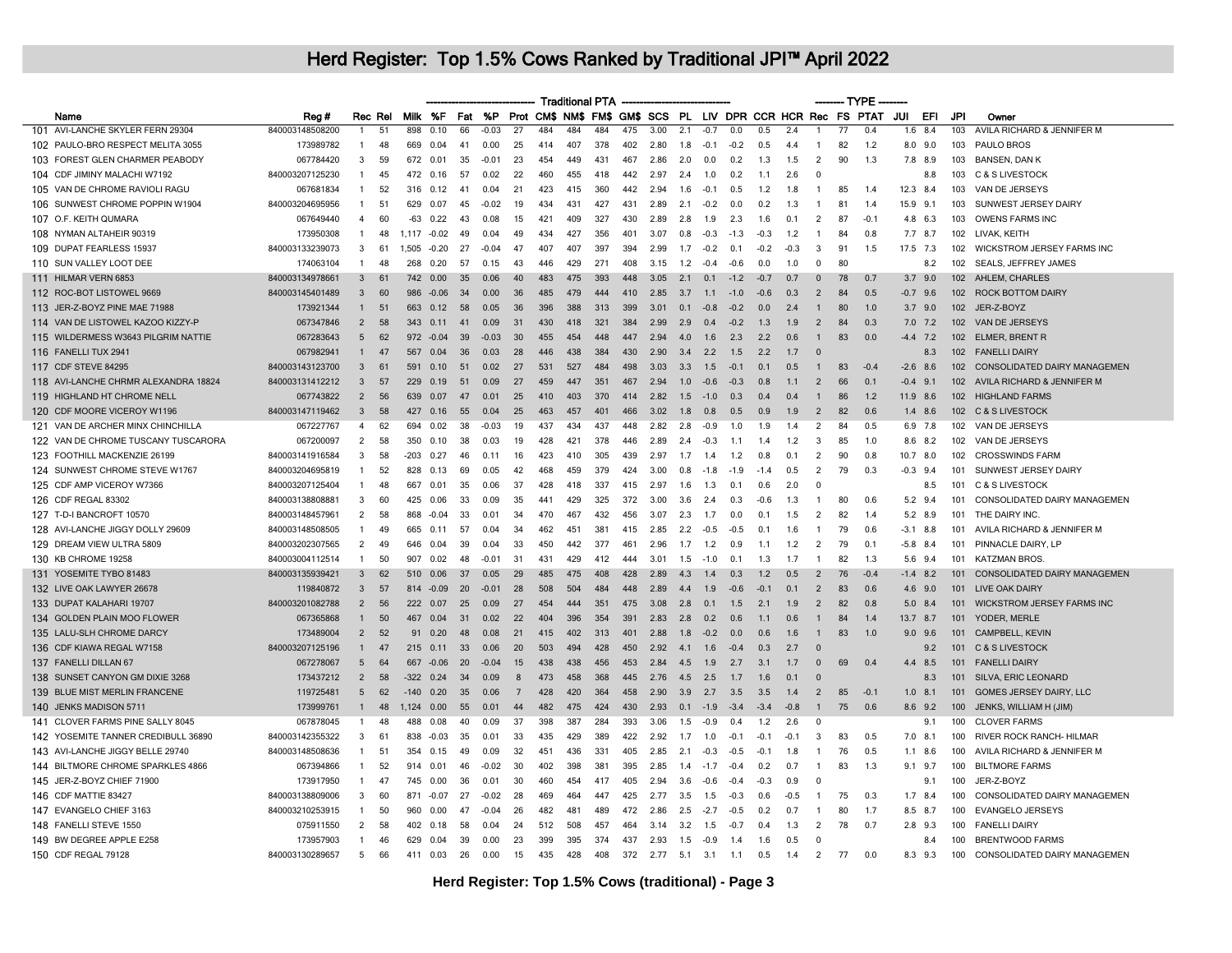|                                      |                 |                |    |                |            |     |           |                |     |     | <b>Traditional PTA</b> |                      |      |       |        |                |        |        |                |    | ------- TYPE -                                              |              |           |     |                                     |
|--------------------------------------|-----------------|----------------|----|----------------|------------|-----|-----------|----------------|-----|-----|------------------------|----------------------|------|-------|--------|----------------|--------|--------|----------------|----|-------------------------------------------------------------|--------------|-----------|-----|-------------------------------------|
| Name                                 | Reg#            | Rec Rel        |    |                | Milk %F    | Fat | <b>%P</b> |                |     |     |                        |                      |      |       |        |                |        |        |                |    | Prot CM\$ NM\$ FM\$ GM\$ SCS PL LIV DPR CCR HCR Rec FS PTAT | JUI          | EFI       | JPI | Owner                               |
| 101 AVI-LANCHE SKYLER FERN 29304     | 840003148508200 | $\mathbf{1}$   | 51 | 898            | 0.10       | 66  | $-0.03$   | 27             | 484 | 484 | 484                    | 475                  | 3.00 | 2.1   | $-0.7$ | 0.0            | 0.5    | 2.4    |                | 77 | 0.4                                                         |              | $1.6$ 8.4 | 103 | AVILA RICHARD & JENNIFER M          |
| 102 PAULO-BRO RESPECT MELITA 3055    | 173989782       | $\mathbf{1}$   | 48 | 669            | 0.04       | 41  | 0.00      | 25             | 414 | 407 | 378                    | 402                  | 2.80 | 1.8   | $-0.1$ | $-0.2$         | 0.5    | 4.4    | -1             | 82 | 1.2                                                         | $8.0$ $9.0$  |           | 103 | PAULO BROS                          |
| 103 FOREST GLEN CHARMER PEABODY      | 067784420       | 3              | 59 |                | 672 0.01   | 35  | $-0.01$   | 23             | 454 | 449 | 431                    | 467                  | 2.86 | 2.0   | 0.0    | 0.2            | 1.3    | 1.5    | $\overline{2}$ | 90 | 1.3                                                         | 7.8 8.9      |           | 103 | <b>BANSEN, DAN K</b>                |
| 104 CDF JIMINY MALACHI W7192         | 840003207125230 | $\mathbf{1}$   | 45 | 472            | 0.16       | 57  | 0.02      | 22             | 460 | 455 | 418                    | 442                  | 2.97 | 2.4   | 1.0    | 0.2            | 1.1    | 2.6    | $\overline{0}$ |    |                                                             |              | 8.8       | 103 | <b>C &amp; S LIVESTOCK</b>          |
| 105 VAN DE CHROME RAVIOLI RAGU       | 067681834       | 1              | 52 | 316            | 0.12       | 41  | 0.04      | 21             | 423 | 415 | 360                    | 442                  | 2.94 | 1.6   | $-0.1$ | 0.5            | 1.2    | 1.8    | $\overline{1}$ | 85 | 1.4                                                         | 12.3 8.4     |           | 103 | VAN DE JERSEYS                      |
| 106 SUNWEST CHROME POPPIN W1904      | 840003204695956 | $\mathbf{1}$   | 51 | 629            | 0.07       | 45  | $-0.02$   | 19             | 434 | 431 | 427                    | 431                  | 2.89 | 2.1   | $-0.2$ | 0.0            | 0.2    | 1.3    | -1             | 81 | 1.4                                                         | 15.9 9.1     |           | 103 | SUNWEST JERSEY DAIRY                |
| 107 O.F. KEITH QUMARA                | 067649440       | 4              | 60 | $-63$          | 0.22       | 43  | 0.08      | 15             | 421 | 409 | 327                    | 430                  | 2.89 | 2.8   | 1.9    | 2.3            | 1.6    | 0.1    | $\overline{2}$ | 87 | $-0.1$                                                      | 4.8 6.3      |           | 103 | <b>OWENS FARMS INC</b>              |
| 108 NYMAN ALTAHEIR 90319             | 173950308       | $\mathbf{1}$   | 48 | $1.117 - 0.02$ |            | 49  | 0.04      | 49             | 434 | 427 | 356                    | 401                  | 3.07 | 0.8   | $-0.3$ | $-1.3$         | $-0.3$ | $-1.2$ | -1             | 84 | 0.8                                                         | 7.7 8.7      |           | 102 | LIVAK, KEITH                        |
| 109 DUPAT FEARLESS 15937             | 840003133239073 | 3              | 61 | 1.505          | $-0.20$    | 27  | $-0.04$   | 47             | 407 | 407 | 397                    | 394                  | 2.99 | 1.7   | $-0.2$ | 0.1            | $-0.2$ | $-0.3$ | 3              | 91 | 1.5                                                         | 17.5 7.3     |           | 102 | WICKSTROM JERSEY FARMS INC          |
| 110 SUN VALLEY LOOT DEE              | 174063104       | $\mathbf{1}$   | 48 | 268            | 0.20       | 57  | 0.15      | 43             | 446 | 429 | 271                    | 408                  | 3.15 | 1.2   | $-0.4$ | $-0.6$         | 0.0    | 1.0    | $\Omega$       | 80 |                                                             |              | 8.2       | 102 | SEALS, JEFFREY JAMES                |
| 111 HILMAR VERN 6853                 | 840003134978661 | 3              | 61 | 742            | 0.00       | 35  | 0.06      |                | 483 | 475 | 393                    | 448                  | 3.05 | 2.1   | 0.1    | $-1.2$         | -0.7   | 0.7    | $\mathbf{0}$   | 78 | 0.7                                                         | $3.7$ 9.0    |           | 102 | AHLEM, CHARLES                      |
| 112 ROC-BOT LISTOWEL 9669            | 840003145401489 | 3              | 60 | 986            | $-0.06$    | 34  | 0.00      | 36             | 485 | 479 | 444                    | 410                  | 2.85 | 3.7   | 1.1    | $-1.0$         | $-0.6$ | 0.3    | $\overline{2}$ | 84 | 0.5                                                         | $-0.7$ 9.6   |           | 102 | <b>ROCK BOTTOM DAIRY</b>            |
| 113 JER-Z-BOYZ PINE MAE 71988        | 173921344       | $\mathbf{1}$   | 51 | 663            | 0.12       | 58  | 0.05      | 36             | 396 | 388 | 313                    | 399                  | 3.01 | 0.1   | $-0.8$ | $-0.2$         | 0.0    | 2.4    | $\overline{1}$ | 80 | 1.0                                                         | $3.7$ 9.0    |           | 102 | JER-Z-BOYZ                          |
| 114 VAN DE LISTOWEL KAZOO KIZZY-P    | 067347846       | $\overline{2}$ | 58 | 343            | 0.11       | 41  | 0.09      | 31             | 430 | 418 | 321                    | 384                  | 2.99 | 2.9   | 0.4    | $-0.2$         | 1.3    | 1.9    | $\overline{2}$ | 84 | 0.3                                                         | $7.0$ $7.2$  |           | 102 | VAN DE JERSEYS                      |
| 115 WILDERMESS W3643 PILGRIM NATTIE  | 067283643       | 5              | 62 |                | 972 - 0.04 | 39  | $-0.03$   | 30             | 455 | 454 | 448                    | 447                  | 2.94 | 4.0   | 1.6    | 2.3            | 22     | 0.6    | $\mathbf{1}$   | 83 | 0.0                                                         | $-4.4$ 7.2   |           | 102 | <b>ELMER, BRENT R</b>               |
| 116 FANELLI TUX 2941                 | 067982941       | $\mathbf{1}$   | 47 | 567            | 0.04       | 36  | 0.03      | 28             | 446 | 438 | 384                    | 430                  | 2.90 | 3.4   | 2.2    | 1.5            | 22     | 1.7    | $\Omega$       |    |                                                             |              | 8.3       | 102 | <b>FANELLI DAIRY</b>                |
| 117 CDF STEVE 84295                  | 840003143123700 | 3              | 61 | 591            | 0.10       | 51  | 0.02      | 27             | 531 | 527 | 484                    | 498                  | 3.03 | 3.3   | 1.5    | $-0.1$         | 0.1    | 0.5    | $\overline{1}$ | 83 | $-0.4$                                                      | $-2.6$ 8.6   |           | 102 | CONSOLIDATED DAIRY MANAGEMEN        |
| 118 AVI-LANCHE CHRMR ALEXANDRA 18824 | 840003131412212 | 3              | 57 | 229            | 0.19       | 51  | 0.09      | 27             | 459 | 447 | 351                    | 467                  | 2.94 | 1.0   | $-0.6$ | $-0.3$         | 0.8    | 1.1    | $\overline{2}$ | 66 | 0.1                                                         | $-0.4$       | 9.1       | 102 | AVILA RICHARD & JENNIFER M          |
| 119 HIGHLAND HT CHROME NELL          | 067743822       | $\overline{2}$ | 56 | 639            | 0.07       | 47  | 0.01      | 25             | 410 | 403 | 370                    | 414                  | 2.82 | 1.5   | $-1.0$ | 0.3            | 04     | 0.4    | $\mathbf{1}$   | 86 | 1.2                                                         | 11.9 8.6     |           | 102 | <b>HIGHLAND FARMS</b>               |
| 120 CDF MOORE VICEROY W1196          | 840003147119462 | $\mathbf{3}$   | 58 | 427            | 0.16       | 55  | 0.04      | 25             | 463 | 457 | 401                    | 466                  | 3.02 | 1.8   | 0.8    | 0.5            | 0.9    | 1.9    | $\overline{2}$ | 82 | 0.6                                                         | $1.4$ 8.6    |           | 102 | <b>C &amp; S LIVESTOCK</b>          |
| 121 VAN DE ARCHER MINX CHINCHILLA    | 067227767       | $\overline{4}$ | 62 | 694            | 0.02       | 38  | $-0.03$   | 19             | 437 | 434 | 437                    | 448                  | 2.82 | 2.8   | $-0.9$ | 1.0            | 1.9    | 1.4    | $\overline{2}$ | 84 | 0.5                                                         | 6.9 7.8      |           | 102 | VAN DE JERSEYS                      |
| 122 VAN DE CHROME TUSCANY TUSCARORA  | 067200097       | $\overline{2}$ | 58 | 350            | 0.10       | 38  | 0.03      | 19             | 428 | 421 | 378                    | 446                  | 2.89 | 2.4   | $-0.3$ | 1.1            | 1.4    | 1.2    | 3              | 85 | 1.0                                                         | 8.6 8.2      |           | 102 | VAN DE JERSEYS                      |
| 123 FOOTHILL MACKENZIE 26199         | 840003141916584 | 3              | 58 | -203           | 0.27       | 46  | 011       | 16             | 423 | 410 | 305                    | 439                  | 2.97 | 1.7   | 1.4    | 1.2            | 0.8    | 0.1    | $\overline{2}$ | 90 | 0.8                                                         | 10.7 8.0     |           | 102 | <b>CROSSWINDS FARM</b>              |
| 124 SUNWEST CHROME STEVE W1767       | 840003204695819 | $\mathbf{1}$   | 52 | 828            | 0.13       | 69  | 0.05      | 42             | 468 | 459 | 379                    | 424                  | 3.00 | 0.8   | $-1.8$ | $-1.9$         | $-14$  | 0.5    | $\overline{2}$ | 79 | 0.3                                                         | $-0.3$ 9.4   |           | 101 | SUNWEST JERSEY DAIRY                |
| 125 CDF AMP VICEROY W7366            | 840003207125404 | 1              | 48 | 667            | 0.01       | 35  | 0.06      | 37             | 428 | 418 | 337                    | 415                  | 2.97 | 1.6   | 1.3    | 0.1            | 0.6    | 2.0    | $\Omega$       |    |                                                             |              | 8.5       | 101 | C & S LIVESTOCK                     |
| 126 CDF REGAL 83302                  | 840003138808881 | 3              | 60 | 425            | 0.06       | 33  | 0.09      | 35             | 441 | 429 | 325                    | 372                  | 3.00 | 3.6   | 2.4    | 0.3            | $-0.6$ | 1.3    | $\overline{1}$ | 80 | 0.6                                                         | 5.2 9.4      |           | 101 | CONSOLIDATED DAIRY MANAGEMEN        |
| 127 T-D-I BANCROFT 10570             | 840003148457961 | $\overline{2}$ | 58 | 868            | $-0.04$    | 33  | 0.01      | -34            | 470 | 467 | 432                    | 456                  | 3.07 | 2.3   | 1.7    | 0.0            | . በ 1  | -1.5   | $\overline{2}$ | 82 | 14                                                          | 5.2 8.9      |           | 101 | THE DAIRY INC.                      |
| 128 AVI-LANCHE JIGGY DOLLY 29609     | 840003148508505 | $\mathbf{1}$   | 49 | 665            | 0.11       | 57  | 0.04      | 34             | 462 | 451 | 381                    | 415                  | 2.85 | 2.2   | $-0.5$ | $-0.5$         | 0.1    | 1.6    | $\overline{1}$ | 79 | 0.6                                                         | $-3.1$ 8.8   |           | 101 | AVILA RICHARD & JENNIFER M          |
| 129 DREAM VIEW ULTRA 5809            | 840003202307565 | 2              | 49 | 646            | 0.04       | 39  | 0.04      | 33             | 450 | 442 | 377                    | 461                  | 2.96 | 1.7   | 1.2    | 0.9            | 1.1    | 1.2    | $\overline{2}$ | 79 | 0.1                                                         | $-5.8$ $8.4$ |           | 101 | PINNACLE DAIRY, LP                  |
| 130 KB CHROME 19258                  | 840003004112514 | $\mathbf{1}$   | 50 | 907            | 0.02       | 48  | $-0.01$   | 31             | 431 | 429 | 412                    | $\Delta\Delta\Delta$ | 3.01 | - 1.5 | $-1.0$ | 0.1            | 1.3    | -1.7   | -1             | 82 | 1.3                                                         | 5.6 9.4      |           | 101 | <b>KATZMAN BROS</b>                 |
| 131 YOSEMITE TYBO 81483              | 840003135939421 | 3              | 62 | 510            | 0.06       | 37  | 0.05      | 29             | 485 | 475 | 408                    | 428                  | 2.89 | 4.3   | 1.4    | 0.3            | 1.2    | 0.5    | $\overline{2}$ | 76 | $-0.4$                                                      | $-1.4$ 8.2   |           | 101 | CONSOLIDATED DAIRY MANAGEMEN        |
| 132 LIVE OAK LAWYER 26678            | 119840872       | 3              | 57 | 814            | $-0.09$    | 20  | $-0.01$   | 28             | 508 | 504 | 484                    | 448                  | 2.89 | 4.4   | 1.9    | $-0.6$         | $-0.1$ | 0.1    | $\overline{2}$ | 83 | 0 <sub>6</sub>                                              | 4.6 9.0      |           | 101 | <b>LIVE OAK DAIRY</b>               |
| 133 DUPAT KALAHARI 19707             | 840003201082788 | $\overline{2}$ | 56 | 222            | 0.07       | 25  | 0.09      | 27             | 454 | 444 | 351                    | 475                  | 3.08 | 2.8   | 0.1    | 1.5            | 2.1    | 1.9    | $\overline{2}$ | 82 | 0.8                                                         | $5.0$ 8.4    |           | 101 | <b>WICKSTROM JERSEY FARMS INC</b>   |
| 134 GOLDEN PLAIN MOO FLOWER          | 067365868       | $\mathbf{1}$   | 50 | 467            | 0.04       | 31  | 0.02      | 22             | 404 | 396 | 354                    | 391                  | 2.83 | 2.8   | 0.2    | 0.6            | 11     | 0.6    | $\overline{1}$ | 84 | 1.4                                                         | 13.7 8.7     |           | 101 | YODER, MERLE                        |
| 135 LALU-SLH CHROME DARCY            | 173489004       | $\overline{2}$ | 52 | 91             | 0.20       | 48  | 0.08      | 21             | 415 | 402 | 313                    | 401                  | 288  | 1.8   | $-0.2$ | 0 <sub>0</sub> | 06     | 16     | $\mathbf{1}$   | 83 | 1 <sub>0</sub>                                              | $9.0$ $9.6$  |           | 101 | CAMPBELL, KEVIN                     |
| 136 CDF KIAWA REGAL W7158            | 840003207125196 | $\mathbf{1}$   | 47 | 215            | 0.11       | 33  | 0.06      | 20             | 503 | 494 | 428                    | 450                  | 2.92 | 4.1   | 1.6    | $-0.4$         | 0.3    | 2.7    | $\Omega$       |    |                                                             |              | 9.2       | 101 | <b>C &amp; S LIVESTOCK</b>          |
| 137 FANELLI DILLAN 67                | 067278067       | 5              | 64 | 667            | $-0.06$    | -20 | $-0.04$   | 15             | 438 | 438 | 456                    | 453                  | 2.84 | 4.5   | 1.9    | 2.7            | 3.1    | 1.7    | $\Omega$       | 69 | 0.4                                                         | 4.4 8.5      |           | 101 | <b>FANELLI DAIRY</b>                |
| 138 SUNSET CANYON GM DIXIE 3268      | 173437212       | $\overline{2}$ | 58 | $-322$         | 0.24       | 34  | 0.09      | 8              | 473 | 458 | 368                    | 445                  | 2.76 | 4.5   | 2.5    | 1.7            | 1.6    | 0.1    | - 0            |    |                                                             |              | 8.3       | 101 | SILVA, ERIC LEONARD                 |
| 139 BLUE MIST MERLIN FRANCENE        | 119725481       | 5              | 62 | $-140$         | 0.20       | 35  | 0.06      | $\overline{7}$ | 428 | 420 | 364                    | 458                  | 2.90 | 3.9   | 2.7    | 3.5            | 3.5    | 1.4    | $\overline{2}$ | 85 | $-0.1$                                                      | $1.0$ 8.1    |           | 101 | GOMES JERSEY DAIRY, LLC             |
| 140 JENKS MADISON 5711               | 173999761       | $\mathbf{1}$   | 48 | 1.124          | 0.00       | 55  | 0.01      | 44             | 482 | 475 | 424                    | 430                  | 2.93 | 0.1   | $-1.9$ | $-3.4$         | $-3.4$ | $-0.8$ | $\mathbf{1}$   | 75 | 0.6                                                         | 8.6 9.2      |           | 100 | JENKS, WILLIAM H (JIM)              |
| 141 CLOVER FARMS PINE SALLY 8045     | 067878045       | 1              | 48 | 488            | 0.08       | 40  | 0.09      | 37             | 398 | 387 | 284                    | 393                  | 3.06 | 1.5   | $-0.9$ | 0.4            | 1.2    | 2.6    | $\Omega$       |    |                                                             |              | 9.1       | 100 | <b>CLOVER FARMS</b>                 |
| 142 YOSEMITE TANNER CREDIBULL 36890  | 840003142355322 | 3              | 61 | 838            | $-0.03$    | 35  | 0.01      | 33             | 435 | 429 | 389                    | 422                  | 2.92 | 1.7   | 1.0    | $-0.1$         | $-0.1$ | $-0.1$ | 3              | 83 | 0.5                                                         | $7.0$ 8.1    |           | 100 | <b>RIVER ROCK RANCH- HILMAR</b>     |
| 143 AVI-LANCHE JIGGY BELLE 29740     | 840003148508636 | $\mathbf{1}$   | 51 | 354            | 0.15       | 49  | 0.09      | 32             | 451 | 436 | 331                    | 405                  | 285  | 2.1   | $-0.3$ | $-0.5$         | $-0.1$ | - 1.8  | -1             | 76 | 0.5                                                         | $1.1$ 8.6    |           | 100 | AVILA RICHARD & JENNIFER M          |
| 144 BILTMORE CHROME SPARKLES 4866    | 067394866       | $\mathbf{1}$   | 52 | 914            | 0.01       | 46  | $-0.02$   | 30             | 402 | 398 | 381                    | 395                  | 2.85 | 1.4   | $-1.7$ | $-0.4$         | 0.2    | 0.7    | $\overline{1}$ | 83 | 1.3                                                         | $9.1$ $9.7$  |           | 100 | <b>BILTMORE FARMS</b>               |
| 145 JER-Z-BOYZ CHIEF 71900           | 173917950       | $\mathbf{1}$   | 47 | 745            | 0.00       | 36  | 0.01      | 30             | 460 | 454 | 417                    | 405                  | 2.94 | 3.6   | -0.6   | $-0.4$         | $-0.3$ | 0.9    | $\Omega$       |    |                                                             |              | 9.1       | 100 | JER-Z-BOYZ                          |
| 146 CDF MATTIE 83427                 | 840003138809006 | 3              | 60 | 871            | $-0.07$    | 27  | $-0.02$   | 28             | 469 | 464 | 447                    | 425                  | 2.77 | 3.5   | 1.5    | $-0.3$         | 0.6    | $-0.5$ | -1             | 75 | 0.3                                                         | $1.7$ 8.4    |           | 100 | CONSOLIDATED DAIRY MANAGEMEN        |
| 147 EVANGELO CHIEF 3163              | 840003210253915 | $\mathbf{1}$   | 50 | 960            | 0.00       | 47  | $-0.04$   | 26             | 482 | 481 | 489                    | 472                  | 2.86 | 2.5   | $-2.7$ | $-0.5$         | 0.2    | 0.7    | -1             | 80 | 1.7                                                         | 8.5 8.7      |           | 100 | <b>EVANGELO JERSEYS</b>             |
| 148 FANELLI STEVE 1550               | 075911550       | $\overline{2}$ | 58 | 402            | 0.18       | 58  | 0.04      | 24             | 512 | 508 | 457                    | 464                  | 3.14 | 3.2   | 1.5    | $-0.7$         |        | 1.3    | $\overline{2}$ | 78 | 0.7                                                         | $2.8$ 9.3    |           | 100 | <b>FANELLI DAIRY</b>                |
| 149 BW DEGREE APPLE E258             | 173957903       | -1             | 46 | 629            | 0.04       | 39  | 0.00      | 23             | 399 | 395 | 374                    | 437                  | 2.93 | 1.5   | -0.9   | 1.4            | 1.6    | 0.5    | $\Omega$       |    |                                                             |              | 8.4       | 100 | <b>BRENTWOOD FARMS</b>              |
| 150 CDF REGAL 79128                  | 840003130289657 | 5              | 66 | 411            | 0.03       | 26  | 0.00      | 15             | 435 | 428 | 408                    | 372                  | 2.77 | 5.1   | 3.1    | 1.1            | 0.5    | 1.4    | $\overline{2}$ | 77 | 0.0                                                         | 8.3 9.3      |           | 100 | <b>CONSOLIDATED DAIRY MANAGEMEN</b> |
|                                      |                 |                |    |                |            |     |           |                |     |     |                        |                      |      |       |        |                |        |        |                |    |                                                             |              |           |     |                                     |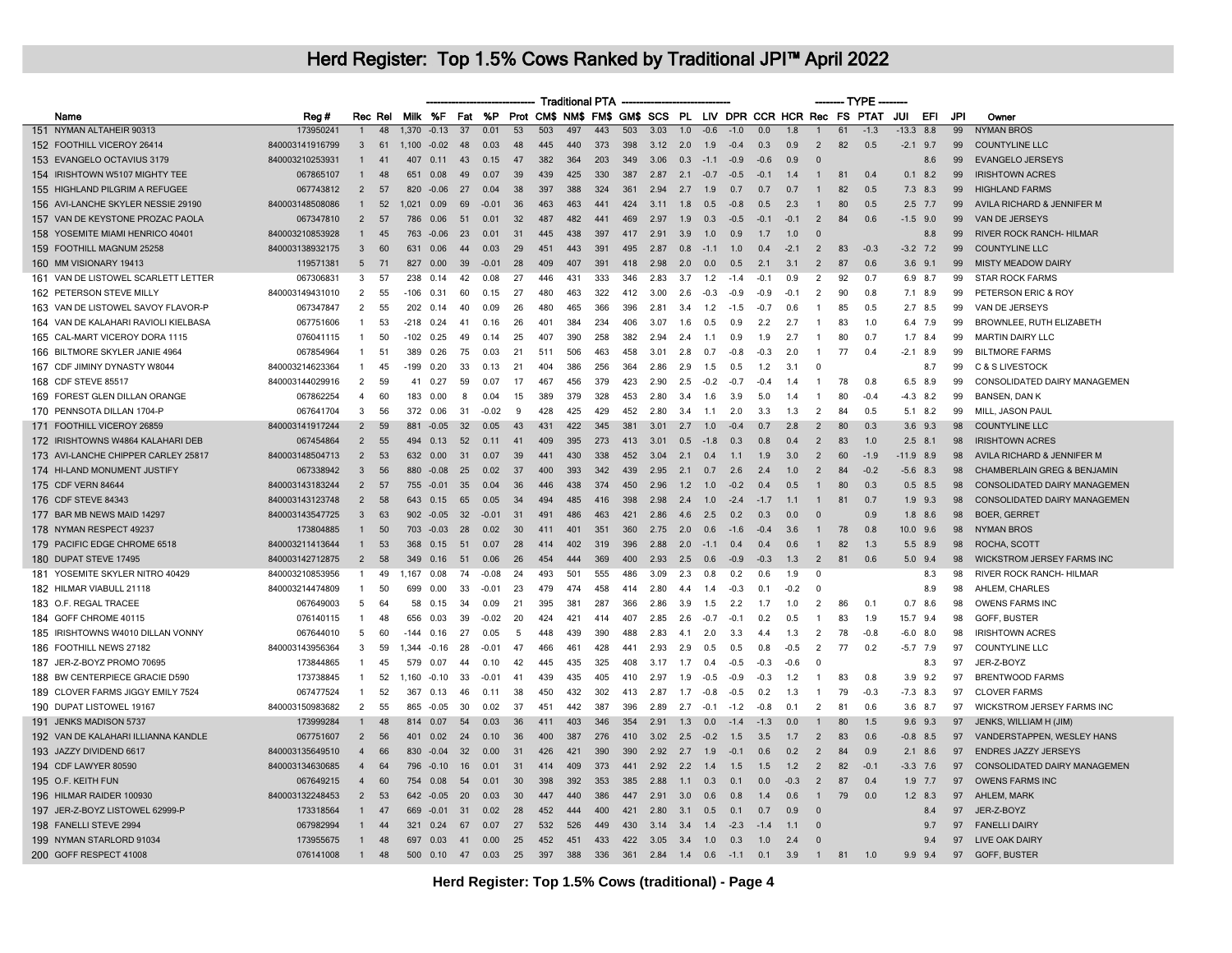|                                      |                 |                 |         |        |                |                 |         |    | - Traditional PTA -                                                |     |     |     |      |                  |        |        |        |                  |                |    | --- TYPE ---- |        |             |     |                                        |
|--------------------------------------|-----------------|-----------------|---------|--------|----------------|-----------------|---------|----|--------------------------------------------------------------------|-----|-----|-----|------|------------------|--------|--------|--------|------------------|----------------|----|---------------|--------|-------------|-----|----------------------------------------|
| Name                                 | Reg #           |                 | Rec Rel |        | Milk %F Fat    |                 |         |    | %P Prot CM\$ NM\$ FM\$ GM\$ SCS PL LIV DPR CCR HCR Rec FS PTAT JUI |     |     |     |      |                  |        |        |        |                  |                |    |               |        | EFL         | JPI | Owner                                  |
| 151 NYMAN ALTAHEIR 90313             | 173950241       | $\overline{1}$  | 48      |        | $1.370 - 0.13$ | $\overline{37}$ | 0.01    | 53 | 503                                                                | 497 | 443 | 503 | 3.03 | $\overline{1.0}$ | $-0.6$ | $-1.0$ | 0.0    | $\overline{1.8}$ |                | 61 | $-1.3$        |        | $-13.3$ 8.8 | 99  | <b>NYMAN BROS</b>                      |
| 152 FOOTHILL VICEROY 26414           | 840003141916799 | 3               | 61      | 1.100  | $-0.02$        | 48              | 0.03    | 48 | 445                                                                | 440 | 373 | 398 | 3.12 | 2.0              | 1.9    | $-0.4$ | 0.3    | 0.9              | $\overline{2}$ | 82 | 0.5           |        | $-2.1$ 9.7  | 99  | <b>COUNTYLINE LLC</b>                  |
| 153 EVANGELO OCTAVIUS 3179           | 840003210253931 |                 | 41      | 407    | 0.11           | 43              | 0.15    | 47 | 382                                                                | 364 | 203 | 349 | 3.06 | 0.3              | $-1.1$ | $-0.9$ | $-0.6$ | 0.9              | $\Omega$       |    |               |        | 8.6         | 99  | <b>EVANGELO JERSEYS</b>                |
| 154 IRISHTOWN W5107 MIGHTY TEE       | 067865107       | $\mathbf{1}$    | 48      | 651    | 0.08           | 49              | 0.07    | 39 | 439                                                                | 425 | 330 | 387 | 2.87 | 2.1              | $-0.7$ | $-0.5$ | $-0.1$ | 1.4              | $\mathbf{1}$   | 81 | 0.4           | 0.1    | 8.2         | 99  | <b>IRISHTOWN ACRES</b>                 |
| 155 HIGHLAND PILGRIM A REFUGEE       | 067743812       | $\mathcal{P}$   | 57      | 820    | $-0.06$        | 27              | 0.04    | 38 | 397                                                                | 388 | 324 | 361 | 2.94 | 2.7              | 1.9    | 0.7    | 0.7    | 0.7              | $\mathbf{1}$   | 82 | 0.5           |        | $7.3$ 8.3   | 99  | <b>HIGHLAND FARMS</b>                  |
| 156 AVI-LANCHE SKYLER NESSIE 29190   | 840003148508086 | $\mathbf{1}$    | 52      | 1.021  | 0.09           | 69              | $-0.01$ | 36 | 463                                                                | 463 | 441 | 424 | 3.11 | 1.8              | 0.5    | $-0.8$ | 0.5    | 2.3              | -1             | 80 | 0.5           |        | $2.5$ 7.7   | 99  | AVILA RICHARD & JENNIFER M             |
| 157 VAN DE KEYSTONE PROZAC PAOLA     | 067347810       | $\overline{2}$  | 57      | 786    | 0.06           | 51              | 0.01    | 32 | 487                                                                | 482 | 441 | 469 | 2.97 | 1.9              | 0.3    | $-0.5$ | $-0.1$ | $-0.1$           | $\overline{2}$ | 84 | 0.6           |        | $-1.5$ 9.0  | 99  | VAN DE JERSEYS                         |
| 158 YOSEMITE MIAMI HENRICO 40401     | 840003210853928 |                 | 45      | 763    | $-0.06$        | 23              | 0.01    | 31 | 445                                                                | 438 | 397 | 417 | 2.91 | 3.9              | 1.0    | 0.9    | 1.7    | 1.0              | $\Omega$       |    |               |        | 8.8         | 99  | <b>RIVER ROCK RANCH- HILMAR</b>        |
| 159 FOOTHILL MAGNUM 25258            | 840003138932175 | $\mathbf{3}$    | 60      | 631    | 0.06           | 44              | 0.03    | 29 | 451                                                                | 443 | 391 | 495 | 2.87 | 0.8              | $-11$  | 10     | 0.4    | $-2.1$           | $\overline{2}$ | 83 | $-0.3$        |        | $-3.2$ 7.2  | 99  | <b>COUNTYLINE LLC</b>                  |
| 160 MM VISIONARY 19413               | 119571381       | $5\phantom{.0}$ | 71      | 827    | 0.00           | 39              | $-0.01$ | 28 | 409                                                                | 407 | 391 | 418 | 2.98 | 2.0              | 0.0    | 0.5    | 2.1    | 3.1              | $\overline{2}$ | 87 | 0.6           |        | $3.6$ $9.1$ | 99  | <b>MISTY MEADOW DAIRY</b>              |
| 161 VAN DE LISTOWEL SCARLETT LETTER  | 067306831       | 3               | 57      | 238    | 0.14           | 42              | 0.08    | 27 | 446                                                                | 431 | 333 | 346 | 2.83 | 3.7              | 1.2    | $-1.4$ | $-0.1$ | 0.9              | $\overline{2}$ | 92 | 0.7           | 6.9    | 8.7         | 99  | <b>STAR ROCK FARMS</b>                 |
| 162 PETERSON STEVE MILLY             | 840003149431010 | $\overline{2}$  | 55      | -106   | 0.31           | 60              | 0.15    | 27 | 480                                                                | 463 | 322 | 412 | 3.00 | 2.6              | $-0.3$ | $-0.9$ | $-0.9$ | $-0.1$           | $\overline{2}$ | 90 | 0.8           | 7.1    | 8.9         | 99  | PETERSON ERIC & ROY                    |
| 163 VAN DE LISTOWEL SAVOY FLAVOR-P   | 067347847       | 2               | 55      | 202    | 0.14           | 40              | 0.09    | 26 | 480                                                                | 465 | 366 | 396 | 2.81 | 3.4              | 1.2    | $-1.5$ | $-0.7$ | 0.6              | -1             | 85 | 0.5           |        | $2.7$ 8.5   | 99  | VAN DE JERSEYS                         |
| 164 VAN DE KALAHARI RAVIOLI KIELBASA | 067751606       | $\mathbf{1}$    | 53      | -218   | 0.24           | 41              | 0.16    | 26 | 401                                                                | 384 | 234 | 406 | 3.07 | 1.6              | 0.5    | 0.9    | 2.2    | 2.7              | $\overline{1}$ | 83 | 1.0           |        | 6.4 7.9     | 99  | BROWNLEE, RUTH ELIZABETH               |
| 165 CAL-MART VICEROY DORA 1115       | 076041115       | -1              | 50      | -102   | 0.25           | 49              | 0.14    | 25 | 407                                                                | 390 | 258 | 382 | 2.94 | 2.4              | 1.1    | 0.9    | 1.9    | 2.7              | -1             | 80 | 0.7           |        | $1.7$ 8.4   | 99  | <b>MARTIN DAIRY LLC</b>                |
| 166 BILTMORE SKYLER JANIE 4964       | 067854964       | -1              | 51      | 389    | 0.26           | 75              | 0.03    | 21 | 511                                                                | 506 | 463 | 458 | 3.01 | 2.8              | 0.7    | $-0.8$ | $-0.3$ | 2.0              | $\mathbf{1}$   | 77 | 0.4           | $-2.1$ | 8.9         | 99  | <b>BILTMORE FARMS</b>                  |
| 167 CDF JIMINY DYNASTY W8044         | 840003214623364 | 1               | 45      | $-199$ | 0.20           | 33              | 0.13    | 21 | 404                                                                | 386 | 256 | 364 | 2.86 | 2.9              | 1.5    | 0.5    | 1.2    | 3.1              | $\Omega$       |    |               |        | 8.7         | 99  | <b>C &amp; S LIVESTOCK</b>             |
| 168 CDF STEVE 85517                  | 840003144029916 | 2               | 59      | 41     | 0.27           | 59              | 0.07    | 17 | 467                                                                | 456 | 379 | 423 | 2.90 | 2.5              | $-0.2$ | $-0.7$ | $-0.4$ | 1.4              | -1             | 78 | 0.8           | 6.5    | 8.9         | 99  | CONSOLIDATED DAIRY MANAGEMEN           |
| 169 FOREST GLEN DILLAN ORANGE        | 067862254       | 4               | 60      | 183    | 0.00           | 8               | 0.04    | 15 | 389                                                                | 379 | 328 | 453 | 2.80 | 3.4              | 1.6    | 3.9    | 5.0    | 1.4              | $\overline{1}$ | 80 | $-0.4$        | -4.3   | 8.2         | 99  | <b>BANSEN, DAN K</b>                   |
| 170 PENNSOTA DILLAN 1704-P           | 067641704       | 3               | 56      | 372    | 0.06           | 31              | $-0.02$ | 9  | 428                                                                | 425 | 429 | 452 | 2.80 | 3.4              | 1.1    | 2.0    | 3.3    | 1.3              | $\overline{2}$ | 84 | 0.5           | 5.1    | 8.2         | 99  | MILL, JASON PAUL                       |
| 171 FOOTHILL VICEROY 26859           | 840003141917244 | $\overline{2}$  | 59      |        | 881 -0.05      | 32              | 0.05    | 43 | 431                                                                | 422 | 345 | 381 | 3.01 | 2.7              | 1.0    | $-0.4$ | 0.7    | 2.8              | $\overline{2}$ | 80 | 0.3           | 3.6    | 9.3         | 98  | <b>COUNTYLINE LLC</b>                  |
| 172 IRISHTOWNS W4864 KALAHARI DEB    | 067454864       | $\overline{2}$  | 55      | 494    | 0.13           | 52              | 0.11    | 41 | 409                                                                | 395 | 273 | 413 | 3.01 | 0.5              | $-1.8$ | 0.3    | 0.8    | 0.4              | $\overline{2}$ | 83 | 1.0           |        | $2.5$ 8.1   | 98  | <b>IRISHTOWN ACRES</b>                 |
| 173 AVI-LANCHE CHIPPER CARLEY 25817  | 840003148504713 | $\overline{2}$  | 53      | 632    | 0.00           | 31              | 0.07    | 39 | 441                                                                | 430 | 338 | 452 | 3.04 | 2.1              | 0.4    | 1.1    | 1.9    | 3.0              | $\overline{2}$ | 60 | $-1.9$        |        | $-11.9$ 8.9 | 98  | AVILA RICHARD & JENNIFER M             |
| 174 HI-LAND MONUMENT JUSTIFY         | 067338942       | $\mathbf{3}$    | 56      | 880    | $-0.08$        | 25              | 0.02    | 37 | 400                                                                | 393 | 342 | 439 | 2.95 | 2.1              | 0.7    | 2.6    | 2.4    | 1.0              | $\overline{2}$ | 84 | $-0.2$        |        | $-5.6$ 8.3  | 98  | <b>CHAMBERLAIN GREG &amp; BENJAMIN</b> |
| 175 CDF VERN 84644                   | 840003143183244 | $\overline{2}$  | 57      | 755    | $-0.01$        | 35              | 0.04    | 36 | 446                                                                | 438 | 374 | 450 | 2.96 | 1.2              | 1.0    | $-0.2$ | 0.4    | 0.5              | -1             | 80 | 0.3           |        | $0.5$ 8.5   | 98  | <b>CONSOLIDATED DAIRY MANAGEMEN</b>    |
| 176 CDF STEVE 84343                  | 840003143123748 | $\overline{2}$  | 58      | 643    | 0.15           | 65              | 0.05    | 34 | 494                                                                | 485 | 416 | 398 | 2.98 | 2.4              | 1.0    | $-2.4$ | $-1.7$ | 1.1              |                | 81 | 0.7           |        | $1.9$ $9.3$ | 98  | CONSOLIDATED DAIRY MANAGEMEN           |
| 177 BAR MB NEWS MAID 14297           | 840003143547725 | 3               | 63      | 902    | $-0.05$        | 32              | $-0.01$ | 31 | 491                                                                | 486 | 463 | 421 | 2.86 | 4.6              | 2.5    | 0.2    | 0.3    | 0.0              | $\Omega$       |    | 0.9           | 1.8    | 8.6         | 98  | <b>BOER, GERRET</b>                    |
| 178 NYMAN RESPECT 49237              | 173804885       | $\mathbf{1}$    | 50      |        | 703 -0.03      | 28              | 0.02    | 30 | 411                                                                | 401 | 351 | 360 | 2.75 | 2.0              | 0.6    | $-16$  | $-0.4$ | 3.6              | $\mathbf{1}$   | 78 | _በ ጸ          | 10.0   | 9.6         | 98  | <b>NYMAN BROS</b>                      |
| 179 PACIFIC EDGE CHROME 6518         | 840003211413644 | $\mathbf{1}$    | 53      | 368    | 0.15           | 51              | 0.07    | 28 | 414                                                                | 402 | 319 | 396 | 2.88 | 2.0              | $-1.1$ | 0.4    | 0.4    | 0.6              | -1             | 82 | 1.3           |        | 5.5 8.9     | 98  | ROCHA, SCOTT                           |
| 180 DUPAT STEVE 17495                | 840003142712875 | 2               | 58      | 349    | 0.16           | 51              | 0.06    | 26 | 454                                                                | 444 | 369 | 400 | 2.93 | 2.5              | 0.6    | $-0.9$ | $-0.3$ | 1.3              | 2              | 81 | 0.6           | 5.0    | 9.4         | 98  | <b>WICKSTROM JERSEY FARMS INC</b>      |
| 181 YOSEMITE SKYLER NITRO 40429      | 840003210853956 | -1.             | 49      | 1,167  | 0.08           | 74              | $-0.08$ | 24 | 493                                                                | 501 | 555 | 486 | 3.09 | 2.3              | 0.8    | 0.2    | 0.6    | 1.9              | $\Omega$       |    |               |        | 8.3         | 98  | RIVER ROCK RANCH- HILMAR               |
| 182 HILMAR VIABULL 21118             | 840003214474809 | -1              | 50      | 699    | 0.00           | 33              | $-0.01$ | 23 | 479                                                                | 474 | 458 | 414 | 2.80 | 4.4              | 1.4    | $-0.3$ | 0.1    | $-0.2$           | $\Omega$       |    |               |        | 8.9         | 98  | AHLEM, CHARLES                         |
| 183 O.F. REGAL TRACEE                | 067649003       | 5               | 64      | 58     | 0.15           | 34              | 0.09    | 21 | 395                                                                | 381 | 287 | 366 | 2.86 | 3.9              | 1.5    | 2.2    | 1.7    | 1.0              | $\overline{2}$ | 86 | 0.1           | 0.7    | 8.6         | 98  | OWENS FARMS INC                        |
| 184 GOFF CHROME 40115                | 076140115       | $\overline{1}$  | 48      | 656    | 0.03           | 39              | $-0.02$ | 20 | 424                                                                | 421 | 414 | 407 | 2.85 | 2.6              | $-0.7$ | $-0.1$ | 0.2    | 0.5              | -1             | 83 | 1.9           | 15.7   | 9.4         | 98  | GOFF, BUSTER                           |
| 185 IRISHTOWNS W4010 DILLAN VONNY    | 067644010       | 5               | 60      | -144   | 0.16           | 27              | 0.05    | 5  | 448                                                                | 439 | 390 | 488 | 2.83 | 4.1              | 2.0    | 3.3    | 4.4    | 1.3              | $\overline{2}$ | 78 | $-0.8$        | -6.0   | 8.0         | 98  | <b>IRISHTOWN ACRES</b>                 |
| 186 FOOTHILL NEWS 27182              | 840003143956364 | 3               | 59      | 1.344  | $-0.16$        | 28              | $-0.01$ | 47 | 466                                                                | 461 | 428 | 441 | 2.93 | 2.9              | 0.5    | 0.5    | 0.8    | $-0.5$           | $\overline{2}$ | 77 | 0.2           |        | $-5.7$ 7.9  | 97  | <b>COUNTYLINE LLC</b>                  |
| 187 JER-Z-BOYZ PROMO 70695           | 173844865       | $\mathbf{1}$    | 45      | 579    | 0.07           | 44              | 0.10    | 42 | 445                                                                | 435 | 325 | 408 | 3.17 | 1.7              | 0.4    | $-0.5$ | $-0.3$ | $-0.6$           | $\Omega$       |    |               |        | 8.3         | 97  | JER-Z-BOYZ                             |
| 188 BW CENTERPIECE GRACIE D590       | 173738845       | -1              | 52      | 1,160  | $-0.10$        | 33              | $-0.01$ | 41 | 439                                                                | 435 | 405 | 410 | 2.97 | 1.9              | $-0.5$ | $-0.9$ | $-0.3$ | 1.2              | -1             | 83 | 0.8           |        | $3.9$ $9.2$ | 97  | <b>BRENTWOOD FARMS</b>                 |
| 189 CLOVER FARMS JIGGY EMILY 7524    | 067477524       | $\mathbf{1}$    | 52      | 367    | 0.13           | 46              | 0.11    | 38 | 450                                                                | 432 | 302 | 413 | 2.87 | 1.7              | $-0.8$ | $-0.5$ | 0.2    | 1.3              | -1             | 79 | $-0.3$        |        | $-7.3$ 8.3  | 97  | <b>CLOVER FARMS</b>                    |
| 190 DUPAT LISTOWEL 19167             | 840003150983682 | 2               | 55      | 865    | $-0.05$        | 30              | 0.02    | 37 | 451                                                                | 442 | 387 | 396 | 2.89 | 2.7              | $-0.1$ | $-1.2$ | $-0.8$ | 0 <sub>1</sub>   | $\overline{2}$ | 81 | 0.6           |        | $3.6$ $8.7$ | 97  | <b>WICKSTROM JERSEY FARMS INC</b>      |
| 191 JENKS MADISON 5737               | 173999284       |                 | 48      | 814    | 0.07           | 54              | 0.03    | 36 | 411                                                                | 403 | 346 | 354 | 2.91 | 1.3              | 0.0    | $-1.4$ | $-1.3$ | 0.0              |                | 80 | 1.5           | 9.6    | 9.3         | 97  | JENKS, WILLIAM H (JIM)                 |
| 192 VAN DE KALAHARI ILLIANNA KANDLE  | 067751607       | $\overline{2}$  | 56      | 401    | 0.02           | 24              | 0.10    | 36 | 400                                                                | 387 | 276 | 410 | 3.02 | 2.5              | $-0.2$ | 1.5    | 3.5    | 1.7              | $\overline{2}$ | 83 | 0.6           | $-0.8$ | 8.5         | 97  | VANDERSTAPPEN, WESLEY HANS             |
| 193 JAZZY DIVIDEND 6617              | 840003135649510 | $\overline{4}$  | 66      | 830    | $-0.04$        | 32              | 0.00    | 31 | 426                                                                | 421 | 390 | 390 | 2.92 | 2.7              | 1.9    | $-0.1$ | 0.6    | 0.2              | $\overline{2}$ | 84 | 0.9           | 2.1    | 8.6         | 97  | <b>ENDRES JAZZY JERSEYS</b>            |
| 194 CDF LAWYER 80590                 | 840003134630685 | $\overline{4}$  | 64      |        | 796 -0.10      | 16              | 0.01    | 31 | 414                                                                | 409 | 373 | 441 | 2.92 | 2.2              | 1.4    | 1.5    | 1.5    | 1.2              | $\overline{2}$ | 82 | $-0.1$        |        | $-3.3$ 7.6  | 97  | <b>CONSOLIDATED DAIRY MANAGEMEN</b>    |
| 195 O.F. KEITH FUN                   | 067649215       | $\overline{4}$  | 60      | 754    | 0.08           | 54              | 0.01    | 30 | 398                                                                | 392 | 353 | 385 | 2.88 | 1.1              | 0.3    | 0.1    | 0.0    | $-0.3$           | $\overline{2}$ | 87 | 0.4           | 1.9    | 7.7         | 97  | <b>OWENS FARMS INC</b>                 |
| 196 HILMAR RAIDER 100930             | 840003132248453 | $\overline{2}$  | 53      | 642    | $-0.05$        | 20              | 0.03    | 30 | 447                                                                | 440 | 386 | 447 | 2.91 | 3.0              | 0.6    | 0.8    | 1.4    | 0.6              | $\overline{1}$ | 79 | 0.0           |        | $1.2$ 8.3   | 97  | AHLEM, MARK                            |
| 197 JER-Z-BOYZ LISTOWEL 62999-P      | 173318564       |                 | 47      | 669    | $-0.01$        | 31              | 0.02    | 28 | 452                                                                | 444 | 400 | 421 | 2.80 | 3.1              | 0.5    | 0.1    | 0.7    | 0.9              | $\Omega$       |    |               |        | 8.4         | 97  | JER-Z-BOYZ                             |
| 198 FANELLI STEVE 2994               | 067982994       |                 | 44      | 321    | 0.24           | 67              | 0.07    | 27 | 532                                                                | 526 | 449 | 430 | 3.14 | 3.4              | 1.4    | $-2.3$ | $-1.4$ | 1.1              | $\Omega$       |    |               |        | 9.7         | 97  | <b>FANELLI DAIRY</b>                   |
| 199 NYMAN STARLORD 91034             | 173955675       |                 | 48      | 697    | 0.03           | 41              | 0.00    | 25 | 452                                                                | 451 | 433 | 422 | 3.05 | 3.4              | 1.0    | 0.3    | 1.0    | 2.4              | $\Omega$       |    |               |        | 9.4         | 97  | <b>LIVE OAK DAIRY</b>                  |
| 200 GOFF RESPECT 41008               | 076141008       | $\mathbf{1}$    | 48      | 500    | 0.10           | 47              | 0.03    | 25 | 397                                                                | 388 | 336 | 361 | 2.84 | 1.4              | 0.6    | $-1.1$ | 0.1    | 3.9              | $\overline{1}$ | 81 | 1.0           | 9.9    | 9.4         | 97  | GOFF, BUSTER                           |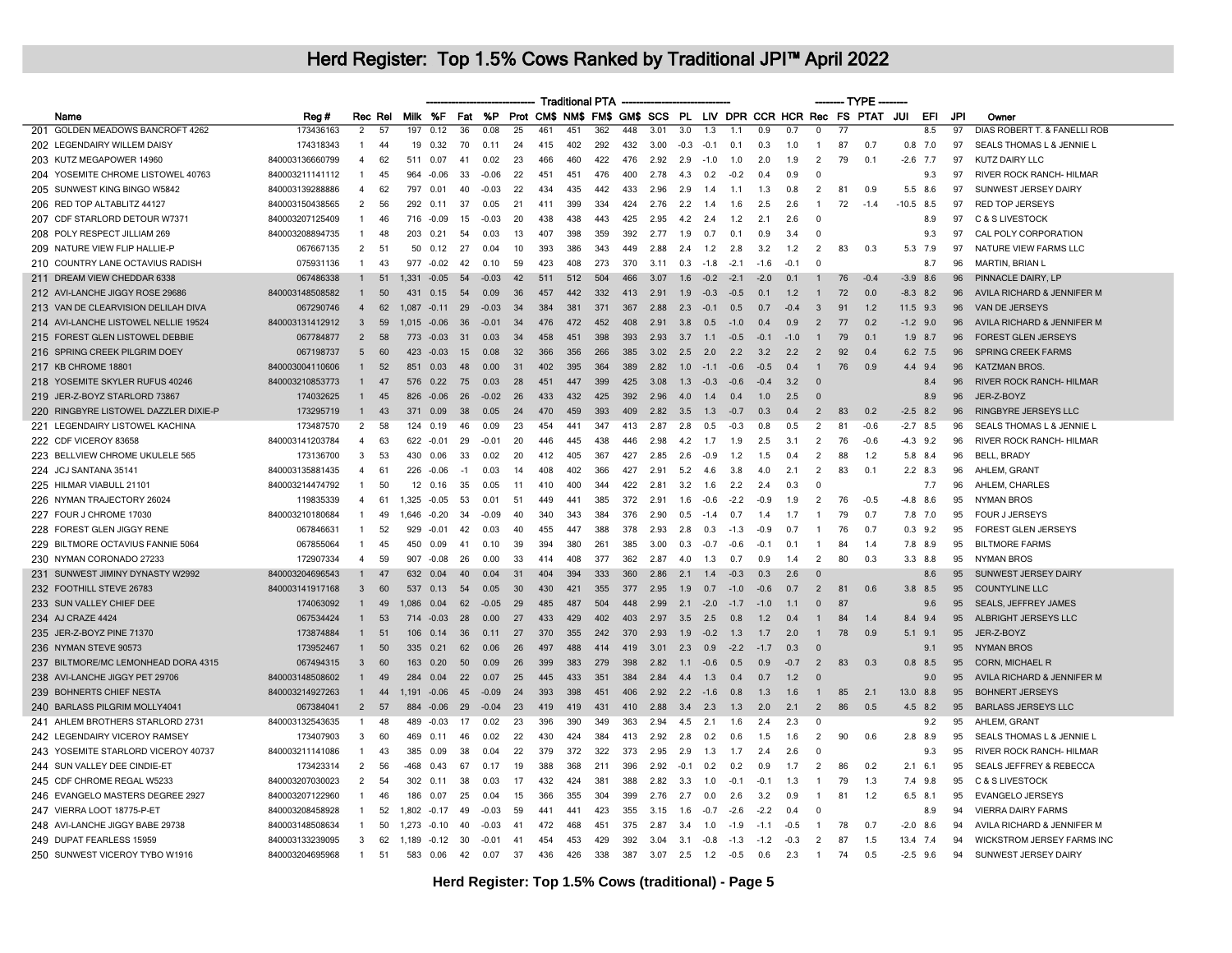| Milk %F<br>%P<br>Prot CM\$ NM\$ FM\$ GM\$ SCS PL LIV DPR CCR HCR Rec FS PTAT JUI<br>EFI<br>Fat<br>JPI<br>Reg #<br>Rec Rel<br>Name<br>Owner<br>$\overline{36}$<br>$\overline{77}$<br>201 GOLDEN MEADOWS BANCROFT 4262<br>173436163<br>$\overline{2}$<br>0.08<br>25<br>461<br>451<br>362<br>448<br>3.0<br>1.3<br>0.9<br>0.7<br>$\overline{0}$<br>8.5<br>97<br>DIAS ROBERT T. & FANELLI ROB<br>57<br>197<br>0.12<br>3.01<br>1.1<br>87<br>202 LEGENDAIRY WILLEM DAISY<br>174318343<br>70<br>402<br>292<br>432<br>7.0<br>97<br>SEALS THOMAS L & JENNIE L<br>$\overline{1}$<br>44<br>19<br>0.32<br>$0.1^{\circ}$<br>24<br>415<br>3.00<br>$-0.3$<br>$-0.1$<br>0.7<br>0.3<br>1.0<br>$\mathbf{1}$<br>0.7<br>0.8<br>840003136660799<br>460<br>422<br>79<br><b>KUTZ DAIRY LLC</b><br>203 KUTZ MEGAPOWER 14960<br>62<br>0.07<br>41<br>0.02<br>23<br>466<br>476<br>2.92<br>2.9<br>$-1.0$<br>1.0<br>1.9<br>2<br>0.1<br>$-2.6$ 7.7<br>97<br>$\overline{4}$<br>511<br>2.0<br>204 YOSEMITE CHROME LISTOWEL 40763<br>840003211141112<br>45<br>33<br>$-0.06$<br>22<br>451<br>451<br>476<br>400<br>2.78<br>$-0.2$<br>$\mathbf 0$<br>9.3<br>97<br>RIVER ROCK RANCH- HILMAR<br>$\overline{1}$<br>964<br>$-0.06$<br>4.3<br>0.2<br>0.4<br>0.9<br>205 SUNWEST KING BINGO W5842<br>840003139288886<br>62<br>40<br>22<br>434<br>435<br>442<br>433<br>2.96<br>2.9<br>2<br>81<br>5.5 8.6<br>97<br>SUNWEST JERSEY DAIRY<br>4<br>797<br>0.01<br>$-0.03$<br>1.4<br>1.1<br>1.3<br>0.8<br>0.9<br>206 RED TOP ALTABLITZ 44127<br>840003150438565<br>2<br>56<br>292<br>0.11<br>37<br>0.05<br>21<br>411<br>399<br>334<br>424<br>2.76<br>2.2<br>1.4<br>1.6<br>2.5<br>2.6<br>72<br>$-1.4$<br>$-10.5$ 8.5<br>97<br><b>RED TOP JERSEYS</b><br>$\overline{1}$<br>207 CDF STARLORD DETOUR W7371<br>840003207125409<br>438<br>438<br>443<br>425<br>97<br>C & S LIVESTOCK<br>$\mathbf{1}$<br>46<br>716<br>$-0.09$<br>15<br>$-0.03$<br>-20<br>295<br>42<br>2.4<br>1.2<br>21<br>26<br>$\Omega$<br>8.9<br>840003208894735<br>398<br>359<br>392<br>CAL POLY CORPORATION<br>208 POLY RESPECT JILLIAM 269<br>48<br>203<br>0.21<br>54<br>0.03<br>407<br>2.77<br>1.9<br>0.7<br>3.4<br>$\Omega$<br>9.3<br>97<br>$\mathbf{1}$<br>-13<br>0.1<br>0.9<br>067667135<br>$\overline{2}$<br>393<br>386<br>NATURE VIEW FARMS LLC<br>209 NATURE VIEW FLIP HALLIE-P<br>51<br>50<br>0.12<br>27<br>0.04<br>343<br>449<br>2.88<br>2.4<br>1.2<br>2.8<br>3.2<br>1.2<br>2<br>83<br>0.3<br>5.3<br>7.9<br>97<br>10<br>977<br>408<br>273<br>370<br>210 COUNTRY LANE OCTAVIUS RADISH<br>075931136<br>$\mathbf{1}$<br>43<br>$-0.02$<br>42<br>0.10<br>59<br>423<br>3.11<br>0.3<br>$-1.8$<br>$-2.1$<br>$-1.6$<br>$-0.1$<br>0<br>8.7<br>96<br><b>MARTIN, BRIAN L</b><br>211 DREAM VIEW CHEDDAR 6338<br>067486338<br>504<br>466<br>$-0.2$<br>76<br>$-0.4$<br>$-3.9$<br>96<br>PINNACLE DAIRY, LP<br>51<br>1.331<br>$-0.05$<br>54<br>$-0.03$<br>511<br>512<br>3.07<br>1.6<br>$-2.1$<br>$-2.0$<br>0.1<br>8.6<br>$\mathbf{1}$<br>42<br>212 AVI-LANCHE JIGGY ROSE 29686<br>840003148508582<br>50<br>442<br>332<br>$-0.3$<br>72<br>AVILA RICHARD & JENNIFER M<br>431<br>0.15<br>54<br>0.09<br>36<br>457<br>413<br>291<br>1.9<br>$-0.5$<br>1.2<br>0.0<br>$-8.3$ 8.2<br>96<br>$\mathbf{1}$<br>0 <sub>1</sub><br>$\mathbf{1}$<br>067290746<br>62<br>29<br>384<br>381<br>371<br>367<br>2.3<br>$-0.1$<br>91<br>VAN DE JERSEYS<br>213 VAN DE CLEARVISION DELILAH DIVA<br>$\overline{4}$<br>1 0 8 7<br>$-0.11$<br>$-0.03$<br>34<br>2.88<br>0.5<br>0 <sub>7</sub><br>$-0.4$<br>$\mathbf{3}$<br>1.2<br>$11.5$ 9.3<br>96<br>214 AVI-LANCHE LISTOWEL NELLIE 19524<br>840003131412912<br>$\mathbf{3}$<br>59<br>36<br>472<br>452<br>408<br>2.91<br>3.8<br>0.5<br>$-1.0$<br>0.9<br>2<br>77<br>$-1.2$ 9.0<br>96<br>AVILA RICHARD & JENNIFER M<br>1.015<br>$-0.06$<br>$-0.01$<br>34<br>476<br>0.4<br>0.2<br>58<br>398<br>393<br>79<br>96<br>215 FOREST GLEN LISTOWEL DEBBIE<br>067784877<br>2<br>$-0.03$<br>31<br>458<br>451<br>2.93<br>3.7<br>$-0.5$<br>0.1<br><b>FOREST GLEN JERSEYS</b><br>773<br>0.03<br>34<br>1.1<br>$-0.1$<br>$-1.0$<br>$\mathbf{1}$<br>$1.9$ 8.7<br>216 SPRING CREEK PILGRIM DOEY<br>067198737<br>266<br>385<br>92<br>SPRING CREEK FARMS<br>$5\overline{6}$<br>60<br>423<br>$-0.03$<br>15<br>0.08<br>32<br>366<br>356<br>302<br>2.5<br>20<br>22<br>32<br>22<br>$\overline{2}$<br>6.2 7.5<br>96<br>04<br>217 KB CHROME 18801<br>840003004110606<br>52<br>851<br>0.03<br>48<br>0.00<br>402<br>395<br>364<br>389<br>2.82<br>$-1.1$<br>$-0.6$<br>$-0.5$<br>0.4<br>76<br>0.9<br>4.4 9.4<br>96<br><b>KATZMAN BROS.</b><br>$\mathbf{1}$<br>31<br>1.0<br>$\overline{1}$<br>218 YOSEMITE SKYLER RUFUS 40246<br>840003210853773<br>47<br>0.22<br>75<br>0.03<br>28<br>451<br>447<br>399<br>425<br>3.08<br>$-0.3$<br>$-0.6$<br>3.2<br>96<br><b>RIVER ROCK RANCH- HILMAR</b><br>576<br>1.3<br>$-0.4$<br>$\Omega$<br>8.4<br>174032625<br>433<br>432<br>425<br>392<br>2.96<br>8.9<br>96<br>JER-Z-BOYZ<br>219 JER-Z-BOYZ STARLORD 73867<br>45<br>826<br>$-0.06$<br>26<br>$-0.02$<br>26<br>4.0<br>1.4<br>0.4<br>1.0<br>2.5<br>$\mathbf{1}$<br>$\Omega$<br>220 RINGBYRE LISTOWEL DAZZLER DIXIE-P<br>173295719<br>43<br>0.09<br>38<br>0.05<br>459<br>393<br>409<br>$-0.7$<br>$\overline{2}$<br>83<br>0.2<br>$-2.5$ 8.2<br>96<br>RINGBYRE JERSEYS LLC<br>371<br>24<br>470<br>2.82<br>3.5<br>1.3<br>0.3<br>0.4<br>$\mathbf{1}$<br>221 LEGENDAIRY LISTOWEL KACHINA<br>173487570<br>2<br>58<br>124<br>0.19<br>46<br>0.09<br>23<br>454<br>441<br>347<br>413<br>2.87<br>2.8<br>0.5<br>$-0.3$<br>0.8<br>0.5<br>2<br>81<br>$-0.6$<br>$-2.7$ 8.5<br>96<br><b>SEALS THOMAS L &amp; JENNIE L</b><br>76<br>222 CDF VICEROY 83658<br>840003141203784<br>$\overline{4}$<br>63<br>622<br>$-0.01$<br>29<br>$-0.01$<br>20<br>446<br>445<br>438<br>446<br>2.98<br>4.2<br>1.7<br>1.9<br>3.1<br>$\overline{c}$<br>$-0.6$<br>$-4.3$ 9.2<br>96<br><b>RIVER ROCK RANCH- HILMAR</b><br>2.5<br>173136700<br>3<br>53<br>405<br>2.6<br>$-0.9$<br>2<br>88<br>96<br>223 BELLVIEW CHROME UKULELE 565<br>430<br>0.06<br>33<br>0.02<br>20<br>412<br>367<br>427<br>2.85<br>1.2<br>1.5<br>0.4<br>1.2<br>5.8 8.4<br>BELL, BRADY<br>840003135881435<br>402<br>$\overline{2}$<br>83<br>$\overline{4}$<br>61<br>226<br>$-0.06$<br>408<br>366<br>427<br>5.2<br>4.6<br>3.8<br>40<br>2.1<br>0.1<br>$2.2$ 8.3<br>96<br>AHLEM, GRANT<br>224 JCJ SANTANA 35141<br>$-1$<br>0.03<br>291<br>-14<br>840003214474792<br>50<br>96<br>225 HILMAR VIABULL 21101<br>$\mathbf{1}$<br>12 <sup>2</sup><br>0.16<br>35<br>0.05<br>410<br>400<br>344<br>422<br>281<br>3.2<br>1.6<br>2.2<br>0.3<br>$\Omega$<br>7.7<br>AHLEM, CHARLES<br>11<br>24<br>226 NYMAN TRAJECTORY 26024<br>119835339<br>61<br>1,325<br>53<br>449<br>385<br>372<br>$-0.6$<br>$-2.2$<br>$\overline{2}$<br>76<br>$-0.5$<br>95<br><b>NYMAN BROS</b><br>4<br>$-0.05$<br>0.01<br>-51<br>441<br>2.91<br>1.6<br>$-0.9$<br>1.9<br>$-4.8$ 8.6<br>840003210180684<br>227 FOUR J CHROME 17030<br>$-0.09$<br>343<br>376<br>79<br>95<br><b>FOUR J JERSEYS</b><br>$\mathbf{1}$<br>49<br>1.646<br>$-0.20$<br>34<br>40<br>340<br>384<br>2.90<br>0.5<br>$-1.4$<br>0.7<br>1.4<br>1.7<br>$\mathbf{1}$<br>0.7<br>7.8 7.0<br>067846631<br>52<br>42<br>447<br>388<br>378<br>76<br><b>FOREST GLEN JERSEYS</b><br>228 FOREST GLEN JIGGY RENE<br>929<br>$-0.01$<br>0.03<br>40<br>455<br>2.93<br>2.8<br>0.3<br>$-1.3$<br>$-0.9$<br>0.7<br>0.7<br>$0.3$ 9.2<br>95<br>$\mathbf{1}$<br>$\mathbf{1}$<br>229 BILTMORE OCTAVIUS FANNIE 5064<br>067855064<br>45<br>450<br>0.09<br>41<br>39<br>394<br>380<br>261<br>385<br>0.3<br>$-0.7$<br>$-0.6$<br>0.1<br>84<br>1.4<br>7.8 8.9<br>95<br><b>BILTMORE FARMS</b><br>$\mathbf{1}$<br>0.10<br>3.00<br>$-0.1$<br>$\overline{1}$<br>230 NYMAN CORONADO 27233<br>172907334<br>59<br>26<br>33<br>408<br>377<br>362<br>2.87<br>1.3<br>0.7<br>$\overline{2}$<br>80<br>0.3<br>$3.3$ $8.8$<br>95<br><b>NYMAN BROS</b><br>$\overline{4}$<br>907<br>$-0.08$<br>0.00<br>414<br>4.0<br>0.9<br>1.4<br>231 SUNWEST JIMINY DYNASTY W2992<br>840003204696543<br>333<br>360<br>SUNWEST JERSEY DAIRY<br>632<br>0.04<br>40<br>0.04<br>404<br>394<br>2.86<br>2.1<br>1.4<br>$-0.3$<br>2.6<br>95<br>47<br>31<br>0.3<br>$\Omega$<br>8.6<br>232 FOOTHILL STEVE 26783<br>840003141917168<br>$\mathbf{3}$<br>60<br>430<br>421<br>355<br>377<br>2.95<br>0.7<br>$\overline{2}$<br>81<br>0.6<br>$3.8$ $8.5$<br>95<br><b>COUNTYLINE LLC</b><br>537<br>0.13<br>54<br>0.05<br>-30<br>1.9<br>$-1.0$<br>$-0.6$<br>0.7<br>87<br>233 SUN VALLEY CHIEF DEE<br>174063092<br>49<br>1.086<br>0.04<br>62<br>$-0.05$<br>29<br>485<br>487<br>504<br>448<br>2.99<br>2.1<br>$-2.0$<br>$-1.7$<br>$\mathbf{0}$<br>9.6<br>95<br><b>SEALS, JEFFREY JAMES</b><br>$\mathbf{1}$<br>$-1.0$<br>1.1<br>234 AJ CRAZE 4424<br>067534424<br>53<br>$-0.03$<br>28<br>0.00<br>433<br>429<br>402<br>403<br>2.97<br>3.5<br>2.5<br>0.8<br>1.2<br>84<br>1.4<br>8.4<br>9.4<br>95<br>ALBRIGHT JERSEYS LLC<br>$\mathbf{1}$<br>714<br>27<br>0.4<br>355<br>78<br>235 JER-Z-BOYZ PINE 71370<br>173874884<br>51<br>106<br>0.14<br>36<br>0.11<br>27<br>370<br>242<br>370<br>2.93<br>1.9<br>$-0.2$<br>1.3<br>1.7<br>2.0<br>0.9<br>$5.1$ $9.1$<br>95<br>JER-Z-BOYZ<br>$\mathbf{1}$<br>$\mathbf{1}$<br>236 NYMAN STEVE 90573<br>173952467<br>50<br>335<br>62<br>0.06<br>497<br>488<br>419<br>3.01<br>2.3<br>0.9<br>$-2.2$<br>95<br><b>NYMAN BROS</b><br>0.21<br>26<br>414<br>$-1.7$<br>0.3<br>$\Omega$<br>9.1<br>$\mathbf{1}$<br>237 BILTMORE/MC LEMONHEAD DORA 4315<br>067494315<br>3<br>60<br>163<br>0.20<br>50<br>0.09<br>26<br>399<br>383<br>279<br>398<br>2.82<br>1.1<br>$-0.6$<br>0.5<br>0.9<br>$-0.7$<br>$\overline{2}$<br>83<br>0.3<br>$0.8$ 8.5<br>95<br><b>CORN. MICHAEL R</b><br>238 AVI-LANCHE JIGGY PET 29706<br>840003148508602<br>22<br>433<br>351<br>384<br>95<br>AVILA RICHARD & JENNIFER M<br>49<br>284<br>0.04<br>0.07<br>25<br>445<br>284<br>4.4<br>1.3<br>0.4<br>07<br>1.2<br>$\Omega$<br>9.0<br>$\mathbf{1}$<br>393<br>398<br>2.2<br>$-1.6$<br>85<br>95<br><b>BOHNERT JERSEYS</b><br>239 BOHNERTS CHIEF NESTA<br>840003214927263<br>$\mathbf{1}$<br>44<br>1.191<br>$-0.06$<br>45<br>$-0.09$<br>24<br>451<br>406<br>2.92<br>0.8<br>1.3<br>1.6<br>$\mathbf{1}$<br>2.1<br>13.0 8.8<br>57<br>86<br>240 BARLASS PILGRIM MOLLY4041<br>067384041<br>$\overline{2}$<br>29<br>419<br>431<br>410<br>3.4<br>2.3<br>1.3<br>2.0<br>2.1<br>$\overline{2}$<br>0.5<br>4.5 8.2<br>95<br><b>BARLASS JERSEYS LLC</b><br>884<br>$-0.06$<br>$-0.04$<br>23<br>419<br>2.88<br>241 AHLEM BROTHERS STARLORD 2731<br>840003132543635<br>AHLEM, GRANT<br>48<br>$-0.03$<br>-17<br>0.02<br>23<br>396<br>390<br>349<br>363<br>45<br>2.1<br>23<br>9.2<br>95<br>489.<br>294<br>1.6<br>24<br>$\Omega$<br>-1.<br>242 LEGENDAIRY VICEROY RAMSEY<br>173407903<br>3<br>60<br>469<br>46<br>0.02<br>430<br>424<br>384<br>2.92<br>2.8<br>0.2<br>0.6<br>$\overline{2}$<br>90<br>$2.8$ $8.9$<br>95<br>SEALS THOMAS L & JENNIE L<br>0.11<br>22<br>413<br>1.5<br>1.6<br>0.6<br>243 YOSEMITE STARLORD VICEROY 40737<br>840003211141086<br>43<br>385<br>0.09<br>38<br>22<br>379<br>372<br>322<br>373<br>2.95<br>2.9<br>1.3<br>1.7<br>$\Omega$<br>9.3<br>95<br>RIVER ROCK RANCH- HILMAR<br>$\mathbf{1}$<br>0.04<br>2.4<br>2.6<br>173423314<br>388<br>368<br>396<br>SEALS JEFFREY & REBECCA<br>244 SUN VALLEY DEE CINDIE-ET<br>$\overline{2}$<br>56<br>-468<br>0.43<br>67<br>0.17<br>19<br>211<br>2.92<br>$-0.1$<br>0.2<br>0.2<br>0.9<br>1.7<br>2<br>86<br>0.2<br>$2.1$ 6.1<br>95<br>245 CDF CHROME REGAL W5233<br>840003207030023<br>2<br>54<br>302<br>0.11<br>38<br>0.03<br>432<br>424<br>381<br>388<br>2.82<br>3.3<br>1.0<br>$-0.1$<br>79<br>1.3<br>7.4 9.8<br>95<br><b>C &amp; S LIVESTOCK</b><br>-17<br>$-0.1$<br>1.3<br>$\overline{1}$<br>246 EVANGELO MASTERS DEGREE 2927<br>355<br>399<br>2.7<br>81<br>840003207122960<br>$\mathbf{1}$<br>46<br>186<br>0.07<br>25<br>0.04<br>15<br>366<br>304<br>2.76<br>0.0<br>2.6<br>3.2<br>0.9<br>$\overline{1}$<br>1.2<br>$6.5$ $8.1$<br>95<br><b>EVANGELO JERSEYS</b><br>247 VIERRA LOOT 18775-P-ET<br>840003208458928<br>$\overline{1}$<br>52<br>1,802<br>$-0.17$<br>49<br>$-0.03$<br>59<br>441<br>441<br>423<br>355<br>3.15<br>1.6<br>$-0.7$<br>$-2.6$<br>$-2.2$<br>0.4<br>$\Omega$<br>8.9<br>94<br><b>VIERRA DAIRY FARMS</b><br>248 AVI-LANCHE JIGGY BABE 29738<br>840003148508634<br>50<br>472<br>468<br>375<br>78<br>0.7<br>94<br>AVILA RICHARD & JENNIFER M<br>1.273<br>$-0.10$<br>40<br>$-0.03$<br>451<br>2.87<br>3.4<br>1.0<br>$-1.9$<br>$-0.5$<br>$-2.0$ 8.6<br>$\mathbf{1}$<br>-41<br>$-1.1$<br>-1<br>249 DUPAT FEARLESS 15959<br>840003133239095<br>453<br>429<br>392<br>87<br>WICKSTROM JERSEY FARMS INC<br>3<br>62<br>1,189 -0.12<br>30<br>$-0.01$<br>454<br>3.1<br>$-0.8$<br>$-1.2$<br>$\overline{2}$<br>13.4 7.4<br>94<br>41<br>3.04<br>$-1.3$<br>$-0.3$<br>1.5<br>250 SUNWEST VICEROY TYBO W1916<br>840003204695968<br>338<br>387<br>74<br>94<br>SUNWEST JERSEY DAIRY<br>$\overline{1}$<br>51<br>583<br>0.06<br>42<br>0.07<br>37<br>436<br>426<br>3.07<br>2.5<br>1.2<br>$-0.5$<br>0.6<br>2.3<br>$\overline{1}$<br>0.5<br>$-2.5$ 9.6 |  |  |  |  |  | <b>Traditional PTA</b> |  |  |  |  | ------ TYPE |  |  |  |
|----------------------------------------------------------------------------------------------------------------------------------------------------------------------------------------------------------------------------------------------------------------------------------------------------------------------------------------------------------------------------------------------------------------------------------------------------------------------------------------------------------------------------------------------------------------------------------------------------------------------------------------------------------------------------------------------------------------------------------------------------------------------------------------------------------------------------------------------------------------------------------------------------------------------------------------------------------------------------------------------------------------------------------------------------------------------------------------------------------------------------------------------------------------------------------------------------------------------------------------------------------------------------------------------------------------------------------------------------------------------------------------------------------------------------------------------------------------------------------------------------------------------------------------------------------------------------------------------------------------------------------------------------------------------------------------------------------------------------------------------------------------------------------------------------------------------------------------------------------------------------------------------------------------------------------------------------------------------------------------------------------------------------------------------------------------------------------------------------------------------------------------------------------------------------------------------------------------------------------------------------------------------------------------------------------------------------------------------------------------------------------------------------------------------------------------------------------------------------------------------------------------------------------------------------------------------------------------------------------------------------------------------------------------------------------------------------------------------------------------------------------------------------------------------------------------------------------------------------------------------------------------------------------------------------------------------------------------------------------------------------------------------------------------------------------------------------------------------------------------------------------------------------------------------------------------------------------------------------------------------------------------------------------------------------------------------------------------------------------------------------------------------------------------------------------------------------------------------------------------------------------------------------------------------------------------------------------------------------------------------------------------------------------------------------------------------------------------------------------------------------------------------------------------------------------------------------------------------------------------------------------------------------------------------------------------------------------------------------------------------------------------------------------------------------------------------------------------------------------------------------------------------------------------------------------------------------------------------------------------------------------------------------------------------------------------------------------------------------------------------------------------------------------------------------------------------------------------------------------------------------------------------------------------------------------------------------------------------------------------------------------------------------------------------------------------------------------------------------------------------------------------------------------------------------------------------------------------------------------------------------------------------------------------------------------------------------------------------------------------------------------------------------------------------------------------------------------------------------------------------------------------------------------------------------------------------------------------------------------------------------------------------------------------------------------------------------------------------------------------------------------------------------------------------------------------------------------------------------------------------------------------------------------------------------------------------------------------------------------------------------------------------------------------------------------------------------------------------------------------------------------------------------------------------------------------------------------------------------------------------------------------------------------------------------------------------------------------------------------------------------------------------------------------------------------------------------------------------------------------------------------------------------------------------------------------------------------------------------------------------------------------------------------------------------------------------------------------------------------------------------------------------------------------------------------------------------------------------------------------------------------------------------------------------------------------------------------------------------------------------------------------------------------------------------------------------------------------------------------------------------------------------------------------------------------------------------------------------------------------------------------------------------------------------------------------------------------------------------------------------------------------------------------------------------------------------------------------------------------------------------------------------------------------------------------------------------------------------------------------------------------------------------------------------------------------------------------------------------------------------------------------------------------------------------------------------------------------------------------------------------------------------------------------------------------------------------------------------------------------------------------------------------------------------------------------------------------------------------------------------------------------------------------------------------------------------------------------------------------------------------------------------------------------------------------------------------------------------------------------------------------------------------------------------------------------------------------------------------------------------------------------------------------------------------------------------------------------------------------------------------------------------------------------------------------------------------------------------------------------------------------------------------------------------------------------------------------------------------------------------------------------------------------------------------------------------------------------------------------------------------------------------------------------------------------------------------------------------------------------------------------------------------------------------------------------------------------------------------------------------------------------------------------------------------------------------------------------------------------------------------------------------------------------------------------------------------------------------------------------------------------------------------------------------------------------------------------------------------------------------------------------------------------------------------------------------------------------------------------------------------------------------------------------------------------------------------------------------------------------------------------------------------------------------------------------------------------------------------------------------------------------------------------------------------------------------------------------------------------------------------------------------------------------------------------------------------------------------------------------------------------------------------------------------------------------------------------------------------------------------------------------------------------------------------------------------------------------------------------------------------------------------------------------------------------------------------------------------------------------------------------------------------------------------------------------------------------------------------------------------------------------------------------------------------------------------------------------------------------------------------------------------------------------------------------------------------------------------------------------------------------------------------------------------------------------------------------------------------------------------------------------------------------------------------------------------------------------------------------------------------------------------------------------------------------------------------------------------------------------------------------------------------------------------------------------------------------------------------------------------------------------------------------------------------------------------------------------------------------------------------------------------------------------------------------------------------------------------------------------------------------------------------------------------------------------------------------------------------------------------------------------------------------------------------------------------------------------------------------------------------------------------------------------------------------------------------------------------------------------------------------------------------------------------------------------------------------------------------------------------------------------------------------------------------------------------------------------------------------------------------------------------------------------------------------------------------------------------------------------------------------------------------------------------------------------------------------------------------------------------------------------------------------------------------------------------------------------------------------------------------------------------------------------------------------------------------------------------------------------------------------------------------------------------------------------------------------------------------------------------------------------------------------------------------------------------------------------------------------------------------------------------------------------------------------------------------------------------------------------------------------------------------------------------------------------------------------------------------------------------------------------|--|--|--|--|--|------------------------|--|--|--|--|-------------|--|--|--|
|                                                                                                                                                                                                                                                                                                                                                                                                                                                                                                                                                                                                                                                                                                                                                                                                                                                                                                                                                                                                                                                                                                                                                                                                                                                                                                                                                                                                                                                                                                                                                                                                                                                                                                                                                                                                                                                                                                                                                                                                                                                                                                                                                                                                                                                                                                                                                                                                                                                                                                                                                                                                                                                                                                                                                                                                                                                                                                                                                                                                                                                                                                                                                                                                                                                                                                                                                                                                                                                                                                                                                                                                                                                                                                                                                                                                                                                                                                                                                                                                                                                                                                                                                                                                                                                                                                                                                                                                                                                                                                                                                                                                                                                                                                                                                                                                                                                                                                                                                                                                                                                                                                                                                                                                                                                                                                                                                                                                                                                                                                                                                                                                                                                                                                                                                                                                                                                                                                                                                                                                                                                                                                                                                                                                                                                                                                                                                                                                                                                                                                                                                                                                                                                                                                                                                                                                                                                                                                                                                                                                                                                                                                                                                                                                                                                                                                                                                                                                                                                                                                                                                                                                                                                                                                                                                                                                                                                                                                                                                                                                                                                                                                                                                                                                                                                                                                                                                                                                                                                                                                                                                                                                                                                                                                                                                                                                                                                                                                                                                                                                                                                                                                                                                                                                                                                                                                                                                                                                                                                                                                                                                                                                                                                                                                                                                                                                                                                                                                                                                                                                                                                                                                                                                                                                                                                                                                                                                                                                                                                                                                                                                                                                                                                                                                                                                                                                                                                                                                                                                                                                                                                                                                                                                                                                                                                                                                                                                                                                                                                                                                                                                                                                                                                                                                                                                                                                                                                                                                                                                                                                                                                                                                                                                                                                                                                                                                                                                                                                                                                                                                                                                                                                                                                                                                                                                                                                                                                                                                                                                                                                                |  |  |  |  |  |                        |  |  |  |  |             |  |  |  |
|                                                                                                                                                                                                                                                                                                                                                                                                                                                                                                                                                                                                                                                                                                                                                                                                                                                                                                                                                                                                                                                                                                                                                                                                                                                                                                                                                                                                                                                                                                                                                                                                                                                                                                                                                                                                                                                                                                                                                                                                                                                                                                                                                                                                                                                                                                                                                                                                                                                                                                                                                                                                                                                                                                                                                                                                                                                                                                                                                                                                                                                                                                                                                                                                                                                                                                                                                                                                                                                                                                                                                                                                                                                                                                                                                                                                                                                                                                                                                                                                                                                                                                                                                                                                                                                                                                                                                                                                                                                                                                                                                                                                                                                                                                                                                                                                                                                                                                                                                                                                                                                                                                                                                                                                                                                                                                                                                                                                                                                                                                                                                                                                                                                                                                                                                                                                                                                                                                                                                                                                                                                                                                                                                                                                                                                                                                                                                                                                                                                                                                                                                                                                                                                                                                                                                                                                                                                                                                                                                                                                                                                                                                                                                                                                                                                                                                                                                                                                                                                                                                                                                                                                                                                                                                                                                                                                                                                                                                                                                                                                                                                                                                                                                                                                                                                                                                                                                                                                                                                                                                                                                                                                                                                                                                                                                                                                                                                                                                                                                                                                                                                                                                                                                                                                                                                                                                                                                                                                                                                                                                                                                                                                                                                                                                                                                                                                                                                                                                                                                                                                                                                                                                                                                                                                                                                                                                                                                                                                                                                                                                                                                                                                                                                                                                                                                                                                                                                                                                                                                                                                                                                                                                                                                                                                                                                                                                                                                                                                                                                                                                                                                                                                                                                                                                                                                                                                                                                                                                                                                                                                                                                                                                                                                                                                                                                                                                                                                                                                                                                                                                                                                                                                                                                                                                                                                                                                                                                                                                                                                                                                                |  |  |  |  |  |                        |  |  |  |  |             |  |  |  |
|                                                                                                                                                                                                                                                                                                                                                                                                                                                                                                                                                                                                                                                                                                                                                                                                                                                                                                                                                                                                                                                                                                                                                                                                                                                                                                                                                                                                                                                                                                                                                                                                                                                                                                                                                                                                                                                                                                                                                                                                                                                                                                                                                                                                                                                                                                                                                                                                                                                                                                                                                                                                                                                                                                                                                                                                                                                                                                                                                                                                                                                                                                                                                                                                                                                                                                                                                                                                                                                                                                                                                                                                                                                                                                                                                                                                                                                                                                                                                                                                                                                                                                                                                                                                                                                                                                                                                                                                                                                                                                                                                                                                                                                                                                                                                                                                                                                                                                                                                                                                                                                                                                                                                                                                                                                                                                                                                                                                                                                                                                                                                                                                                                                                                                                                                                                                                                                                                                                                                                                                                                                                                                                                                                                                                                                                                                                                                                                                                                                                                                                                                                                                                                                                                                                                                                                                                                                                                                                                                                                                                                                                                                                                                                                                                                                                                                                                                                                                                                                                                                                                                                                                                                                                                                                                                                                                                                                                                                                                                                                                                                                                                                                                                                                                                                                                                                                                                                                                                                                                                                                                                                                                                                                                                                                                                                                                                                                                                                                                                                                                                                                                                                                                                                                                                                                                                                                                                                                                                                                                                                                                                                                                                                                                                                                                                                                                                                                                                                                                                                                                                                                                                                                                                                                                                                                                                                                                                                                                                                                                                                                                                                                                                                                                                                                                                                                                                                                                                                                                                                                                                                                                                                                                                                                                                                                                                                                                                                                                                                                                                                                                                                                                                                                                                                                                                                                                                                                                                                                                                                                                                                                                                                                                                                                                                                                                                                                                                                                                                                                                                                                                                                                                                                                                                                                                                                                                                                                                                                                                                                                                                |  |  |  |  |  |                        |  |  |  |  |             |  |  |  |
|                                                                                                                                                                                                                                                                                                                                                                                                                                                                                                                                                                                                                                                                                                                                                                                                                                                                                                                                                                                                                                                                                                                                                                                                                                                                                                                                                                                                                                                                                                                                                                                                                                                                                                                                                                                                                                                                                                                                                                                                                                                                                                                                                                                                                                                                                                                                                                                                                                                                                                                                                                                                                                                                                                                                                                                                                                                                                                                                                                                                                                                                                                                                                                                                                                                                                                                                                                                                                                                                                                                                                                                                                                                                                                                                                                                                                                                                                                                                                                                                                                                                                                                                                                                                                                                                                                                                                                                                                                                                                                                                                                                                                                                                                                                                                                                                                                                                                                                                                                                                                                                                                                                                                                                                                                                                                                                                                                                                                                                                                                                                                                                                                                                                                                                                                                                                                                                                                                                                                                                                                                                                                                                                                                                                                                                                                                                                                                                                                                                                                                                                                                                                                                                                                                                                                                                                                                                                                                                                                                                                                                                                                                                                                                                                                                                                                                                                                                                                                                                                                                                                                                                                                                                                                                                                                                                                                                                                                                                                                                                                                                                                                                                                                                                                                                                                                                                                                                                                                                                                                                                                                                                                                                                                                                                                                                                                                                                                                                                                                                                                                                                                                                                                                                                                                                                                                                                                                                                                                                                                                                                                                                                                                                                                                                                                                                                                                                                                                                                                                                                                                                                                                                                                                                                                                                                                                                                                                                                                                                                                                                                                                                                                                                                                                                                                                                                                                                                                                                                                                                                                                                                                                                                                                                                                                                                                                                                                                                                                                                                                                                                                                                                                                                                                                                                                                                                                                                                                                                                                                                                                                                                                                                                                                                                                                                                                                                                                                                                                                                                                                                                                                                                                                                                                                                                                                                                                                                                                                                                                                                                                                |  |  |  |  |  |                        |  |  |  |  |             |  |  |  |
|                                                                                                                                                                                                                                                                                                                                                                                                                                                                                                                                                                                                                                                                                                                                                                                                                                                                                                                                                                                                                                                                                                                                                                                                                                                                                                                                                                                                                                                                                                                                                                                                                                                                                                                                                                                                                                                                                                                                                                                                                                                                                                                                                                                                                                                                                                                                                                                                                                                                                                                                                                                                                                                                                                                                                                                                                                                                                                                                                                                                                                                                                                                                                                                                                                                                                                                                                                                                                                                                                                                                                                                                                                                                                                                                                                                                                                                                                                                                                                                                                                                                                                                                                                                                                                                                                                                                                                                                                                                                                                                                                                                                                                                                                                                                                                                                                                                                                                                                                                                                                                                                                                                                                                                                                                                                                                                                                                                                                                                                                                                                                                                                                                                                                                                                                                                                                                                                                                                                                                                                                                                                                                                                                                                                                                                                                                                                                                                                                                                                                                                                                                                                                                                                                                                                                                                                                                                                                                                                                                                                                                                                                                                                                                                                                                                                                                                                                                                                                                                                                                                                                                                                                                                                                                                                                                                                                                                                                                                                                                                                                                                                                                                                                                                                                                                                                                                                                                                                                                                                                                                                                                                                                                                                                                                                                                                                                                                                                                                                                                                                                                                                                                                                                                                                                                                                                                                                                                                                                                                                                                                                                                                                                                                                                                                                                                                                                                                                                                                                                                                                                                                                                                                                                                                                                                                                                                                                                                                                                                                                                                                                                                                                                                                                                                                                                                                                                                                                                                                                                                                                                                                                                                                                                                                                                                                                                                                                                                                                                                                                                                                                                                                                                                                                                                                                                                                                                                                                                                                                                                                                                                                                                                                                                                                                                                                                                                                                                                                                                                                                                                                                                                                                                                                                                                                                                                                                                                                                                                                                                                                                                |  |  |  |  |  |                        |  |  |  |  |             |  |  |  |
|                                                                                                                                                                                                                                                                                                                                                                                                                                                                                                                                                                                                                                                                                                                                                                                                                                                                                                                                                                                                                                                                                                                                                                                                                                                                                                                                                                                                                                                                                                                                                                                                                                                                                                                                                                                                                                                                                                                                                                                                                                                                                                                                                                                                                                                                                                                                                                                                                                                                                                                                                                                                                                                                                                                                                                                                                                                                                                                                                                                                                                                                                                                                                                                                                                                                                                                                                                                                                                                                                                                                                                                                                                                                                                                                                                                                                                                                                                                                                                                                                                                                                                                                                                                                                                                                                                                                                                                                                                                                                                                                                                                                                                                                                                                                                                                                                                                                                                                                                                                                                                                                                                                                                                                                                                                                                                                                                                                                                                                                                                                                                                                                                                                                                                                                                                                                                                                                                                                                                                                                                                                                                                                                                                                                                                                                                                                                                                                                                                                                                                                                                                                                                                                                                                                                                                                                                                                                                                                                                                                                                                                                                                                                                                                                                                                                                                                                                                                                                                                                                                                                                                                                                                                                                                                                                                                                                                                                                                                                                                                                                                                                                                                                                                                                                                                                                                                                                                                                                                                                                                                                                                                                                                                                                                                                                                                                                                                                                                                                                                                                                                                                                                                                                                                                                                                                                                                                                                                                                                                                                                                                                                                                                                                                                                                                                                                                                                                                                                                                                                                                                                                                                                                                                                                                                                                                                                                                                                                                                                                                                                                                                                                                                                                                                                                                                                                                                                                                                                                                                                                                                                                                                                                                                                                                                                                                                                                                                                                                                                                                                                                                                                                                                                                                                                                                                                                                                                                                                                                                                                                                                                                                                                                                                                                                                                                                                                                                                                                                                                                                                                                                                                                                                                                                                                                                                                                                                                                                                                                                                                                                                |  |  |  |  |  |                        |  |  |  |  |             |  |  |  |
|                                                                                                                                                                                                                                                                                                                                                                                                                                                                                                                                                                                                                                                                                                                                                                                                                                                                                                                                                                                                                                                                                                                                                                                                                                                                                                                                                                                                                                                                                                                                                                                                                                                                                                                                                                                                                                                                                                                                                                                                                                                                                                                                                                                                                                                                                                                                                                                                                                                                                                                                                                                                                                                                                                                                                                                                                                                                                                                                                                                                                                                                                                                                                                                                                                                                                                                                                                                                                                                                                                                                                                                                                                                                                                                                                                                                                                                                                                                                                                                                                                                                                                                                                                                                                                                                                                                                                                                                                                                                                                                                                                                                                                                                                                                                                                                                                                                                                                                                                                                                                                                                                                                                                                                                                                                                                                                                                                                                                                                                                                                                                                                                                                                                                                                                                                                                                                                                                                                                                                                                                                                                                                                                                                                                                                                                                                                                                                                                                                                                                                                                                                                                                                                                                                                                                                                                                                                                                                                                                                                                                                                                                                                                                                                                                                                                                                                                                                                                                                                                                                                                                                                                                                                                                                                                                                                                                                                                                                                                                                                                                                                                                                                                                                                                                                                                                                                                                                                                                                                                                                                                                                                                                                                                                                                                                                                                                                                                                                                                                                                                                                                                                                                                                                                                                                                                                                                                                                                                                                                                                                                                                                                                                                                                                                                                                                                                                                                                                                                                                                                                                                                                                                                                                                                                                                                                                                                                                                                                                                                                                                                                                                                                                                                                                                                                                                                                                                                                                                                                                                                                                                                                                                                                                                                                                                                                                                                                                                                                                                                                                                                                                                                                                                                                                                                                                                                                                                                                                                                                                                                                                                                                                                                                                                                                                                                                                                                                                                                                                                                                                                                                                                                                                                                                                                                                                                                                                                                                                                                                                                                                                |  |  |  |  |  |                        |  |  |  |  |             |  |  |  |
|                                                                                                                                                                                                                                                                                                                                                                                                                                                                                                                                                                                                                                                                                                                                                                                                                                                                                                                                                                                                                                                                                                                                                                                                                                                                                                                                                                                                                                                                                                                                                                                                                                                                                                                                                                                                                                                                                                                                                                                                                                                                                                                                                                                                                                                                                                                                                                                                                                                                                                                                                                                                                                                                                                                                                                                                                                                                                                                                                                                                                                                                                                                                                                                                                                                                                                                                                                                                                                                                                                                                                                                                                                                                                                                                                                                                                                                                                                                                                                                                                                                                                                                                                                                                                                                                                                                                                                                                                                                                                                                                                                                                                                                                                                                                                                                                                                                                                                                                                                                                                                                                                                                                                                                                                                                                                                                                                                                                                                                                                                                                                                                                                                                                                                                                                                                                                                                                                                                                                                                                                                                                                                                                                                                                                                                                                                                                                                                                                                                                                                                                                                                                                                                                                                                                                                                                                                                                                                                                                                                                                                                                                                                                                                                                                                                                                                                                                                                                                                                                                                                                                                                                                                                                                                                                                                                                                                                                                                                                                                                                                                                                                                                                                                                                                                                                                                                                                                                                                                                                                                                                                                                                                                                                                                                                                                                                                                                                                                                                                                                                                                                                                                                                                                                                                                                                                                                                                                                                                                                                                                                                                                                                                                                                                                                                                                                                                                                                                                                                                                                                                                                                                                                                                                                                                                                                                                                                                                                                                                                                                                                                                                                                                                                                                                                                                                                                                                                                                                                                                                                                                                                                                                                                                                                                                                                                                                                                                                                                                                                                                                                                                                                                                                                                                                                                                                                                                                                                                                                                                                                                                                                                                                                                                                                                                                                                                                                                                                                                                                                                                                                                                                                                                                                                                                                                                                                                                                                                                                                                                                                                                |  |  |  |  |  |                        |  |  |  |  |             |  |  |  |
|                                                                                                                                                                                                                                                                                                                                                                                                                                                                                                                                                                                                                                                                                                                                                                                                                                                                                                                                                                                                                                                                                                                                                                                                                                                                                                                                                                                                                                                                                                                                                                                                                                                                                                                                                                                                                                                                                                                                                                                                                                                                                                                                                                                                                                                                                                                                                                                                                                                                                                                                                                                                                                                                                                                                                                                                                                                                                                                                                                                                                                                                                                                                                                                                                                                                                                                                                                                                                                                                                                                                                                                                                                                                                                                                                                                                                                                                                                                                                                                                                                                                                                                                                                                                                                                                                                                                                                                                                                                                                                                                                                                                                                                                                                                                                                                                                                                                                                                                                                                                                                                                                                                                                                                                                                                                                                                                                                                                                                                                                                                                                                                                                                                                                                                                                                                                                                                                                                                                                                                                                                                                                                                                                                                                                                                                                                                                                                                                                                                                                                                                                                                                                                                                                                                                                                                                                                                                                                                                                                                                                                                                                                                                                                                                                                                                                                                                                                                                                                                                                                                                                                                                                                                                                                                                                                                                                                                                                                                                                                                                                                                                                                                                                                                                                                                                                                                                                                                                                                                                                                                                                                                                                                                                                                                                                                                                                                                                                                                                                                                                                                                                                                                                                                                                                                                                                                                                                                                                                                                                                                                                                                                                                                                                                                                                                                                                                                                                                                                                                                                                                                                                                                                                                                                                                                                                                                                                                                                                                                                                                                                                                                                                                                                                                                                                                                                                                                                                                                                                                                                                                                                                                                                                                                                                                                                                                                                                                                                                                                                                                                                                                                                                                                                                                                                                                                                                                                                                                                                                                                                                                                                                                                                                                                                                                                                                                                                                                                                                                                                                                                                                                                                                                                                                                                                                                                                                                                                                                                                                                                                                                |  |  |  |  |  |                        |  |  |  |  |             |  |  |  |
|                                                                                                                                                                                                                                                                                                                                                                                                                                                                                                                                                                                                                                                                                                                                                                                                                                                                                                                                                                                                                                                                                                                                                                                                                                                                                                                                                                                                                                                                                                                                                                                                                                                                                                                                                                                                                                                                                                                                                                                                                                                                                                                                                                                                                                                                                                                                                                                                                                                                                                                                                                                                                                                                                                                                                                                                                                                                                                                                                                                                                                                                                                                                                                                                                                                                                                                                                                                                                                                                                                                                                                                                                                                                                                                                                                                                                                                                                                                                                                                                                                                                                                                                                                                                                                                                                                                                                                                                                                                                                                                                                                                                                                                                                                                                                                                                                                                                                                                                                                                                                                                                                                                                                                                                                                                                                                                                                                                                                                                                                                                                                                                                                                                                                                                                                                                                                                                                                                                                                                                                                                                                                                                                                                                                                                                                                                                                                                                                                                                                                                                                                                                                                                                                                                                                                                                                                                                                                                                                                                                                                                                                                                                                                                                                                                                                                                                                                                                                                                                                                                                                                                                                                                                                                                                                                                                                                                                                                                                                                                                                                                                                                                                                                                                                                                                                                                                                                                                                                                                                                                                                                                                                                                                                                                                                                                                                                                                                                                                                                                                                                                                                                                                                                                                                                                                                                                                                                                                                                                                                                                                                                                                                                                                                                                                                                                                                                                                                                                                                                                                                                                                                                                                                                                                                                                                                                                                                                                                                                                                                                                                                                                                                                                                                                                                                                                                                                                                                                                                                                                                                                                                                                                                                                                                                                                                                                                                                                                                                                                                                                                                                                                                                                                                                                                                                                                                                                                                                                                                                                                                                                                                                                                                                                                                                                                                                                                                                                                                                                                                                                                                                                                                                                                                                                                                                                                                                                                                                                                                                                                                                                |  |  |  |  |  |                        |  |  |  |  |             |  |  |  |
|                                                                                                                                                                                                                                                                                                                                                                                                                                                                                                                                                                                                                                                                                                                                                                                                                                                                                                                                                                                                                                                                                                                                                                                                                                                                                                                                                                                                                                                                                                                                                                                                                                                                                                                                                                                                                                                                                                                                                                                                                                                                                                                                                                                                                                                                                                                                                                                                                                                                                                                                                                                                                                                                                                                                                                                                                                                                                                                                                                                                                                                                                                                                                                                                                                                                                                                                                                                                                                                                                                                                                                                                                                                                                                                                                                                                                                                                                                                                                                                                                                                                                                                                                                                                                                                                                                                                                                                                                                                                                                                                                                                                                                                                                                                                                                                                                                                                                                                                                                                                                                                                                                                                                                                                                                                                                                                                                                                                                                                                                                                                                                                                                                                                                                                                                                                                                                                                                                                                                                                                                                                                                                                                                                                                                                                                                                                                                                                                                                                                                                                                                                                                                                                                                                                                                                                                                                                                                                                                                                                                                                                                                                                                                                                                                                                                                                                                                                                                                                                                                                                                                                                                                                                                                                                                                                                                                                                                                                                                                                                                                                                                                                                                                                                                                                                                                                                                                                                                                                                                                                                                                                                                                                                                                                                                                                                                                                                                                                                                                                                                                                                                                                                                                                                                                                                                                                                                                                                                                                                                                                                                                                                                                                                                                                                                                                                                                                                                                                                                                                                                                                                                                                                                                                                                                                                                                                                                                                                                                                                                                                                                                                                                                                                                                                                                                                                                                                                                                                                                                                                                                                                                                                                                                                                                                                                                                                                                                                                                                                                                                                                                                                                                                                                                                                                                                                                                                                                                                                                                                                                                                                                                                                                                                                                                                                                                                                                                                                                                                                                                                                                                                                                                                                                                                                                                                                                                                                                                                                                                                                                                                |  |  |  |  |  |                        |  |  |  |  |             |  |  |  |
|                                                                                                                                                                                                                                                                                                                                                                                                                                                                                                                                                                                                                                                                                                                                                                                                                                                                                                                                                                                                                                                                                                                                                                                                                                                                                                                                                                                                                                                                                                                                                                                                                                                                                                                                                                                                                                                                                                                                                                                                                                                                                                                                                                                                                                                                                                                                                                                                                                                                                                                                                                                                                                                                                                                                                                                                                                                                                                                                                                                                                                                                                                                                                                                                                                                                                                                                                                                                                                                                                                                                                                                                                                                                                                                                                                                                                                                                                                                                                                                                                                                                                                                                                                                                                                                                                                                                                                                                                                                                                                                                                                                                                                                                                                                                                                                                                                                                                                                                                                                                                                                                                                                                                                                                                                                                                                                                                                                                                                                                                                                                                                                                                                                                                                                                                                                                                                                                                                                                                                                                                                                                                                                                                                                                                                                                                                                                                                                                                                                                                                                                                                                                                                                                                                                                                                                                                                                                                                                                                                                                                                                                                                                                                                                                                                                                                                                                                                                                                                                                                                                                                                                                                                                                                                                                                                                                                                                                                                                                                                                                                                                                                                                                                                                                                                                                                                                                                                                                                                                                                                                                                                                                                                                                                                                                                                                                                                                                                                                                                                                                                                                                                                                                                                                                                                                                                                                                                                                                                                                                                                                                                                                                                                                                                                                                                                                                                                                                                                                                                                                                                                                                                                                                                                                                                                                                                                                                                                                                                                                                                                                                                                                                                                                                                                                                                                                                                                                                                                                                                                                                                                                                                                                                                                                                                                                                                                                                                                                                                                                                                                                                                                                                                                                                                                                                                                                                                                                                                                                                                                                                                                                                                                                                                                                                                                                                                                                                                                                                                                                                                                                                                                                                                                                                                                                                                                                                                                                                                                                                                                                                                |  |  |  |  |  |                        |  |  |  |  |             |  |  |  |
|                                                                                                                                                                                                                                                                                                                                                                                                                                                                                                                                                                                                                                                                                                                                                                                                                                                                                                                                                                                                                                                                                                                                                                                                                                                                                                                                                                                                                                                                                                                                                                                                                                                                                                                                                                                                                                                                                                                                                                                                                                                                                                                                                                                                                                                                                                                                                                                                                                                                                                                                                                                                                                                                                                                                                                                                                                                                                                                                                                                                                                                                                                                                                                                                                                                                                                                                                                                                                                                                                                                                                                                                                                                                                                                                                                                                                                                                                                                                                                                                                                                                                                                                                                                                                                                                                                                                                                                                                                                                                                                                                                                                                                                                                                                                                                                                                                                                                                                                                                                                                                                                                                                                                                                                                                                                                                                                                                                                                                                                                                                                                                                                                                                                                                                                                                                                                                                                                                                                                                                                                                                                                                                                                                                                                                                                                                                                                                                                                                                                                                                                                                                                                                                                                                                                                                                                                                                                                                                                                                                                                                                                                                                                                                                                                                                                                                                                                                                                                                                                                                                                                                                                                                                                                                                                                                                                                                                                                                                                                                                                                                                                                                                                                                                                                                                                                                                                                                                                                                                                                                                                                                                                                                                                                                                                                                                                                                                                                                                                                                                                                                                                                                                                                                                                                                                                                                                                                                                                                                                                                                                                                                                                                                                                                                                                                                                                                                                                                                                                                                                                                                                                                                                                                                                                                                                                                                                                                                                                                                                                                                                                                                                                                                                                                                                                                                                                                                                                                                                                                                                                                                                                                                                                                                                                                                                                                                                                                                                                                                                                                                                                                                                                                                                                                                                                                                                                                                                                                                                                                                                                                                                                                                                                                                                                                                                                                                                                                                                                                                                                                                                                                                                                                                                                                                                                                                                                                                                                                                                                                                                                                |  |  |  |  |  |                        |  |  |  |  |             |  |  |  |
|                                                                                                                                                                                                                                                                                                                                                                                                                                                                                                                                                                                                                                                                                                                                                                                                                                                                                                                                                                                                                                                                                                                                                                                                                                                                                                                                                                                                                                                                                                                                                                                                                                                                                                                                                                                                                                                                                                                                                                                                                                                                                                                                                                                                                                                                                                                                                                                                                                                                                                                                                                                                                                                                                                                                                                                                                                                                                                                                                                                                                                                                                                                                                                                                                                                                                                                                                                                                                                                                                                                                                                                                                                                                                                                                                                                                                                                                                                                                                                                                                                                                                                                                                                                                                                                                                                                                                                                                                                                                                                                                                                                                                                                                                                                                                                                                                                                                                                                                                                                                                                                                                                                                                                                                                                                                                                                                                                                                                                                                                                                                                                                                                                                                                                                                                                                                                                                                                                                                                                                                                                                                                                                                                                                                                                                                                                                                                                                                                                                                                                                                                                                                                                                                                                                                                                                                                                                                                                                                                                                                                                                                                                                                                                                                                                                                                                                                                                                                                                                                                                                                                                                                                                                                                                                                                                                                                                                                                                                                                                                                                                                                                                                                                                                                                                                                                                                                                                                                                                                                                                                                                                                                                                                                                                                                                                                                                                                                                                                                                                                                                                                                                                                                                                                                                                                                                                                                                                                                                                                                                                                                                                                                                                                                                                                                                                                                                                                                                                                                                                                                                                                                                                                                                                                                                                                                                                                                                                                                                                                                                                                                                                                                                                                                                                                                                                                                                                                                                                                                                                                                                                                                                                                                                                                                                                                                                                                                                                                                                                                                                                                                                                                                                                                                                                                                                                                                                                                                                                                                                                                                                                                                                                                                                                                                                                                                                                                                                                                                                                                                                                                                                                                                                                                                                                                                                                                                                                                                                                                                                                                                                |  |  |  |  |  |                        |  |  |  |  |             |  |  |  |
|                                                                                                                                                                                                                                                                                                                                                                                                                                                                                                                                                                                                                                                                                                                                                                                                                                                                                                                                                                                                                                                                                                                                                                                                                                                                                                                                                                                                                                                                                                                                                                                                                                                                                                                                                                                                                                                                                                                                                                                                                                                                                                                                                                                                                                                                                                                                                                                                                                                                                                                                                                                                                                                                                                                                                                                                                                                                                                                                                                                                                                                                                                                                                                                                                                                                                                                                                                                                                                                                                                                                                                                                                                                                                                                                                                                                                                                                                                                                                                                                                                                                                                                                                                                                                                                                                                                                                                                                                                                                                                                                                                                                                                                                                                                                                                                                                                                                                                                                                                                                                                                                                                                                                                                                                                                                                                                                                                                                                                                                                                                                                                                                                                                                                                                                                                                                                                                                                                                                                                                                                                                                                                                                                                                                                                                                                                                                                                                                                                                                                                                                                                                                                                                                                                                                                                                                                                                                                                                                                                                                                                                                                                                                                                                                                                                                                                                                                                                                                                                                                                                                                                                                                                                                                                                                                                                                                                                                                                                                                                                                                                                                                                                                                                                                                                                                                                                                                                                                                                                                                                                                                                                                                                                                                                                                                                                                                                                                                                                                                                                                                                                                                                                                                                                                                                                                                                                                                                                                                                                                                                                                                                                                                                                                                                                                                                                                                                                                                                                                                                                                                                                                                                                                                                                                                                                                                                                                                                                                                                                                                                                                                                                                                                                                                                                                                                                                                                                                                                                                                                                                                                                                                                                                                                                                                                                                                                                                                                                                                                                                                                                                                                                                                                                                                                                                                                                                                                                                                                                                                                                                                                                                                                                                                                                                                                                                                                                                                                                                                                                                                                                                                                                                                                                                                                                                                                                                                                                                                                                                                                                                                |  |  |  |  |  |                        |  |  |  |  |             |  |  |  |
|                                                                                                                                                                                                                                                                                                                                                                                                                                                                                                                                                                                                                                                                                                                                                                                                                                                                                                                                                                                                                                                                                                                                                                                                                                                                                                                                                                                                                                                                                                                                                                                                                                                                                                                                                                                                                                                                                                                                                                                                                                                                                                                                                                                                                                                                                                                                                                                                                                                                                                                                                                                                                                                                                                                                                                                                                                                                                                                                                                                                                                                                                                                                                                                                                                                                                                                                                                                                                                                                                                                                                                                                                                                                                                                                                                                                                                                                                                                                                                                                                                                                                                                                                                                                                                                                                                                                                                                                                                                                                                                                                                                                                                                                                                                                                                                                                                                                                                                                                                                                                                                                                                                                                                                                                                                                                                                                                                                                                                                                                                                                                                                                                                                                                                                                                                                                                                                                                                                                                                                                                                                                                                                                                                                                                                                                                                                                                                                                                                                                                                                                                                                                                                                                                                                                                                                                                                                                                                                                                                                                                                                                                                                                                                                                                                                                                                                                                                                                                                                                                                                                                                                                                                                                                                                                                                                                                                                                                                                                                                                                                                                                                                                                                                                                                                                                                                                                                                                                                                                                                                                                                                                                                                                                                                                                                                                                                                                                                                                                                                                                                                                                                                                                                                                                                                                                                                                                                                                                                                                                                                                                                                                                                                                                                                                                                                                                                                                                                                                                                                                                                                                                                                                                                                                                                                                                                                                                                                                                                                                                                                                                                                                                                                                                                                                                                                                                                                                                                                                                                                                                                                                                                                                                                                                                                                                                                                                                                                                                                                                                                                                                                                                                                                                                                                                                                                                                                                                                                                                                                                                                                                                                                                                                                                                                                                                                                                                                                                                                                                                                                                                                                                                                                                                                                                                                                                                                                                                                                                                                                                                                                |  |  |  |  |  |                        |  |  |  |  |             |  |  |  |
|                                                                                                                                                                                                                                                                                                                                                                                                                                                                                                                                                                                                                                                                                                                                                                                                                                                                                                                                                                                                                                                                                                                                                                                                                                                                                                                                                                                                                                                                                                                                                                                                                                                                                                                                                                                                                                                                                                                                                                                                                                                                                                                                                                                                                                                                                                                                                                                                                                                                                                                                                                                                                                                                                                                                                                                                                                                                                                                                                                                                                                                                                                                                                                                                                                                                                                                                                                                                                                                                                                                                                                                                                                                                                                                                                                                                                                                                                                                                                                                                                                                                                                                                                                                                                                                                                                                                                                                                                                                                                                                                                                                                                                                                                                                                                                                                                                                                                                                                                                                                                                                                                                                                                                                                                                                                                                                                                                                                                                                                                                                                                                                                                                                                                                                                                                                                                                                                                                                                                                                                                                                                                                                                                                                                                                                                                                                                                                                                                                                                                                                                                                                                                                                                                                                                                                                                                                                                                                                                                                                                                                                                                                                                                                                                                                                                                                                                                                                                                                                                                                                                                                                                                                                                                                                                                                                                                                                                                                                                                                                                                                                                                                                                                                                                                                                                                                                                                                                                                                                                                                                                                                                                                                                                                                                                                                                                                                                                                                                                                                                                                                                                                                                                                                                                                                                                                                                                                                                                                                                                                                                                                                                                                                                                                                                                                                                                                                                                                                                                                                                                                                                                                                                                                                                                                                                                                                                                                                                                                                                                                                                                                                                                                                                                                                                                                                                                                                                                                                                                                                                                                                                                                                                                                                                                                                                                                                                                                                                                                                                                                                                                                                                                                                                                                                                                                                                                                                                                                                                                                                                                                                                                                                                                                                                                                                                                                                                                                                                                                                                                                                                                                                                                                                                                                                                                                                                                                                                                                                                                                                                                                |  |  |  |  |  |                        |  |  |  |  |             |  |  |  |
|                                                                                                                                                                                                                                                                                                                                                                                                                                                                                                                                                                                                                                                                                                                                                                                                                                                                                                                                                                                                                                                                                                                                                                                                                                                                                                                                                                                                                                                                                                                                                                                                                                                                                                                                                                                                                                                                                                                                                                                                                                                                                                                                                                                                                                                                                                                                                                                                                                                                                                                                                                                                                                                                                                                                                                                                                                                                                                                                                                                                                                                                                                                                                                                                                                                                                                                                                                                                                                                                                                                                                                                                                                                                                                                                                                                                                                                                                                                                                                                                                                                                                                                                                                                                                                                                                                                                                                                                                                                                                                                                                                                                                                                                                                                                                                                                                                                                                                                                                                                                                                                                                                                                                                                                                                                                                                                                                                                                                                                                                                                                                                                                                                                                                                                                                                                                                                                                                                                                                                                                                                                                                                                                                                                                                                                                                                                                                                                                                                                                                                                                                                                                                                                                                                                                                                                                                                                                                                                                                                                                                                                                                                                                                                                                                                                                                                                                                                                                                                                                                                                                                                                                                                                                                                                                                                                                                                                                                                                                                                                                                                                                                                                                                                                                                                                                                                                                                                                                                                                                                                                                                                                                                                                                                                                                                                                                                                                                                                                                                                                                                                                                                                                                                                                                                                                                                                                                                                                                                                                                                                                                                                                                                                                                                                                                                                                                                                                                                                                                                                                                                                                                                                                                                                                                                                                                                                                                                                                                                                                                                                                                                                                                                                                                                                                                                                                                                                                                                                                                                                                                                                                                                                                                                                                                                                                                                                                                                                                                                                                                                                                                                                                                                                                                                                                                                                                                                                                                                                                                                                                                                                                                                                                                                                                                                                                                                                                                                                                                                                                                                                                                                                                                                                                                                                                                                                                                                                                                                                                                                                                                                |  |  |  |  |  |                        |  |  |  |  |             |  |  |  |
|                                                                                                                                                                                                                                                                                                                                                                                                                                                                                                                                                                                                                                                                                                                                                                                                                                                                                                                                                                                                                                                                                                                                                                                                                                                                                                                                                                                                                                                                                                                                                                                                                                                                                                                                                                                                                                                                                                                                                                                                                                                                                                                                                                                                                                                                                                                                                                                                                                                                                                                                                                                                                                                                                                                                                                                                                                                                                                                                                                                                                                                                                                                                                                                                                                                                                                                                                                                                                                                                                                                                                                                                                                                                                                                                                                                                                                                                                                                                                                                                                                                                                                                                                                                                                                                                                                                                                                                                                                                                                                                                                                                                                                                                                                                                                                                                                                                                                                                                                                                                                                                                                                                                                                                                                                                                                                                                                                                                                                                                                                                                                                                                                                                                                                                                                                                                                                                                                                                                                                                                                                                                                                                                                                                                                                                                                                                                                                                                                                                                                                                                                                                                                                                                                                                                                                                                                                                                                                                                                                                                                                                                                                                                                                                                                                                                                                                                                                                                                                                                                                                                                                                                                                                                                                                                                                                                                                                                                                                                                                                                                                                                                                                                                                                                                                                                                                                                                                                                                                                                                                                                                                                                                                                                                                                                                                                                                                                                                                                                                                                                                                                                                                                                                                                                                                                                                                                                                                                                                                                                                                                                                                                                                                                                                                                                                                                                                                                                                                                                                                                                                                                                                                                                                                                                                                                                                                                                                                                                                                                                                                                                                                                                                                                                                                                                                                                                                                                                                                                                                                                                                                                                                                                                                                                                                                                                                                                                                                                                                                                                                                                                                                                                                                                                                                                                                                                                                                                                                                                                                                                                                                                                                                                                                                                                                                                                                                                                                                                                                                                                                                                                                                                                                                                                                                                                                                                                                                                                                                                                                                                                                |  |  |  |  |  |                        |  |  |  |  |             |  |  |  |
|                                                                                                                                                                                                                                                                                                                                                                                                                                                                                                                                                                                                                                                                                                                                                                                                                                                                                                                                                                                                                                                                                                                                                                                                                                                                                                                                                                                                                                                                                                                                                                                                                                                                                                                                                                                                                                                                                                                                                                                                                                                                                                                                                                                                                                                                                                                                                                                                                                                                                                                                                                                                                                                                                                                                                                                                                                                                                                                                                                                                                                                                                                                                                                                                                                                                                                                                                                                                                                                                                                                                                                                                                                                                                                                                                                                                                                                                                                                                                                                                                                                                                                                                                                                                                                                                                                                                                                                                                                                                                                                                                                                                                                                                                                                                                                                                                                                                                                                                                                                                                                                                                                                                                                                                                                                                                                                                                                                                                                                                                                                                                                                                                                                                                                                                                                                                                                                                                                                                                                                                                                                                                                                                                                                                                                                                                                                                                                                                                                                                                                                                                                                                                                                                                                                                                                                                                                                                                                                                                                                                                                                                                                                                                                                                                                                                                                                                                                                                                                                                                                                                                                                                                                                                                                                                                                                                                                                                                                                                                                                                                                                                                                                                                                                                                                                                                                                                                                                                                                                                                                                                                                                                                                                                                                                                                                                                                                                                                                                                                                                                                                                                                                                                                                                                                                                                                                                                                                                                                                                                                                                                                                                                                                                                                                                                                                                                                                                                                                                                                                                                                                                                                                                                                                                                                                                                                                                                                                                                                                                                                                                                                                                                                                                                                                                                                                                                                                                                                                                                                                                                                                                                                                                                                                                                                                                                                                                                                                                                                                                                                                                                                                                                                                                                                                                                                                                                                                                                                                                                                                                                                                                                                                                                                                                                                                                                                                                                                                                                                                                                                                                                                                                                                                                                                                                                                                                                                                                                                                                                                                                                                |  |  |  |  |  |                        |  |  |  |  |             |  |  |  |
|                                                                                                                                                                                                                                                                                                                                                                                                                                                                                                                                                                                                                                                                                                                                                                                                                                                                                                                                                                                                                                                                                                                                                                                                                                                                                                                                                                                                                                                                                                                                                                                                                                                                                                                                                                                                                                                                                                                                                                                                                                                                                                                                                                                                                                                                                                                                                                                                                                                                                                                                                                                                                                                                                                                                                                                                                                                                                                                                                                                                                                                                                                                                                                                                                                                                                                                                                                                                                                                                                                                                                                                                                                                                                                                                                                                                                                                                                                                                                                                                                                                                                                                                                                                                                                                                                                                                                                                                                                                                                                                                                                                                                                                                                                                                                                                                                                                                                                                                                                                                                                                                                                                                                                                                                                                                                                                                                                                                                                                                                                                                                                                                                                                                                                                                                                                                                                                                                                                                                                                                                                                                                                                                                                                                                                                                                                                                                                                                                                                                                                                                                                                                                                                                                                                                                                                                                                                                                                                                                                                                                                                                                                                                                                                                                                                                                                                                                                                                                                                                                                                                                                                                                                                                                                                                                                                                                                                                                                                                                                                                                                                                                                                                                                                                                                                                                                                                                                                                                                                                                                                                                                                                                                                                                                                                                                                                                                                                                                                                                                                                                                                                                                                                                                                                                                                                                                                                                                                                                                                                                                                                                                                                                                                                                                                                                                                                                                                                                                                                                                                                                                                                                                                                                                                                                                                                                                                                                                                                                                                                                                                                                                                                                                                                                                                                                                                                                                                                                                                                                                                                                                                                                                                                                                                                                                                                                                                                                                                                                                                                                                                                                                                                                                                                                                                                                                                                                                                                                                                                                                                                                                                                                                                                                                                                                                                                                                                                                                                                                                                                                                                                                                                                                                                                                                                                                                                                                                                                                                                                                                                                                |  |  |  |  |  |                        |  |  |  |  |             |  |  |  |
|                                                                                                                                                                                                                                                                                                                                                                                                                                                                                                                                                                                                                                                                                                                                                                                                                                                                                                                                                                                                                                                                                                                                                                                                                                                                                                                                                                                                                                                                                                                                                                                                                                                                                                                                                                                                                                                                                                                                                                                                                                                                                                                                                                                                                                                                                                                                                                                                                                                                                                                                                                                                                                                                                                                                                                                                                                                                                                                                                                                                                                                                                                                                                                                                                                                                                                                                                                                                                                                                                                                                                                                                                                                                                                                                                                                                                                                                                                                                                                                                                                                                                                                                                                                                                                                                                                                                                                                                                                                                                                                                                                                                                                                                                                                                                                                                                                                                                                                                                                                                                                                                                                                                                                                                                                                                                                                                                                                                                                                                                                                                                                                                                                                                                                                                                                                                                                                                                                                                                                                                                                                                                                                                                                                                                                                                                                                                                                                                                                                                                                                                                                                                                                                                                                                                                                                                                                                                                                                                                                                                                                                                                                                                                                                                                                                                                                                                                                                                                                                                                                                                                                                                                                                                                                                                                                                                                                                                                                                                                                                                                                                                                                                                                                                                                                                                                                                                                                                                                                                                                                                                                                                                                                                                                                                                                                                                                                                                                                                                                                                                                                                                                                                                                                                                                                                                                                                                                                                                                                                                                                                                                                                                                                                                                                                                                                                                                                                                                                                                                                                                                                                                                                                                                                                                                                                                                                                                                                                                                                                                                                                                                                                                                                                                                                                                                                                                                                                                                                                                                                                                                                                                                                                                                                                                                                                                                                                                                                                                                                                                                                                                                                                                                                                                                                                                                                                                                                                                                                                                                                                                                                                                                                                                                                                                                                                                                                                                                                                                                                                                                                                                                                                                                                                                                                                                                                                                                                                                                                                                                                                                                |  |  |  |  |  |                        |  |  |  |  |             |  |  |  |
|                                                                                                                                                                                                                                                                                                                                                                                                                                                                                                                                                                                                                                                                                                                                                                                                                                                                                                                                                                                                                                                                                                                                                                                                                                                                                                                                                                                                                                                                                                                                                                                                                                                                                                                                                                                                                                                                                                                                                                                                                                                                                                                                                                                                                                                                                                                                                                                                                                                                                                                                                                                                                                                                                                                                                                                                                                                                                                                                                                                                                                                                                                                                                                                                                                                                                                                                                                                                                                                                                                                                                                                                                                                                                                                                                                                                                                                                                                                                                                                                                                                                                                                                                                                                                                                                                                                                                                                                                                                                                                                                                                                                                                                                                                                                                                                                                                                                                                                                                                                                                                                                                                                                                                                                                                                                                                                                                                                                                                                                                                                                                                                                                                                                                                                                                                                                                                                                                                                                                                                                                                                                                                                                                                                                                                                                                                                                                                                                                                                                                                                                                                                                                                                                                                                                                                                                                                                                                                                                                                                                                                                                                                                                                                                                                                                                                                                                                                                                                                                                                                                                                                                                                                                                                                                                                                                                                                                                                                                                                                                                                                                                                                                                                                                                                                                                                                                                                                                                                                                                                                                                                                                                                                                                                                                                                                                                                                                                                                                                                                                                                                                                                                                                                                                                                                                                                                                                                                                                                                                                                                                                                                                                                                                                                                                                                                                                                                                                                                                                                                                                                                                                                                                                                                                                                                                                                                                                                                                                                                                                                                                                                                                                                                                                                                                                                                                                                                                                                                                                                                                                                                                                                                                                                                                                                                                                                                                                                                                                                                                                                                                                                                                                                                                                                                                                                                                                                                                                                                                                                                                                                                                                                                                                                                                                                                                                                                                                                                                                                                                                                                                                                                                                                                                                                                                                                                                                                                                                                                                                                                                                                |  |  |  |  |  |                        |  |  |  |  |             |  |  |  |
|                                                                                                                                                                                                                                                                                                                                                                                                                                                                                                                                                                                                                                                                                                                                                                                                                                                                                                                                                                                                                                                                                                                                                                                                                                                                                                                                                                                                                                                                                                                                                                                                                                                                                                                                                                                                                                                                                                                                                                                                                                                                                                                                                                                                                                                                                                                                                                                                                                                                                                                                                                                                                                                                                                                                                                                                                                                                                                                                                                                                                                                                                                                                                                                                                                                                                                                                                                                                                                                                                                                                                                                                                                                                                                                                                                                                                                                                                                                                                                                                                                                                                                                                                                                                                                                                                                                                                                                                                                                                                                                                                                                                                                                                                                                                                                                                                                                                                                                                                                                                                                                                                                                                                                                                                                                                                                                                                                                                                                                                                                                                                                                                                                                                                                                                                                                                                                                                                                                                                                                                                                                                                                                                                                                                                                                                                                                                                                                                                                                                                                                                                                                                                                                                                                                                                                                                                                                                                                                                                                                                                                                                                                                                                                                                                                                                                                                                                                                                                                                                                                                                                                                                                                                                                                                                                                                                                                                                                                                                                                                                                                                                                                                                                                                                                                                                                                                                                                                                                                                                                                                                                                                                                                                                                                                                                                                                                                                                                                                                                                                                                                                                                                                                                                                                                                                                                                                                                                                                                                                                                                                                                                                                                                                                                                                                                                                                                                                                                                                                                                                                                                                                                                                                                                                                                                                                                                                                                                                                                                                                                                                                                                                                                                                                                                                                                                                                                                                                                                                                                                                                                                                                                                                                                                                                                                                                                                                                                                                                                                                                                                                                                                                                                                                                                                                                                                                                                                                                                                                                                                                                                                                                                                                                                                                                                                                                                                                                                                                                                                                                                                                                                                                                                                                                                                                                                                                                                                                                                                                                                                                                                |  |  |  |  |  |                        |  |  |  |  |             |  |  |  |
|                                                                                                                                                                                                                                                                                                                                                                                                                                                                                                                                                                                                                                                                                                                                                                                                                                                                                                                                                                                                                                                                                                                                                                                                                                                                                                                                                                                                                                                                                                                                                                                                                                                                                                                                                                                                                                                                                                                                                                                                                                                                                                                                                                                                                                                                                                                                                                                                                                                                                                                                                                                                                                                                                                                                                                                                                                                                                                                                                                                                                                                                                                                                                                                                                                                                                                                                                                                                                                                                                                                                                                                                                                                                                                                                                                                                                                                                                                                                                                                                                                                                                                                                                                                                                                                                                                                                                                                                                                                                                                                                                                                                                                                                                                                                                                                                                                                                                                                                                                                                                                                                                                                                                                                                                                                                                                                                                                                                                                                                                                                                                                                                                                                                                                                                                                                                                                                                                                                                                                                                                                                                                                                                                                                                                                                                                                                                                                                                                                                                                                                                                                                                                                                                                                                                                                                                                                                                                                                                                                                                                                                                                                                                                                                                                                                                                                                                                                                                                                                                                                                                                                                                                                                                                                                                                                                                                                                                                                                                                                                                                                                                                                                                                                                                                                                                                                                                                                                                                                                                                                                                                                                                                                                                                                                                                                                                                                                                                                                                                                                                                                                                                                                                                                                                                                                                                                                                                                                                                                                                                                                                                                                                                                                                                                                                                                                                                                                                                                                                                                                                                                                                                                                                                                                                                                                                                                                                                                                                                                                                                                                                                                                                                                                                                                                                                                                                                                                                                                                                                                                                                                                                                                                                                                                                                                                                                                                                                                                                                                                                                                                                                                                                                                                                                                                                                                                                                                                                                                                                                                                                                                                                                                                                                                                                                                                                                                                                                                                                                                                                                                                                                                                                                                                                                                                                                                                                                                                                                                                                                                                                                |  |  |  |  |  |                        |  |  |  |  |             |  |  |  |
|                                                                                                                                                                                                                                                                                                                                                                                                                                                                                                                                                                                                                                                                                                                                                                                                                                                                                                                                                                                                                                                                                                                                                                                                                                                                                                                                                                                                                                                                                                                                                                                                                                                                                                                                                                                                                                                                                                                                                                                                                                                                                                                                                                                                                                                                                                                                                                                                                                                                                                                                                                                                                                                                                                                                                                                                                                                                                                                                                                                                                                                                                                                                                                                                                                                                                                                                                                                                                                                                                                                                                                                                                                                                                                                                                                                                                                                                                                                                                                                                                                                                                                                                                                                                                                                                                                                                                                                                                                                                                                                                                                                                                                                                                                                                                                                                                                                                                                                                                                                                                                                                                                                                                                                                                                                                                                                                                                                                                                                                                                                                                                                                                                                                                                                                                                                                                                                                                                                                                                                                                                                                                                                                                                                                                                                                                                                                                                                                                                                                                                                                                                                                                                                                                                                                                                                                                                                                                                                                                                                                                                                                                                                                                                                                                                                                                                                                                                                                                                                                                                                                                                                                                                                                                                                                                                                                                                                                                                                                                                                                                                                                                                                                                                                                                                                                                                                                                                                                                                                                                                                                                                                                                                                                                                                                                                                                                                                                                                                                                                                                                                                                                                                                                                                                                                                                                                                                                                                                                                                                                                                                                                                                                                                                                                                                                                                                                                                                                                                                                                                                                                                                                                                                                                                                                                                                                                                                                                                                                                                                                                                                                                                                                                                                                                                                                                                                                                                                                                                                                                                                                                                                                                                                                                                                                                                                                                                                                                                                                                                                                                                                                                                                                                                                                                                                                                                                                                                                                                                                                                                                                                                                                                                                                                                                                                                                                                                                                                                                                                                                                                                                                                                                                                                                                                                                                                                                                                                                                                                                                                                                                |  |  |  |  |  |                        |  |  |  |  |             |  |  |  |
|                                                                                                                                                                                                                                                                                                                                                                                                                                                                                                                                                                                                                                                                                                                                                                                                                                                                                                                                                                                                                                                                                                                                                                                                                                                                                                                                                                                                                                                                                                                                                                                                                                                                                                                                                                                                                                                                                                                                                                                                                                                                                                                                                                                                                                                                                                                                                                                                                                                                                                                                                                                                                                                                                                                                                                                                                                                                                                                                                                                                                                                                                                                                                                                                                                                                                                                                                                                                                                                                                                                                                                                                                                                                                                                                                                                                                                                                                                                                                                                                                                                                                                                                                                                                                                                                                                                                                                                                                                                                                                                                                                                                                                                                                                                                                                                                                                                                                                                                                                                                                                                                                                                                                                                                                                                                                                                                                                                                                                                                                                                                                                                                                                                                                                                                                                                                                                                                                                                                                                                                                                                                                                                                                                                                                                                                                                                                                                                                                                                                                                                                                                                                                                                                                                                                                                                                                                                                                                                                                                                                                                                                                                                                                                                                                                                                                                                                                                                                                                                                                                                                                                                                                                                                                                                                                                                                                                                                                                                                                                                                                                                                                                                                                                                                                                                                                                                                                                                                                                                                                                                                                                                                                                                                                                                                                                                                                                                                                                                                                                                                                                                                                                                                                                                                                                                                                                                                                                                                                                                                                                                                                                                                                                                                                                                                                                                                                                                                                                                                                                                                                                                                                                                                                                                                                                                                                                                                                                                                                                                                                                                                                                                                                                                                                                                                                                                                                                                                                                                                                                                                                                                                                                                                                                                                                                                                                                                                                                                                                                                                                                                                                                                                                                                                                                                                                                                                                                                                                                                                                                                                                                                                                                                                                                                                                                                                                                                                                                                                                                                                                                                                                                                                                                                                                                                                                                                                                                                                                                                                                                                                                |  |  |  |  |  |                        |  |  |  |  |             |  |  |  |
|                                                                                                                                                                                                                                                                                                                                                                                                                                                                                                                                                                                                                                                                                                                                                                                                                                                                                                                                                                                                                                                                                                                                                                                                                                                                                                                                                                                                                                                                                                                                                                                                                                                                                                                                                                                                                                                                                                                                                                                                                                                                                                                                                                                                                                                                                                                                                                                                                                                                                                                                                                                                                                                                                                                                                                                                                                                                                                                                                                                                                                                                                                                                                                                                                                                                                                                                                                                                                                                                                                                                                                                                                                                                                                                                                                                                                                                                                                                                                                                                                                                                                                                                                                                                                                                                                                                                                                                                                                                                                                                                                                                                                                                                                                                                                                                                                                                                                                                                                                                                                                                                                                                                                                                                                                                                                                                                                                                                                                                                                                                                                                                                                                                                                                                                                                                                                                                                                                                                                                                                                                                                                                                                                                                                                                                                                                                                                                                                                                                                                                                                                                                                                                                                                                                                                                                                                                                                                                                                                                                                                                                                                                                                                                                                                                                                                                                                                                                                                                                                                                                                                                                                                                                                                                                                                                                                                                                                                                                                                                                                                                                                                                                                                                                                                                                                                                                                                                                                                                                                                                                                                                                                                                                                                                                                                                                                                                                                                                                                                                                                                                                                                                                                                                                                                                                                                                                                                                                                                                                                                                                                                                                                                                                                                                                                                                                                                                                                                                                                                                                                                                                                                                                                                                                                                                                                                                                                                                                                                                                                                                                                                                                                                                                                                                                                                                                                                                                                                                                                                                                                                                                                                                                                                                                                                                                                                                                                                                                                                                                                                                                                                                                                                                                                                                                                                                                                                                                                                                                                                                                                                                                                                                                                                                                                                                                                                                                                                                                                                                                                                                                                                                                                                                                                                                                                                                                                                                                                                                                                                                                                                |  |  |  |  |  |                        |  |  |  |  |             |  |  |  |
|                                                                                                                                                                                                                                                                                                                                                                                                                                                                                                                                                                                                                                                                                                                                                                                                                                                                                                                                                                                                                                                                                                                                                                                                                                                                                                                                                                                                                                                                                                                                                                                                                                                                                                                                                                                                                                                                                                                                                                                                                                                                                                                                                                                                                                                                                                                                                                                                                                                                                                                                                                                                                                                                                                                                                                                                                                                                                                                                                                                                                                                                                                                                                                                                                                                                                                                                                                                                                                                                                                                                                                                                                                                                                                                                                                                                                                                                                                                                                                                                                                                                                                                                                                                                                                                                                                                                                                                                                                                                                                                                                                                                                                                                                                                                                                                                                                                                                                                                                                                                                                                                                                                                                                                                                                                                                                                                                                                                                                                                                                                                                                                                                                                                                                                                                                                                                                                                                                                                                                                                                                                                                                                                                                                                                                                                                                                                                                                                                                                                                                                                                                                                                                                                                                                                                                                                                                                                                                                                                                                                                                                                                                                                                                                                                                                                                                                                                                                                                                                                                                                                                                                                                                                                                                                                                                                                                                                                                                                                                                                                                                                                                                                                                                                                                                                                                                                                                                                                                                                                                                                                                                                                                                                                                                                                                                                                                                                                                                                                                                                                                                                                                                                                                                                                                                                                                                                                                                                                                                                                                                                                                                                                                                                                                                                                                                                                                                                                                                                                                                                                                                                                                                                                                                                                                                                                                                                                                                                                                                                                                                                                                                                                                                                                                                                                                                                                                                                                                                                                                                                                                                                                                                                                                                                                                                                                                                                                                                                                                                                                                                                                                                                                                                                                                                                                                                                                                                                                                                                                                                                                                                                                                                                                                                                                                                                                                                                                                                                                                                                                                                                                                                                                                                                                                                                                                                                                                                                                                                                                                                                                                |  |  |  |  |  |                        |  |  |  |  |             |  |  |  |
|                                                                                                                                                                                                                                                                                                                                                                                                                                                                                                                                                                                                                                                                                                                                                                                                                                                                                                                                                                                                                                                                                                                                                                                                                                                                                                                                                                                                                                                                                                                                                                                                                                                                                                                                                                                                                                                                                                                                                                                                                                                                                                                                                                                                                                                                                                                                                                                                                                                                                                                                                                                                                                                                                                                                                                                                                                                                                                                                                                                                                                                                                                                                                                                                                                                                                                                                                                                                                                                                                                                                                                                                                                                                                                                                                                                                                                                                                                                                                                                                                                                                                                                                                                                                                                                                                                                                                                                                                                                                                                                                                                                                                                                                                                                                                                                                                                                                                                                                                                                                                                                                                                                                                                                                                                                                                                                                                                                                                                                                                                                                                                                                                                                                                                                                                                                                                                                                                                                                                                                                                                                                                                                                                                                                                                                                                                                                                                                                                                                                                                                                                                                                                                                                                                                                                                                                                                                                                                                                                                                                                                                                                                                                                                                                                                                                                                                                                                                                                                                                                                                                                                                                                                                                                                                                                                                                                                                                                                                                                                                                                                                                                                                                                                                                                                                                                                                                                                                                                                                                                                                                                                                                                                                                                                                                                                                                                                                                                                                                                                                                                                                                                                                                                                                                                                                                                                                                                                                                                                                                                                                                                                                                                                                                                                                                                                                                                                                                                                                                                                                                                                                                                                                                                                                                                                                                                                                                                                                                                                                                                                                                                                                                                                                                                                                                                                                                                                                                                                                                                                                                                                                                                                                                                                                                                                                                                                                                                                                                                                                                                                                                                                                                                                                                                                                                                                                                                                                                                                                                                                                                                                                                                                                                                                                                                                                                                                                                                                                                                                                                                                                                                                                                                                                                                                                                                                                                                                                                                                                                                                                                                |  |  |  |  |  |                        |  |  |  |  |             |  |  |  |
|                                                                                                                                                                                                                                                                                                                                                                                                                                                                                                                                                                                                                                                                                                                                                                                                                                                                                                                                                                                                                                                                                                                                                                                                                                                                                                                                                                                                                                                                                                                                                                                                                                                                                                                                                                                                                                                                                                                                                                                                                                                                                                                                                                                                                                                                                                                                                                                                                                                                                                                                                                                                                                                                                                                                                                                                                                                                                                                                                                                                                                                                                                                                                                                                                                                                                                                                                                                                                                                                                                                                                                                                                                                                                                                                                                                                                                                                                                                                                                                                                                                                                                                                                                                                                                                                                                                                                                                                                                                                                                                                                                                                                                                                                                                                                                                                                                                                                                                                                                                                                                                                                                                                                                                                                                                                                                                                                                                                                                                                                                                                                                                                                                                                                                                                                                                                                                                                                                                                                                                                                                                                                                                                                                                                                                                                                                                                                                                                                                                                                                                                                                                                                                                                                                                                                                                                                                                                                                                                                                                                                                                                                                                                                                                                                                                                                                                                                                                                                                                                                                                                                                                                                                                                                                                                                                                                                                                                                                                                                                                                                                                                                                                                                                                                                                                                                                                                                                                                                                                                                                                                                                                                                                                                                                                                                                                                                                                                                                                                                                                                                                                                                                                                                                                                                                                                                                                                                                                                                                                                                                                                                                                                                                                                                                                                                                                                                                                                                                                                                                                                                                                                                                                                                                                                                                                                                                                                                                                                                                                                                                                                                                                                                                                                                                                                                                                                                                                                                                                                                                                                                                                                                                                                                                                                                                                                                                                                                                                                                                                                                                                                                                                                                                                                                                                                                                                                                                                                                                                                                                                                                                                                                                                                                                                                                                                                                                                                                                                                                                                                                                                                                                                                                                                                                                                                                                                                                                                                                                                                                                                                                |  |  |  |  |  |                        |  |  |  |  |             |  |  |  |
|                                                                                                                                                                                                                                                                                                                                                                                                                                                                                                                                                                                                                                                                                                                                                                                                                                                                                                                                                                                                                                                                                                                                                                                                                                                                                                                                                                                                                                                                                                                                                                                                                                                                                                                                                                                                                                                                                                                                                                                                                                                                                                                                                                                                                                                                                                                                                                                                                                                                                                                                                                                                                                                                                                                                                                                                                                                                                                                                                                                                                                                                                                                                                                                                                                                                                                                                                                                                                                                                                                                                                                                                                                                                                                                                                                                                                                                                                                                                                                                                                                                                                                                                                                                                                                                                                                                                                                                                                                                                                                                                                                                                                                                                                                                                                                                                                                                                                                                                                                                                                                                                                                                                                                                                                                                                                                                                                                                                                                                                                                                                                                                                                                                                                                                                                                                                                                                                                                                                                                                                                                                                                                                                                                                                                                                                                                                                                                                                                                                                                                                                                                                                                                                                                                                                                                                                                                                                                                                                                                                                                                                                                                                                                                                                                                                                                                                                                                                                                                                                                                                                                                                                                                                                                                                                                                                                                                                                                                                                                                                                                                                                                                                                                                                                                                                                                                                                                                                                                                                                                                                                                                                                                                                                                                                                                                                                                                                                                                                                                                                                                                                                                                                                                                                                                                                                                                                                                                                                                                                                                                                                                                                                                                                                                                                                                                                                                                                                                                                                                                                                                                                                                                                                                                                                                                                                                                                                                                                                                                                                                                                                                                                                                                                                                                                                                                                                                                                                                                                                                                                                                                                                                                                                                                                                                                                                                                                                                                                                                                                                                                                                                                                                                                                                                                                                                                                                                                                                                                                                                                                                                                                                                                                                                                                                                                                                                                                                                                                                                                                                                                                                                                                                                                                                                                                                                                                                                                                                                                                                                                                                                |  |  |  |  |  |                        |  |  |  |  |             |  |  |  |
|                                                                                                                                                                                                                                                                                                                                                                                                                                                                                                                                                                                                                                                                                                                                                                                                                                                                                                                                                                                                                                                                                                                                                                                                                                                                                                                                                                                                                                                                                                                                                                                                                                                                                                                                                                                                                                                                                                                                                                                                                                                                                                                                                                                                                                                                                                                                                                                                                                                                                                                                                                                                                                                                                                                                                                                                                                                                                                                                                                                                                                                                                                                                                                                                                                                                                                                                                                                                                                                                                                                                                                                                                                                                                                                                                                                                                                                                                                                                                                                                                                                                                                                                                                                                                                                                                                                                                                                                                                                                                                                                                                                                                                                                                                                                                                                                                                                                                                                                                                                                                                                                                                                                                                                                                                                                                                                                                                                                                                                                                                                                                                                                                                                                                                                                                                                                                                                                                                                                                                                                                                                                                                                                                                                                                                                                                                                                                                                                                                                                                                                                                                                                                                                                                                                                                                                                                                                                                                                                                                                                                                                                                                                                                                                                                                                                                                                                                                                                                                                                                                                                                                                                                                                                                                                                                                                                                                                                                                                                                                                                                                                                                                                                                                                                                                                                                                                                                                                                                                                                                                                                                                                                                                                                                                                                                                                                                                                                                                                                                                                                                                                                                                                                                                                                                                                                                                                                                                                                                                                                                                                                                                                                                                                                                                                                                                                                                                                                                                                                                                                                                                                                                                                                                                                                                                                                                                                                                                                                                                                                                                                                                                                                                                                                                                                                                                                                                                                                                                                                                                                                                                                                                                                                                                                                                                                                                                                                                                                                                                                                                                                                                                                                                                                                                                                                                                                                                                                                                                                                                                                                                                                                                                                                                                                                                                                                                                                                                                                                                                                                                                                                                                                                                                                                                                                                                                                                                                                                                                                                                                                                                |  |  |  |  |  |                        |  |  |  |  |             |  |  |  |
|                                                                                                                                                                                                                                                                                                                                                                                                                                                                                                                                                                                                                                                                                                                                                                                                                                                                                                                                                                                                                                                                                                                                                                                                                                                                                                                                                                                                                                                                                                                                                                                                                                                                                                                                                                                                                                                                                                                                                                                                                                                                                                                                                                                                                                                                                                                                                                                                                                                                                                                                                                                                                                                                                                                                                                                                                                                                                                                                                                                                                                                                                                                                                                                                                                                                                                                                                                                                                                                                                                                                                                                                                                                                                                                                                                                                                                                                                                                                                                                                                                                                                                                                                                                                                                                                                                                                                                                                                                                                                                                                                                                                                                                                                                                                                                                                                                                                                                                                                                                                                                                                                                                                                                                                                                                                                                                                                                                                                                                                                                                                                                                                                                                                                                                                                                                                                                                                                                                                                                                                                                                                                                                                                                                                                                                                                                                                                                                                                                                                                                                                                                                                                                                                                                                                                                                                                                                                                                                                                                                                                                                                                                                                                                                                                                                                                                                                                                                                                                                                                                                                                                                                                                                                                                                                                                                                                                                                                                                                                                                                                                                                                                                                                                                                                                                                                                                                                                                                                                                                                                                                                                                                                                                                                                                                                                                                                                                                                                                                                                                                                                                                                                                                                                                                                                                                                                                                                                                                                                                                                                                                                                                                                                                                                                                                                                                                                                                                                                                                                                                                                                                                                                                                                                                                                                                                                                                                                                                                                                                                                                                                                                                                                                                                                                                                                                                                                                                                                                                                                                                                                                                                                                                                                                                                                                                                                                                                                                                                                                                                                                                                                                                                                                                                                                                                                                                                                                                                                                                                                                                                                                                                                                                                                                                                                                                                                                                                                                                                                                                                                                                                                                                                                                                                                                                                                                                                                                                                                                                                                                                                                |  |  |  |  |  |                        |  |  |  |  |             |  |  |  |
|                                                                                                                                                                                                                                                                                                                                                                                                                                                                                                                                                                                                                                                                                                                                                                                                                                                                                                                                                                                                                                                                                                                                                                                                                                                                                                                                                                                                                                                                                                                                                                                                                                                                                                                                                                                                                                                                                                                                                                                                                                                                                                                                                                                                                                                                                                                                                                                                                                                                                                                                                                                                                                                                                                                                                                                                                                                                                                                                                                                                                                                                                                                                                                                                                                                                                                                                                                                                                                                                                                                                                                                                                                                                                                                                                                                                                                                                                                                                                                                                                                                                                                                                                                                                                                                                                                                                                                                                                                                                                                                                                                                                                                                                                                                                                                                                                                                                                                                                                                                                                                                                                                                                                                                                                                                                                                                                                                                                                                                                                                                                                                                                                                                                                                                                                                                                                                                                                                                                                                                                                                                                                                                                                                                                                                                                                                                                                                                                                                                                                                                                                                                                                                                                                                                                                                                                                                                                                                                                                                                                                                                                                                                                                                                                                                                                                                                                                                                                                                                                                                                                                                                                                                                                                                                                                                                                                                                                                                                                                                                                                                                                                                                                                                                                                                                                                                                                                                                                                                                                                                                                                                                                                                                                                                                                                                                                                                                                                                                                                                                                                                                                                                                                                                                                                                                                                                                                                                                                                                                                                                                                                                                                                                                                                                                                                                                                                                                                                                                                                                                                                                                                                                                                                                                                                                                                                                                                                                                                                                                                                                                                                                                                                                                                                                                                                                                                                                                                                                                                                                                                                                                                                                                                                                                                                                                                                                                                                                                                                                                                                                                                                                                                                                                                                                                                                                                                                                                                                                                                                                                                                                                                                                                                                                                                                                                                                                                                                                                                                                                                                                                                                                                                                                                                                                                                                                                                                                                                                                                                                                                                                |  |  |  |  |  |                        |  |  |  |  |             |  |  |  |
|                                                                                                                                                                                                                                                                                                                                                                                                                                                                                                                                                                                                                                                                                                                                                                                                                                                                                                                                                                                                                                                                                                                                                                                                                                                                                                                                                                                                                                                                                                                                                                                                                                                                                                                                                                                                                                                                                                                                                                                                                                                                                                                                                                                                                                                                                                                                                                                                                                                                                                                                                                                                                                                                                                                                                                                                                                                                                                                                                                                                                                                                                                                                                                                                                                                                                                                                                                                                                                                                                                                                                                                                                                                                                                                                                                                                                                                                                                                                                                                                                                                                                                                                                                                                                                                                                                                                                                                                                                                                                                                                                                                                                                                                                                                                                                                                                                                                                                                                                                                                                                                                                                                                                                                                                                                                                                                                                                                                                                                                                                                                                                                                                                                                                                                                                                                                                                                                                                                                                                                                                                                                                                                                                                                                                                                                                                                                                                                                                                                                                                                                                                                                                                                                                                                                                                                                                                                                                                                                                                                                                                                                                                                                                                                                                                                                                                                                                                                                                                                                                                                                                                                                                                                                                                                                                                                                                                                                                                                                                                                                                                                                                                                                                                                                                                                                                                                                                                                                                                                                                                                                                                                                                                                                                                                                                                                                                                                                                                                                                                                                                                                                                                                                                                                                                                                                                                                                                                                                                                                                                                                                                                                                                                                                                                                                                                                                                                                                                                                                                                                                                                                                                                                                                                                                                                                                                                                                                                                                                                                                                                                                                                                                                                                                                                                                                                                                                                                                                                                                                                                                                                                                                                                                                                                                                                                                                                                                                                                                                                                                                                                                                                                                                                                                                                                                                                                                                                                                                                                                                                                                                                                                                                                                                                                                                                                                                                                                                                                                                                                                                                                                                                                                                                                                                                                                                                                                                                                                                                                                                                                                                |  |  |  |  |  |                        |  |  |  |  |             |  |  |  |
|                                                                                                                                                                                                                                                                                                                                                                                                                                                                                                                                                                                                                                                                                                                                                                                                                                                                                                                                                                                                                                                                                                                                                                                                                                                                                                                                                                                                                                                                                                                                                                                                                                                                                                                                                                                                                                                                                                                                                                                                                                                                                                                                                                                                                                                                                                                                                                                                                                                                                                                                                                                                                                                                                                                                                                                                                                                                                                                                                                                                                                                                                                                                                                                                                                                                                                                                                                                                                                                                                                                                                                                                                                                                                                                                                                                                                                                                                                                                                                                                                                                                                                                                                                                                                                                                                                                                                                                                                                                                                                                                                                                                                                                                                                                                                                                                                                                                                                                                                                                                                                                                                                                                                                                                                                                                                                                                                                                                                                                                                                                                                                                                                                                                                                                                                                                                                                                                                                                                                                                                                                                                                                                                                                                                                                                                                                                                                                                                                                                                                                                                                                                                                                                                                                                                                                                                                                                                                                                                                                                                                                                                                                                                                                                                                                                                                                                                                                                                                                                                                                                                                                                                                                                                                                                                                                                                                                                                                                                                                                                                                                                                                                                                                                                                                                                                                                                                                                                                                                                                                                                                                                                                                                                                                                                                                                                                                                                                                                                                                                                                                                                                                                                                                                                                                                                                                                                                                                                                                                                                                                                                                                                                                                                                                                                                                                                                                                                                                                                                                                                                                                                                                                                                                                                                                                                                                                                                                                                                                                                                                                                                                                                                                                                                                                                                                                                                                                                                                                                                                                                                                                                                                                                                                                                                                                                                                                                                                                                                                                                                                                                                                                                                                                                                                                                                                                                                                                                                                                                                                                                                                                                                                                                                                                                                                                                                                                                                                                                                                                                                                                                                                                                                                                                                                                                                                                                                                                                                                                                                                                                                                |  |  |  |  |  |                        |  |  |  |  |             |  |  |  |
|                                                                                                                                                                                                                                                                                                                                                                                                                                                                                                                                                                                                                                                                                                                                                                                                                                                                                                                                                                                                                                                                                                                                                                                                                                                                                                                                                                                                                                                                                                                                                                                                                                                                                                                                                                                                                                                                                                                                                                                                                                                                                                                                                                                                                                                                                                                                                                                                                                                                                                                                                                                                                                                                                                                                                                                                                                                                                                                                                                                                                                                                                                                                                                                                                                                                                                                                                                                                                                                                                                                                                                                                                                                                                                                                                                                                                                                                                                                                                                                                                                                                                                                                                                                                                                                                                                                                                                                                                                                                                                                                                                                                                                                                                                                                                                                                                                                                                                                                                                                                                                                                                                                                                                                                                                                                                                                                                                                                                                                                                                                                                                                                                                                                                                                                                                                                                                                                                                                                                                                                                                                                                                                                                                                                                                                                                                                                                                                                                                                                                                                                                                                                                                                                                                                                                                                                                                                                                                                                                                                                                                                                                                                                                                                                                                                                                                                                                                                                                                                                                                                                                                                                                                                                                                                                                                                                                                                                                                                                                                                                                                                                                                                                                                                                                                                                                                                                                                                                                                                                                                                                                                                                                                                                                                                                                                                                                                                                                                                                                                                                                                                                                                                                                                                                                                                                                                                                                                                                                                                                                                                                                                                                                                                                                                                                                                                                                                                                                                                                                                                                                                                                                                                                                                                                                                                                                                                                                                                                                                                                                                                                                                                                                                                                                                                                                                                                                                                                                                                                                                                                                                                                                                                                                                                                                                                                                                                                                                                                                                                                                                                                                                                                                                                                                                                                                                                                                                                                                                                                                                                                                                                                                                                                                                                                                                                                                                                                                                                                                                                                                                                                                                                                                                                                                                                                                                                                                                                                                                                                                                                                                |  |  |  |  |  |                        |  |  |  |  |             |  |  |  |
|                                                                                                                                                                                                                                                                                                                                                                                                                                                                                                                                                                                                                                                                                                                                                                                                                                                                                                                                                                                                                                                                                                                                                                                                                                                                                                                                                                                                                                                                                                                                                                                                                                                                                                                                                                                                                                                                                                                                                                                                                                                                                                                                                                                                                                                                                                                                                                                                                                                                                                                                                                                                                                                                                                                                                                                                                                                                                                                                                                                                                                                                                                                                                                                                                                                                                                                                                                                                                                                                                                                                                                                                                                                                                                                                                                                                                                                                                                                                                                                                                                                                                                                                                                                                                                                                                                                                                                                                                                                                                                                                                                                                                                                                                                                                                                                                                                                                                                                                                                                                                                                                                                                                                                                                                                                                                                                                                                                                                                                                                                                                                                                                                                                                                                                                                                                                                                                                                                                                                                                                                                                                                                                                                                                                                                                                                                                                                                                                                                                                                                                                                                                                                                                                                                                                                                                                                                                                                                                                                                                                                                                                                                                                                                                                                                                                                                                                                                                                                                                                                                                                                                                                                                                                                                                                                                                                                                                                                                                                                                                                                                                                                                                                                                                                                                                                                                                                                                                                                                                                                                                                                                                                                                                                                                                                                                                                                                                                                                                                                                                                                                                                                                                                                                                                                                                                                                                                                                                                                                                                                                                                                                                                                                                                                                                                                                                                                                                                                                                                                                                                                                                                                                                                                                                                                                                                                                                                                                                                                                                                                                                                                                                                                                                                                                                                                                                                                                                                                                                                                                                                                                                                                                                                                                                                                                                                                                                                                                                                                                                                                                                                                                                                                                                                                                                                                                                                                                                                                                                                                                                                                                                                                                                                                                                                                                                                                                                                                                                                                                                                                                                                                                                                                                                                                                                                                                                                                                                                                                                                                                                                                |  |  |  |  |  |                        |  |  |  |  |             |  |  |  |
|                                                                                                                                                                                                                                                                                                                                                                                                                                                                                                                                                                                                                                                                                                                                                                                                                                                                                                                                                                                                                                                                                                                                                                                                                                                                                                                                                                                                                                                                                                                                                                                                                                                                                                                                                                                                                                                                                                                                                                                                                                                                                                                                                                                                                                                                                                                                                                                                                                                                                                                                                                                                                                                                                                                                                                                                                                                                                                                                                                                                                                                                                                                                                                                                                                                                                                                                                                                                                                                                                                                                                                                                                                                                                                                                                                                                                                                                                                                                                                                                                                                                                                                                                                                                                                                                                                                                                                                                                                                                                                                                                                                                                                                                                                                                                                                                                                                                                                                                                                                                                                                                                                                                                                                                                                                                                                                                                                                                                                                                                                                                                                                                                                                                                                                                                                                                                                                                                                                                                                                                                                                                                                                                                                                                                                                                                                                                                                                                                                                                                                                                                                                                                                                                                                                                                                                                                                                                                                                                                                                                                                                                                                                                                                                                                                                                                                                                                                                                                                                                                                                                                                                                                                                                                                                                                                                                                                                                                                                                                                                                                                                                                                                                                                                                                                                                                                                                                                                                                                                                                                                                                                                                                                                                                                                                                                                                                                                                                                                                                                                                                                                                                                                                                                                                                                                                                                                                                                                                                                                                                                                                                                                                                                                                                                                                                                                                                                                                                                                                                                                                                                                                                                                                                                                                                                                                                                                                                                                                                                                                                                                                                                                                                                                                                                                                                                                                                                                                                                                                                                                                                                                                                                                                                                                                                                                                                                                                                                                                                                                                                                                                                                                                                                                                                                                                                                                                                                                                                                                                                                                                                                                                                                                                                                                                                                                                                                                                                                                                                                                                                                                                                                                                                                                                                                                                                                                                                                                                                                                                                                                                                |  |  |  |  |  |                        |  |  |  |  |             |  |  |  |
|                                                                                                                                                                                                                                                                                                                                                                                                                                                                                                                                                                                                                                                                                                                                                                                                                                                                                                                                                                                                                                                                                                                                                                                                                                                                                                                                                                                                                                                                                                                                                                                                                                                                                                                                                                                                                                                                                                                                                                                                                                                                                                                                                                                                                                                                                                                                                                                                                                                                                                                                                                                                                                                                                                                                                                                                                                                                                                                                                                                                                                                                                                                                                                                                                                                                                                                                                                                                                                                                                                                                                                                                                                                                                                                                                                                                                                                                                                                                                                                                                                                                                                                                                                                                                                                                                                                                                                                                                                                                                                                                                                                                                                                                                                                                                                                                                                                                                                                                                                                                                                                                                                                                                                                                                                                                                                                                                                                                                                                                                                                                                                                                                                                                                                                                                                                                                                                                                                                                                                                                                                                                                                                                                                                                                                                                                                                                                                                                                                                                                                                                                                                                                                                                                                                                                                                                                                                                                                                                                                                                                                                                                                                                                                                                                                                                                                                                                                                                                                                                                                                                                                                                                                                                                                                                                                                                                                                                                                                                                                                                                                                                                                                                                                                                                                                                                                                                                                                                                                                                                                                                                                                                                                                                                                                                                                                                                                                                                                                                                                                                                                                                                                                                                                                                                                                                                                                                                                                                                                                                                                                                                                                                                                                                                                                                                                                                                                                                                                                                                                                                                                                                                                                                                                                                                                                                                                                                                                                                                                                                                                                                                                                                                                                                                                                                                                                                                                                                                                                                                                                                                                                                                                                                                                                                                                                                                                                                                                                                                                                                                                                                                                                                                                                                                                                                                                                                                                                                                                                                                                                                                                                                                                                                                                                                                                                                                                                                                                                                                                                                                                                                                                                                                                                                                                                                                                                                                                                                                                                                                                                                                |  |  |  |  |  |                        |  |  |  |  |             |  |  |  |
|                                                                                                                                                                                                                                                                                                                                                                                                                                                                                                                                                                                                                                                                                                                                                                                                                                                                                                                                                                                                                                                                                                                                                                                                                                                                                                                                                                                                                                                                                                                                                                                                                                                                                                                                                                                                                                                                                                                                                                                                                                                                                                                                                                                                                                                                                                                                                                                                                                                                                                                                                                                                                                                                                                                                                                                                                                                                                                                                                                                                                                                                                                                                                                                                                                                                                                                                                                                                                                                                                                                                                                                                                                                                                                                                                                                                                                                                                                                                                                                                                                                                                                                                                                                                                                                                                                                                                                                                                                                                                                                                                                                                                                                                                                                                                                                                                                                                                                                                                                                                                                                                                                                                                                                                                                                                                                                                                                                                                                                                                                                                                                                                                                                                                                                                                                                                                                                                                                                                                                                                                                                                                                                                                                                                                                                                                                                                                                                                                                                                                                                                                                                                                                                                                                                                                                                                                                                                                                                                                                                                                                                                                                                                                                                                                                                                                                                                                                                                                                                                                                                                                                                                                                                                                                                                                                                                                                                                                                                                                                                                                                                                                                                                                                                                                                                                                                                                                                                                                                                                                                                                                                                                                                                                                                                                                                                                                                                                                                                                                                                                                                                                                                                                                                                                                                                                                                                                                                                                                                                                                                                                                                                                                                                                                                                                                                                                                                                                                                                                                                                                                                                                                                                                                                                                                                                                                                                                                                                                                                                                                                                                                                                                                                                                                                                                                                                                                                                                                                                                                                                                                                                                                                                                                                                                                                                                                                                                                                                                                                                                                                                                                                                                                                                                                                                                                                                                                                                                                                                                                                                                                                                                                                                                                                                                                                                                                                                                                                                                                                                                                                                                                                                                                                                                                                                                                                                                                                                                                                                                                                                                                |  |  |  |  |  |                        |  |  |  |  |             |  |  |  |
|                                                                                                                                                                                                                                                                                                                                                                                                                                                                                                                                                                                                                                                                                                                                                                                                                                                                                                                                                                                                                                                                                                                                                                                                                                                                                                                                                                                                                                                                                                                                                                                                                                                                                                                                                                                                                                                                                                                                                                                                                                                                                                                                                                                                                                                                                                                                                                                                                                                                                                                                                                                                                                                                                                                                                                                                                                                                                                                                                                                                                                                                                                                                                                                                                                                                                                                                                                                                                                                                                                                                                                                                                                                                                                                                                                                                                                                                                                                                                                                                                                                                                                                                                                                                                                                                                                                                                                                                                                                                                                                                                                                                                                                                                                                                                                                                                                                                                                                                                                                                                                                                                                                                                                                                                                                                                                                                                                                                                                                                                                                                                                                                                                                                                                                                                                                                                                                                                                                                                                                                                                                                                                                                                                                                                                                                                                                                                                                                                                                                                                                                                                                                                                                                                                                                                                                                                                                                                                                                                                                                                                                                                                                                                                                                                                                                                                                                                                                                                                                                                                                                                                                                                                                                                                                                                                                                                                                                                                                                                                                                                                                                                                                                                                                                                                                                                                                                                                                                                                                                                                                                                                                                                                                                                                                                                                                                                                                                                                                                                                                                                                                                                                                                                                                                                                                                                                                                                                                                                                                                                                                                                                                                                                                                                                                                                                                                                                                                                                                                                                                                                                                                                                                                                                                                                                                                                                                                                                                                                                                                                                                                                                                                                                                                                                                                                                                                                                                                                                                                                                                                                                                                                                                                                                                                                                                                                                                                                                                                                                                                                                                                                                                                                                                                                                                                                                                                                                                                                                                                                                                                                                                                                                                                                                                                                                                                                                                                                                                                                                                                                                                                                                                                                                                                                                                                                                                                                                                                                                                                                                                                                |  |  |  |  |  |                        |  |  |  |  |             |  |  |  |
|                                                                                                                                                                                                                                                                                                                                                                                                                                                                                                                                                                                                                                                                                                                                                                                                                                                                                                                                                                                                                                                                                                                                                                                                                                                                                                                                                                                                                                                                                                                                                                                                                                                                                                                                                                                                                                                                                                                                                                                                                                                                                                                                                                                                                                                                                                                                                                                                                                                                                                                                                                                                                                                                                                                                                                                                                                                                                                                                                                                                                                                                                                                                                                                                                                                                                                                                                                                                                                                                                                                                                                                                                                                                                                                                                                                                                                                                                                                                                                                                                                                                                                                                                                                                                                                                                                                                                                                                                                                                                                                                                                                                                                                                                                                                                                                                                                                                                                                                                                                                                                                                                                                                                                                                                                                                                                                                                                                                                                                                                                                                                                                                                                                                                                                                                                                                                                                                                                                                                                                                                                                                                                                                                                                                                                                                                                                                                                                                                                                                                                                                                                                                                                                                                                                                                                                                                                                                                                                                                                                                                                                                                                                                                                                                                                                                                                                                                                                                                                                                                                                                                                                                                                                                                                                                                                                                                                                                                                                                                                                                                                                                                                                                                                                                                                                                                                                                                                                                                                                                                                                                                                                                                                                                                                                                                                                                                                                                                                                                                                                                                                                                                                                                                                                                                                                                                                                                                                                                                                                                                                                                                                                                                                                                                                                                                                                                                                                                                                                                                                                                                                                                                                                                                                                                                                                                                                                                                                                                                                                                                                                                                                                                                                                                                                                                                                                                                                                                                                                                                                                                                                                                                                                                                                                                                                                                                                                                                                                                                                                                                                                                                                                                                                                                                                                                                                                                                                                                                                                                                                                                                                                                                                                                                                                                                                                                                                                                                                                                                                                                                                                                                                                                                                                                                                                                                                                                                                                                                                                                                                                                                |  |  |  |  |  |                        |  |  |  |  |             |  |  |  |
|                                                                                                                                                                                                                                                                                                                                                                                                                                                                                                                                                                                                                                                                                                                                                                                                                                                                                                                                                                                                                                                                                                                                                                                                                                                                                                                                                                                                                                                                                                                                                                                                                                                                                                                                                                                                                                                                                                                                                                                                                                                                                                                                                                                                                                                                                                                                                                                                                                                                                                                                                                                                                                                                                                                                                                                                                                                                                                                                                                                                                                                                                                                                                                                                                                                                                                                                                                                                                                                                                                                                                                                                                                                                                                                                                                                                                                                                                                                                                                                                                                                                                                                                                                                                                                                                                                                                                                                                                                                                                                                                                                                                                                                                                                                                                                                                                                                                                                                                                                                                                                                                                                                                                                                                                                                                                                                                                                                                                                                                                                                                                                                                                                                                                                                                                                                                                                                                                                                                                                                                                                                                                                                                                                                                                                                                                                                                                                                                                                                                                                                                                                                                                                                                                                                                                                                                                                                                                                                                                                                                                                                                                                                                                                                                                                                                                                                                                                                                                                                                                                                                                                                                                                                                                                                                                                                                                                                                                                                                                                                                                                                                                                                                                                                                                                                                                                                                                                                                                                                                                                                                                                                                                                                                                                                                                                                                                                                                                                                                                                                                                                                                                                                                                                                                                                                                                                                                                                                                                                                                                                                                                                                                                                                                                                                                                                                                                                                                                                                                                                                                                                                                                                                                                                                                                                                                                                                                                                                                                                                                                                                                                                                                                                                                                                                                                                                                                                                                                                                                                                                                                                                                                                                                                                                                                                                                                                                                                                                                                                                                                                                                                                                                                                                                                                                                                                                                                                                                                                                                                                                                                                                                                                                                                                                                                                                                                                                                                                                                                                                                                                                                                                                                                                                                                                                                                                                                                                                                                                                                                                                                                |  |  |  |  |  |                        |  |  |  |  |             |  |  |  |
|                                                                                                                                                                                                                                                                                                                                                                                                                                                                                                                                                                                                                                                                                                                                                                                                                                                                                                                                                                                                                                                                                                                                                                                                                                                                                                                                                                                                                                                                                                                                                                                                                                                                                                                                                                                                                                                                                                                                                                                                                                                                                                                                                                                                                                                                                                                                                                                                                                                                                                                                                                                                                                                                                                                                                                                                                                                                                                                                                                                                                                                                                                                                                                                                                                                                                                                                                                                                                                                                                                                                                                                                                                                                                                                                                                                                                                                                                                                                                                                                                                                                                                                                                                                                                                                                                                                                                                                                                                                                                                                                                                                                                                                                                                                                                                                                                                                                                                                                                                                                                                                                                                                                                                                                                                                                                                                                                                                                                                                                                                                                                                                                                                                                                                                                                                                                                                                                                                                                                                                                                                                                                                                                                                                                                                                                                                                                                                                                                                                                                                                                                                                                                                                                                                                                                                                                                                                                                                                                                                                                                                                                                                                                                                                                                                                                                                                                                                                                                                                                                                                                                                                                                                                                                                                                                                                                                                                                                                                                                                                                                                                                                                                                                                                                                                                                                                                                                                                                                                                                                                                                                                                                                                                                                                                                                                                                                                                                                                                                                                                                                                                                                                                                                                                                                                                                                                                                                                                                                                                                                                                                                                                                                                                                                                                                                                                                                                                                                                                                                                                                                                                                                                                                                                                                                                                                                                                                                                                                                                                                                                                                                                                                                                                                                                                                                                                                                                                                                                                                                                                                                                                                                                                                                                                                                                                                                                                                                                                                                                                                                                                                                                                                                                                                                                                                                                                                                                                                                                                                                                                                                                                                                                                                                                                                                                                                                                                                                                                                                                                                                                                                                                                                                                                                                                                                                                                                                                                                                                                                                                                                                |  |  |  |  |  |                        |  |  |  |  |             |  |  |  |
|                                                                                                                                                                                                                                                                                                                                                                                                                                                                                                                                                                                                                                                                                                                                                                                                                                                                                                                                                                                                                                                                                                                                                                                                                                                                                                                                                                                                                                                                                                                                                                                                                                                                                                                                                                                                                                                                                                                                                                                                                                                                                                                                                                                                                                                                                                                                                                                                                                                                                                                                                                                                                                                                                                                                                                                                                                                                                                                                                                                                                                                                                                                                                                                                                                                                                                                                                                                                                                                                                                                                                                                                                                                                                                                                                                                                                                                                                                                                                                                                                                                                                                                                                                                                                                                                                                                                                                                                                                                                                                                                                                                                                                                                                                                                                                                                                                                                                                                                                                                                                                                                                                                                                                                                                                                                                                                                                                                                                                                                                                                                                                                                                                                                                                                                                                                                                                                                                                                                                                                                                                                                                                                                                                                                                                                                                                                                                                                                                                                                                                                                                                                                                                                                                                                                                                                                                                                                                                                                                                                                                                                                                                                                                                                                                                                                                                                                                                                                                                                                                                                                                                                                                                                                                                                                                                                                                                                                                                                                                                                                                                                                                                                                                                                                                                                                                                                                                                                                                                                                                                                                                                                                                                                                                                                                                                                                                                                                                                                                                                                                                                                                                                                                                                                                                                                                                                                                                                                                                                                                                                                                                                                                                                                                                                                                                                                                                                                                                                                                                                                                                                                                                                                                                                                                                                                                                                                                                                                                                                                                                                                                                                                                                                                                                                                                                                                                                                                                                                                                                                                                                                                                                                                                                                                                                                                                                                                                                                                                                                                                                                                                                                                                                                                                                                                                                                                                                                                                                                                                                                                                                                                                                                                                                                                                                                                                                                                                                                                                                                                                                                                                                                                                                                                                                                                                                                                                                                                                                                                                                                                                                |  |  |  |  |  |                        |  |  |  |  |             |  |  |  |
|                                                                                                                                                                                                                                                                                                                                                                                                                                                                                                                                                                                                                                                                                                                                                                                                                                                                                                                                                                                                                                                                                                                                                                                                                                                                                                                                                                                                                                                                                                                                                                                                                                                                                                                                                                                                                                                                                                                                                                                                                                                                                                                                                                                                                                                                                                                                                                                                                                                                                                                                                                                                                                                                                                                                                                                                                                                                                                                                                                                                                                                                                                                                                                                                                                                                                                                                                                                                                                                                                                                                                                                                                                                                                                                                                                                                                                                                                                                                                                                                                                                                                                                                                                                                                                                                                                                                                                                                                                                                                                                                                                                                                                                                                                                                                                                                                                                                                                                                                                                                                                                                                                                                                                                                                                                                                                                                                                                                                                                                                                                                                                                                                                                                                                                                                                                                                                                                                                                                                                                                                                                                                                                                                                                                                                                                                                                                                                                                                                                                                                                                                                                                                                                                                                                                                                                                                                                                                                                                                                                                                                                                                                                                                                                                                                                                                                                                                                                                                                                                                                                                                                                                                                                                                                                                                                                                                                                                                                                                                                                                                                                                                                                                                                                                                                                                                                                                                                                                                                                                                                                                                                                                                                                                                                                                                                                                                                                                                                                                                                                                                                                                                                                                                                                                                                                                                                                                                                                                                                                                                                                                                                                                                                                                                                                                                                                                                                                                                                                                                                                                                                                                                                                                                                                                                                                                                                                                                                                                                                                                                                                                                                                                                                                                                                                                                                                                                                                                                                                                                                                                                                                                                                                                                                                                                                                                                                                                                                                                                                                                                                                                                                                                                                                                                                                                                                                                                                                                                                                                                                                                                                                                                                                                                                                                                                                                                                                                                                                                                                                                                                                                                                                                                                                                                                                                                                                                                                                                                                                                                                                                                |  |  |  |  |  |                        |  |  |  |  |             |  |  |  |
|                                                                                                                                                                                                                                                                                                                                                                                                                                                                                                                                                                                                                                                                                                                                                                                                                                                                                                                                                                                                                                                                                                                                                                                                                                                                                                                                                                                                                                                                                                                                                                                                                                                                                                                                                                                                                                                                                                                                                                                                                                                                                                                                                                                                                                                                                                                                                                                                                                                                                                                                                                                                                                                                                                                                                                                                                                                                                                                                                                                                                                                                                                                                                                                                                                                                                                                                                                                                                                                                                                                                                                                                                                                                                                                                                                                                                                                                                                                                                                                                                                                                                                                                                                                                                                                                                                                                                                                                                                                                                                                                                                                                                                                                                                                                                                                                                                                                                                                                                                                                                                                                                                                                                                                                                                                                                                                                                                                                                                                                                                                                                                                                                                                                                                                                                                                                                                                                                                                                                                                                                                                                                                                                                                                                                                                                                                                                                                                                                                                                                                                                                                                                                                                                                                                                                                                                                                                                                                                                                                                                                                                                                                                                                                                                                                                                                                                                                                                                                                                                                                                                                                                                                                                                                                                                                                                                                                                                                                                                                                                                                                                                                                                                                                                                                                                                                                                                                                                                                                                                                                                                                                                                                                                                                                                                                                                                                                                                                                                                                                                                                                                                                                                                                                                                                                                                                                                                                                                                                                                                                                                                                                                                                                                                                                                                                                                                                                                                                                                                                                                                                                                                                                                                                                                                                                                                                                                                                                                                                                                                                                                                                                                                                                                                                                                                                                                                                                                                                                                                                                                                                                                                                                                                                                                                                                                                                                                                                                                                                                                                                                                                                                                                                                                                                                                                                                                                                                                                                                                                                                                                                                                                                                                                                                                                                                                                                                                                                                                                                                                                                                                                                                                                                                                                                                                                                                                                                                                                                                                                                                                                                |  |  |  |  |  |                        |  |  |  |  |             |  |  |  |
|                                                                                                                                                                                                                                                                                                                                                                                                                                                                                                                                                                                                                                                                                                                                                                                                                                                                                                                                                                                                                                                                                                                                                                                                                                                                                                                                                                                                                                                                                                                                                                                                                                                                                                                                                                                                                                                                                                                                                                                                                                                                                                                                                                                                                                                                                                                                                                                                                                                                                                                                                                                                                                                                                                                                                                                                                                                                                                                                                                                                                                                                                                                                                                                                                                                                                                                                                                                                                                                                                                                                                                                                                                                                                                                                                                                                                                                                                                                                                                                                                                                                                                                                                                                                                                                                                                                                                                                                                                                                                                                                                                                                                                                                                                                                                                                                                                                                                                                                                                                                                                                                                                                                                                                                                                                                                                                                                                                                                                                                                                                                                                                                                                                                                                                                                                                                                                                                                                                                                                                                                                                                                                                                                                                                                                                                                                                                                                                                                                                                                                                                                                                                                                                                                                                                                                                                                                                                                                                                                                                                                                                                                                                                                                                                                                                                                                                                                                                                                                                                                                                                                                                                                                                                                                                                                                                                                                                                                                                                                                                                                                                                                                                                                                                                                                                                                                                                                                                                                                                                                                                                                                                                                                                                                                                                                                                                                                                                                                                                                                                                                                                                                                                                                                                                                                                                                                                                                                                                                                                                                                                                                                                                                                                                                                                                                                                                                                                                                                                                                                                                                                                                                                                                                                                                                                                                                                                                                                                                                                                                                                                                                                                                                                                                                                                                                                                                                                                                                                                                                                                                                                                                                                                                                                                                                                                                                                                                                                                                                                                                                                                                                                                                                                                                                                                                                                                                                                                                                                                                                                                                                                                                                                                                                                                                                                                                                                                                                                                                                                                                                                                                                                                                                                                                                                                                                                                                                                                                                                                                                                                                                |  |  |  |  |  |                        |  |  |  |  |             |  |  |  |
|                                                                                                                                                                                                                                                                                                                                                                                                                                                                                                                                                                                                                                                                                                                                                                                                                                                                                                                                                                                                                                                                                                                                                                                                                                                                                                                                                                                                                                                                                                                                                                                                                                                                                                                                                                                                                                                                                                                                                                                                                                                                                                                                                                                                                                                                                                                                                                                                                                                                                                                                                                                                                                                                                                                                                                                                                                                                                                                                                                                                                                                                                                                                                                                                                                                                                                                                                                                                                                                                                                                                                                                                                                                                                                                                                                                                                                                                                                                                                                                                                                                                                                                                                                                                                                                                                                                                                                                                                                                                                                                                                                                                                                                                                                                                                                                                                                                                                                                                                                                                                                                                                                                                                                                                                                                                                                                                                                                                                                                                                                                                                                                                                                                                                                                                                                                                                                                                                                                                                                                                                                                                                                                                                                                                                                                                                                                                                                                                                                                                                                                                                                                                                                                                                                                                                                                                                                                                                                                                                                                                                                                                                                                                                                                                                                                                                                                                                                                                                                                                                                                                                                                                                                                                                                                                                                                                                                                                                                                                                                                                                                                                                                                                                                                                                                                                                                                                                                                                                                                                                                                                                                                                                                                                                                                                                                                                                                                                                                                                                                                                                                                                                                                                                                                                                                                                                                                                                                                                                                                                                                                                                                                                                                                                                                                                                                                                                                                                                                                                                                                                                                                                                                                                                                                                                                                                                                                                                                                                                                                                                                                                                                                                                                                                                                                                                                                                                                                                                                                                                                                                                                                                                                                                                                                                                                                                                                                                                                                                                                                                                                                                                                                                                                                                                                                                                                                                                                                                                                                                                                                                                                                                                                                                                                                                                                                                                                                                                                                                                                                                                                                                                                                                                                                                                                                                                                                                                                                                                                                                                                                                                |  |  |  |  |  |                        |  |  |  |  |             |  |  |  |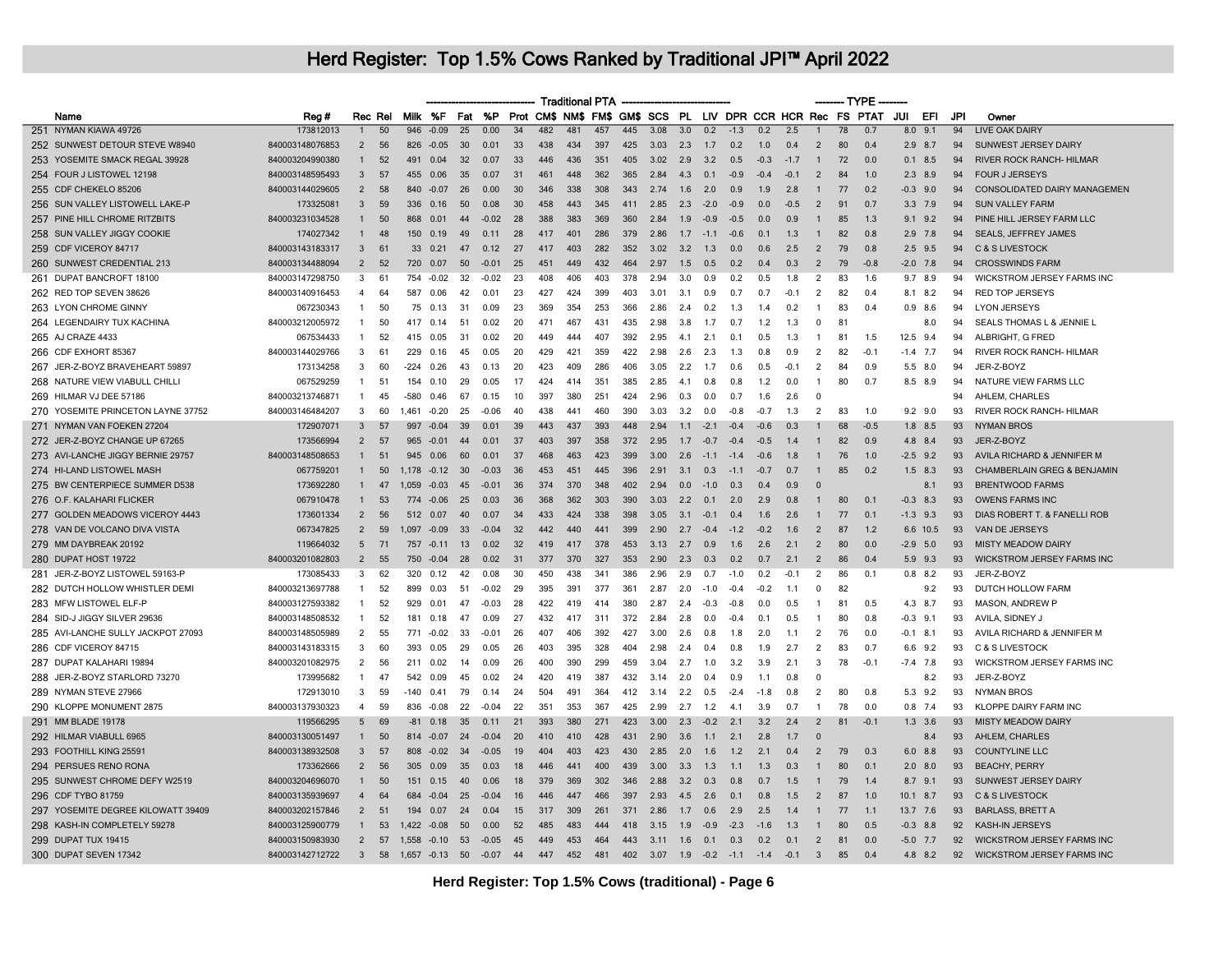|                                    |                 |                |         |                  |                |    |         |     |     | <b>Traditional PTA</b> |     |     |      |     |        |                                                             |                |        |                | ------ TYPE     |        |               |     |            |                                        |
|------------------------------------|-----------------|----------------|---------|------------------|----------------|----|---------|-----|-----|------------------------|-----|-----|------|-----|--------|-------------------------------------------------------------|----------------|--------|----------------|-----------------|--------|---------------|-----|------------|----------------------------------------|
| Name                               | Reg #           |                | Rec Rel |                  | Milk %F        |    | Fat %P  |     |     |                        |     |     |      |     |        | Prot CM\$ NM\$ FM\$ GM\$ SCS PL LIV DPR CCR HCR Rec FS PTAT |                |        |                |                 |        | JUI           | EFI | <b>JPI</b> | Owner                                  |
| 251 NYMAN KIAWA 49726              | 173812013       | $\mathbf{1}$   | 50      | 946              | $-0.09$        | 25 | 0.00    | 34  | 482 | 481                    | 457 | 445 | 3.08 | 3.0 | 0.2    | $-1.3$                                                      | 0.2            | 2.5    |                | $\overline{78}$ | 0.7    | 9.1<br>8.0    |     | 94         | <b>LIVE OAK DAIRY</b>                  |
| 252 SUNWEST DETOUR STEVE W8940     | 840003148076853 | $\overline{2}$ | 56      | 826              | $-0.05$        | 30 | 0.01    | 33  | 438 | 434                    | 397 | 425 | 3.03 | 2.3 | 1.7    | 0.2                                                         | 1.0            | 0.4    | $\overline{2}$ | 80              | 0.4    | $2.9$ 8.7     |     | 94         | SUNWEST JERSEY DAIRY                   |
| 253 YOSEMITE SMACK REGAL 39928     | 840003204990380 | $\mathbf{1}$   | 52      | 491              | 0.04           | 32 | 0.07    | 33  | 446 | 436                    | 351 | 405 | 3.02 | 2.9 | 3.2    | 0.5                                                         | $-0.3$         | $-1.7$ | $\mathbf{1}$   | 72              | 0.0    | $0.1$ 8.5     |     | 94         | <b>RIVER ROCK RANCH- HILMAR</b>        |
| 254 FOUR J LISTOWEL 12198          | 840003148595493 | $\mathbf{3}$   | 57      | 455              | 0.06           | 35 | 0.07    | 31  | 461 | 448                    | 362 | 365 | 2.84 | 4.3 | 0.1    | $-0.9$                                                      | $-0.4$         | $-0.1$ | 2              | 84              | 1.0    | $2.3$ $8.9$   |     | 94         | <b>FOUR J JERSEYS</b>                  |
| 255 CDF CHEKELO 85206              | 840003144029605 | $\overline{2}$ | 58      | 840              | $-0.07$        | 26 | 0.00    | 30  | 346 | 338                    | 308 | 343 | 2.74 | 1.6 | 2.0    | 0.9                                                         | 1.9            | 2.8    |                | 77              | 0.2    | $-0.3$ 9.0    |     | 94         | CONSOLIDATED DAIRY MANAGEMEN           |
| 256 SUN VALLEY LISTOWELL LAKE-P    | 173325081       | 3              | 59      | 336              | 0.16           | 50 | 0.08    | 30  | 458 | 443                    | 345 | 411 | 2.85 | 2.3 | $-2.0$ | $-0.9$                                                      | 0 <sub>0</sub> | $-0.5$ | $\overline{2}$ | 91              | 0.7    | $3.3$ 7.9     |     | 94         | <b>SUN VALLEY FARM</b>                 |
| 257 PINE HILL CHROME RITZBITS      | 840003231034528 | 1              | 50      | 868              | 0.01           | 44 | $-0.02$ | 28  | 388 | 383                    | 369 | 360 | 2.84 | 1.9 | $-0.9$ | $-0.5$                                                      | 0.0            | 0.9    |                | 85              | 1.3    | $9.1$ $9.2$   |     | 94         | PINE HILL JERSEY FARM LLC              |
| 258 SUN VALLEY JIGGY COOKIE        | 174027342       | $\mathbf{1}$   | 48      | 150 <sub>1</sub> | 0.19           | 49 | 0.11    | 28  | 417 | 401                    | 286 | 379 | 2.86 | 1.7 | $-11$  | $-0.6$                                                      | 0 <sub>1</sub> | 1.3    | $\mathbf{1}$   | 82              | 0.8    | $2.9$ 7.8     |     | 94         | <b>SEALS, JEFFREY JAMES</b>            |
| 259 CDF VICEROY 84717              | 840003143183317 | 3              | 61      | 33               | 0.21           | 47 | 0.12    | 27  | 417 | 403                    | 282 | 352 | 3.02 | 3.2 | 1.3    | 0.0                                                         | 0.6            | 2.5    | $\overline{2}$ | 79              | 0.8    | $2.5$ 9.5     |     | 94         | C & S LIVESTOCK                        |
| 260 SUNWEST CREDENTIAL 213         | 840003134488094 | $\overline{2}$ | 52      | 720              | 0.07           | 50 | $-0.01$ | 25  | 451 | 449                    | 432 | 464 | 2.97 | 1.5 | 0.5    | 0.2                                                         | 0.4            | 0.3    | $\overline{2}$ | 79              | $-0.8$ | $-2.0$ 7.8    |     | 94         | <b>CROSSWINDS FARM</b>                 |
| 261 DUPAT BANCROFT 18100           | 840003147298750 | 3              | 61      | 754              | $-0.02$        | 32 | $-0.02$ | 23  | 408 | 406                    | 403 | 378 | 2.94 | 3.0 | 0.9    | 0.2                                                         | 0.5            | 1.8    | $\overline{2}$ | 83              | 1.6    | 9.7           | 8.9 | 94         | WICKSTROM JERSEY FARMS INC             |
| 262 RED TOP SEVEN 38626            | 840003140916453 | $\overline{4}$ | 64      | 587              | 0.06           | 42 | 0.01    | 23  | 427 | 424                    | 399 | 403 | 3.01 | 3.1 | 0.9    | 0.7                                                         | 0.7            | $-0.1$ | 2              | 82              | 0.4    | 8.1 8.2       |     | 94         | <b>RED TOP JERSEYS</b>                 |
| 263 LYON CHROME GINNY              | 067230343       | $\mathbf{1}$   | 50      | 75               | 0.13           | 31 | 0.09    | 23  | 369 | 354                    | 253 | 366 | 2.86 | 2.4 | 0.2    | 1.3                                                         | 1.4            | 0.2    | $\overline{1}$ | 83              | 0.4    | $0.9$ 8.6     |     | 94         | <b>LYON JERSEYS</b>                    |
| 264 LEGENDAIRY TUX KACHINA         | 840003212005972 | $\mathbf{1}$   | 50      | 417              | 0.14           | 51 | 0.02    | 20  | 471 | 467                    | 431 | 435 | 2.98 | 3.8 | 1.7    | 0.7                                                         | 1.2            | 1.3    | $\Omega$       | 81              |        |               | 8.0 | 94         | SEALS THOMAS L & JENNIE L              |
| 265 AJ CRAZE 4433                  | 067534433       | -1             | 52      | 415              | 0.05           | 31 | 0.02    | 20  | 449 | 444                    | 407 | 392 | 2.95 | 4.1 | 2.1    | 0.1                                                         | 0.5            | 1.3    | -1             | 81              | 1.5    | 12.5 9.4      |     | 94         | ALBRIGHT, G FRED                       |
| 266 CDF EXHORT 85367               | 840003144029766 | 3              | 61      | 229              | 0.16           | 45 | 0.05    | 20  | 429 | 421                    | 359 | 422 | 2.98 | 2.6 | 2.3    | 1.3                                                         | 0.8            | 0.9    | $\overline{2}$ | 82              | $-0.1$ | $-1.4$<br>7.7 |     | 94         | <b>RIVER ROCK RANCH- HILMAR</b>        |
| 267 JER-Z-BOYZ BRAVEHEART 59897    | 173134258       | 3              | 60      | $-224$           | 0.26           | 43 | 0.13    | 20  | 423 | 409                    | 286 | 406 | 3.05 | 2.2 | 1.7    | 0.6                                                         | 0.5            | $-0.1$ | $\overline{2}$ | 84              | 0.9    | $5.5$ 8.0     |     | 94         | JER-Z-BOYZ                             |
| 268 NATURE VIEW VIABULL CHILLI     | 067529259       | $\mathbf{1}$   | 51      | 154              | 0.10           | 29 | 0.05    | 17  | 424 | 414                    | 351 | 385 | 2.85 | 4.1 | 0.8    | 0.8                                                         | 1.2            | 0.0    | $\overline{1}$ | 80              | 0.7    | 8.5 8.9       |     | 94         | NATURE VIEW FARMS LLC                  |
| 269 HILMAR VJ DEE 57186            | 840003213746871 | $\mathbf{1}$   | 45      | -580             | 0.46           | 67 | 0.15    | 10  | 397 | 380                    | 251 | 424 | 2.96 | 0.3 | 0.0    | 0.7                                                         | 1.6            | 2.6    | $\Omega$       |                 |        |               |     | 94         | AHLEM, CHARLES                         |
| 270 YOSEMITE PRINCETON LAYNE 37752 | 840003146484207 | 3              | 60      | 1461             | $-0.20$        | 25 | -0.06   | 40  | 438 | 441                    | 460 | 390 | 3.03 | 3.2 | 0.0    | -0.8                                                        | $-07$          | 1.3    | $\overline{2}$ | 83              | 1.0    | $9.2$ $9.0$   |     | 93         | RIVER ROCK RANCH- HILMAR               |
| 271 NYMAN VAN FOEKEN 27204         | 172907071       | 3              | 57      | 997              | $-0.04$        | 39 | 0.01    | 39  | 443 | 437                    | 393 | 448 | 2.94 | 1.1 | $-2.1$ | $-0.4$                                                      | $-0.6$         | 0.3    |                | 68              | $-0.5$ | $1.8$ 8.5     |     | 93         | <b>NYMAN BROS</b>                      |
| 272 JER-Z-BOYZ CHANGE UP 67265     | 173566994       | 2              | 57      |                  | 965 -0.01      | 44 | 0.01    | 37  | 403 | 397                    | 358 | 372 | 2.95 | 1.7 | $-0.7$ | $-0.4$                                                      | $-0.5$         | 1.4    |                | 82              | 0.9    | 4.8 8.4       |     | 93         | JER-Z-BOYZ                             |
| 273 AVI-LANCHE JIGGY BERNIE 29757  | 840003148508653 | $\mathbf{1}$   | 51      | 945              | 0.06           | 60 | 0.01    | 37  | 468 | 463                    | 423 | 399 | 3.00 | 2.6 | $-1.1$ | $-1.4$                                                      | $-0.6$         | 1.8    | -1             | 76              | 1.0    | $-2.5$ 9.2    |     | 93         | AVILA RICHARD & JENNIFER M             |
| 274 HI-LAND LISTOWEL MASH          | 067759201       | $\mathbf{1}$   | 50      |                  | $1.178 - 0.12$ | 30 | $-0.03$ | 36  | 453 | 451                    | 445 | 396 | 2.91 | 3.1 | 0.3    | $-1.1$                                                      | $-0.7$         | 0.7    | $\mathbf{1}$   | 85              | 0.2    | $1.5$ 8.3     |     | 93         | <b>CHAMBERLAIN GREG &amp; BENJAMIN</b> |
| 275 BW CENTERPIECE SUMMER D538     | 173692280       |                | 47      | .059             | $-0.03$        | 45 | $-0.01$ | 36  | 374 | 370                    | 348 | 402 | 2.94 | 0.0 | $-1.0$ | 0.3                                                         | 0.4            | 0.9    | $\Omega$       |                 |        |               | 8.1 | 93         | <b>BRENTWOOD FARMS</b>                 |
| 276 O.F. KALAHARI FLICKER          | 067910478       | $\mathbf{1}$   | 53      | 774              | $-0.06$        | 25 | 0.03    | 36  | 368 | 362                    | 303 | 390 | 3.03 | 2.2 | 0.1    | 2.0                                                         | 2.9            | 0.8    | $\mathbf{1}$   | 80              | 0.1    | $-0.3$        | 8.3 | 93         | <b>OWENS FARMS INC</b>                 |
| 277 GOLDEN MEADOWS VICEROY 4443    | 173601334       | $\overline{2}$ | 56      | 512              | 0.07           | 40 | 0.07    | 34  | 433 | 424                    | 338 | 398 | 3.05 | 3.1 | $-0.1$ | 0.4                                                         | 1.6            | 2.6    |                | 77              | 0.1    | $-1.3$        | 9.3 | 93         | DIAS ROBERT T. & FANELLI ROB           |
| 278 VAN DE VOLCANO DIVA VISTA      | 067347825       | 2              | 59      | 1.097            | $-0.09$        | 33 | $-0.04$ | 32  | 442 | 440                    | 441 | 399 | 2.90 | 2.7 | $-0.4$ | $-1.2$                                                      | $-0.2$         | 1.6    | 2              | 87              | 1.2    | 6.6 10.5      |     | 93         | VAN DE JERSEYS                         |
| 279 MM DAYBREAK 20192              | 119664032       | 5              | 71      | 757              | $-0.11$        | 13 | 0.02    | 32  | 419 | 417                    | 378 | 453 | 3.13 | 2.7 | 0.9    | 1.6                                                         | 2.6            | 2.1    | $\overline{2}$ | 80              | 0.0    | $-2.9$ 5.0    |     | 93         | <b>MISTY MEADOW DAIRY</b>              |
| 280 DUPAT HOST 19722               | 840003201082803 | $\overline{2}$ | 55      | 750              | $-0.04$        | 28 | 0.02    | 31  | 377 | 370                    | 327 | 353 | 2.90 | 2.3 | 0.3    | 0.2                                                         | 0.7            | 2.1    | 2              | 86              | 0.4    | $5.9$ $9.3$   |     | 93         | WICKSTROM JERSEY FARMS INC             |
| 281 JER-Z-BOYZ LISTOWEL 59163-P    | 173085433       | $\mathbf{R}$   | 62      | 320              | 0.12           | 42 | 0.08    | 30  | 450 | 438                    | 341 | 386 | 2.96 | 2.9 | 0.7    | $-1.0$                                                      | 0 <sup>2</sup> | $-0.1$ | $\mathcal{P}$  | 86              | 0.1    | $0.8$ 8.2     |     | 93         | JER-Z-BOYZ                             |
| 282 DUTCH HOLLOW WHISTLER DEMI     | 840003213697788 | $\mathbf{1}$   | 52      | 899              | 0.03           | 51 | $-0.02$ | 29  | 395 | 391                    | 377 | 361 | 2.87 | 2.0 | $-1.0$ | $-0.4$                                                      | $-0.2$         | 1.1    | $\Omega$       | 82              |        |               | 9.2 | 93         | DUTCH HOLLOW FARM                      |
| 283 MFW LISTOWEL ELF-P             | 840003127593382 | 1              | 52      | 929              | 0.01           | 47 | $-0.03$ | 28  | 422 | 419                    | 414 | 380 | 2.87 | 2.4 | $-0.3$ | $-0.8$                                                      | 0.0            | 0.5    |                | 81              | 0.5    | 4.3 8.7       |     | 93         | MASON, ANDREW P                        |
| 284 SID-J JIGGY SILVER 29636       | 840003148508532 | $\mathbf{1}$   | 52      | 181              | 0.18           | 47 | 0.09    | 27  | 432 | 417                    | 311 | 372 | 2.84 | 2.8 | 0.0    | -0.4                                                        | 0.7            | 0.5    | -1             | 80              | 0.8    | $-0.3$<br>9.1 |     | 93         | AVILA, SIDNEY J                        |
| 285 AVI-LANCHE SULLY JACKPOT 27093 | 840003148505989 | $\overline{2}$ | 55      | 771              | $-0.02$        | 33 | $-0.01$ | 26  | 407 | 406                    | 392 | 427 | 3.00 | 2.6 | 0.8    | 1.8                                                         | 2.0            | 1.1    | $\overline{2}$ | 76              | 0.0    | $-0.1$ 8.1    |     | 93         | AVILA RICHARD & JENNIFER M             |
| 286 CDF VICEROY 84715              | 840003143183315 | 3              | 60      | 393              | 0.05           | 29 | 0.05    | 26  | 403 | 395                    | 328 | 404 | 2.98 | 2.4 | 0.4    | 0.8                                                         | 1.9            | 2.7    | 2              | 83              | 0.7    | 6.6 9.2       |     | 93         | C & S LIVESTOCK                        |
| 287 DUPAT KALAHARI 19894           | 840003201082975 | $\overline{2}$ | 56      | 211              | 0.02           | 14 | 0.09    | 26  | 400 | 390                    | 299 | 459 | 3.04 | 2.7 | 1.0    | 3.2                                                         | 3.9            | 2.1    | 3              | 78              | $-0.1$ | $-7.4$ 7.8    |     | 93         | WICKSTROM JERSEY FARMS INC             |
| 288 JER-Z-BOYZ STARLORD 73270      | 173995682       | $\overline{1}$ | 47      | 542              | 0.09           | 45 | 0.02    | 24  | 420 | 419                    | 387 | 432 | 3.14 | 2.0 | 0.4    | 0.9                                                         | 1.1            | 0.8    | $\Omega$       |                 |        |               | 8.2 | 93         | JER-Z-BOYZ                             |
| 289 NYMAN STEVE 27966              | 172913010       | 3              | 59      | $-140$           | 0.41           | 79 | 0,14    | 24  | 504 | 491                    | 364 | 412 | 3.14 | 2.2 | 0.5    | $-24$                                                       | $-1.8$         | 0.8    | $\overline{2}$ | 80              | 0.8    | 5.3           | 9.2 | 93         | <b>NYMAN BROS</b>                      |
| 290 KLOPPE MONUMENT 2875           |                 | $\overline{4}$ |         |                  |                |    |         |     |     |                        |     |     |      |     |        |                                                             |                |        |                |                 |        |               |     |            | <b>KLOPPE DAIRY FARM INC</b>           |
|                                    | 840003137930323 |                | 59      | 836              | $-0.08$        | 22 | $-0.04$ | 22  | 351 | 353                    | 367 | 425 | 2.99 | 2.7 | 1.2    | 4.1                                                         | 3.9            | 0.7    | $\mathbf{1}$   | 78              | 0.0    | $0.8$ 7.4     |     | 93         |                                        |
| 291 MM BLADE 19178                 | 119566295       | 5              | 69      | $-81$            | 0.18           | 35 | 0.11    | 21  | 393 | 380                    | 271 | 423 | 3.00 | 2.3 | $-0.2$ | 2.1                                                         | 3.2            | 2.4    | $\overline{2}$ | 81              | $-0.1$ | $1.3$ 3.6     |     | 93         | <b>MISTY MEADOW DAIRY</b>              |
| 292 HILMAR VIABULL 6965            | 840003130051497 | $\mathbf{1}$   | 50      |                  | 814 -0.07      | 24 | $-0.04$ | 20  | 410 | 410                    | 428 | 431 | 2.90 | 3.6 | 1.1    | 2.1                                                         | 2.8            | 1.7    | $\Omega$       |                 |        |               | 8.4 | 93         | AHLEM, CHARLES                         |
| 293 FOOTHILL KING 25591            | 840003138932508 | $\mathbf{3}$   | 57      | 808              | $-0.02$        | 34 | $-0.05$ | -19 | 404 | 403                    | 423 | 430 | 2.85 | 2.0 | 1.6    | 1.2                                                         | 2.1            | 0.4    | $\overline{2}$ | 79              | 0.3    | $6.0$ $8.8$   |     | 93         | <b>COUNTYLINE LLC</b>                  |
| 294 PERSUES RENO RONA              | 173362666       | 2              | 56      | 305              | 0.09           | 35 | 0.03    | 18  | 446 | 441                    | 400 | 439 | 3.00 | 3.3 | 1.3    | 1.1                                                         | 1.3            | 0.3    | $\overline{1}$ | 80              | 0.1    | $2.0$ 8.0     |     | 93         | <b>BEACHY, PERRY</b>                   |
| 295 SUNWEST CHROME DEFY W2519      | 840003204696070 | $\mathbf{1}$   | 50      | 151              | 0.15           | 40 | 0.06    | 18  | 379 | 369                    | 302 | 346 | 2.88 | 3.2 | 0.3    | 0.8                                                         | 0.7            | 1.5    |                | 79              | 1.4    | 8.7 9.1       |     | 93         | SUNWEST JERSEY DAIRY                   |
| 296 CDF TYBO 81759                 | 840003135939697 | $\overline{4}$ | 64      | 684              | $-0.04$        | 25 | $-0.04$ | 16  | 446 | 447                    | 466 | 397 | 2.93 | 4.5 | 2.6    | 0.1                                                         | 0.8            | 1.5    | $\overline{2}$ | 87              | 1.0    | $10.1$ 8.7    |     | 93         | C & S LIVESTOCK                        |
| 297 YOSEMITE DEGREE KILOWATT 39409 | 840003202157846 | 2              | 51      | 194              | 0.07           | 24 | 0.04    | 15  | 317 | 309                    | 261 | 371 | 2.86 | 1.7 | 0.6    | 2.9                                                         | 2.5            | 1.4    | $\mathbf{1}$   | 77              | 1.1    | 13.7 7.6      |     | 93         | <b>BARLASS, BRETT A</b>                |
| 298 KASH-IN COMPLETELY 59278       | 840003125900779 | $\mathbf{1}$   | 53      | 1,422            | $-0.08$        | 50 | 0.00    | 52  | 485 | 483                    | 444 | 418 | 3.15 | 1.9 | $-0.9$ | $-2.3$                                                      | $-1.6$         | 1.3    |                | 80              | 0.5    | $-0.3$        | 8.8 | 92         | <b>KASH-IN JERSEYS</b>                 |
| 299 DUPAT TUX 19415                | 840003150983930 | $\overline{2}$ | 57      |                  | 1,558 -0.10    | 53 | $-0.05$ | 45  | 449 | 453                    | 464 | 443 | 3.11 | 1.6 | 0.1    | 0.3                                                         | 0.2            | 0.1    | $\overline{2}$ | 81              | 0.0    | $-5.0$ 7.7    |     | 92         | WICKSTROM JERSEY FARMS INC             |
| 300 DUPAT SEVEN 17342              | 840003142712722 | $\mathbf{3}$   | 58      | $1,657 -0.13$    |                | 50 | $-0.07$ | 44  | 447 | 452                    | 481 | 402 | 3.07 | 1.9 | $-0.2$ | $-1.1$                                                      | $-1.4$         | $-0.1$ | $\overline{3}$ | 85              | 0.4    | 4.8 8.2       |     | 92         | <b>WICKSTROM JERSEY FARMS INC</b>      |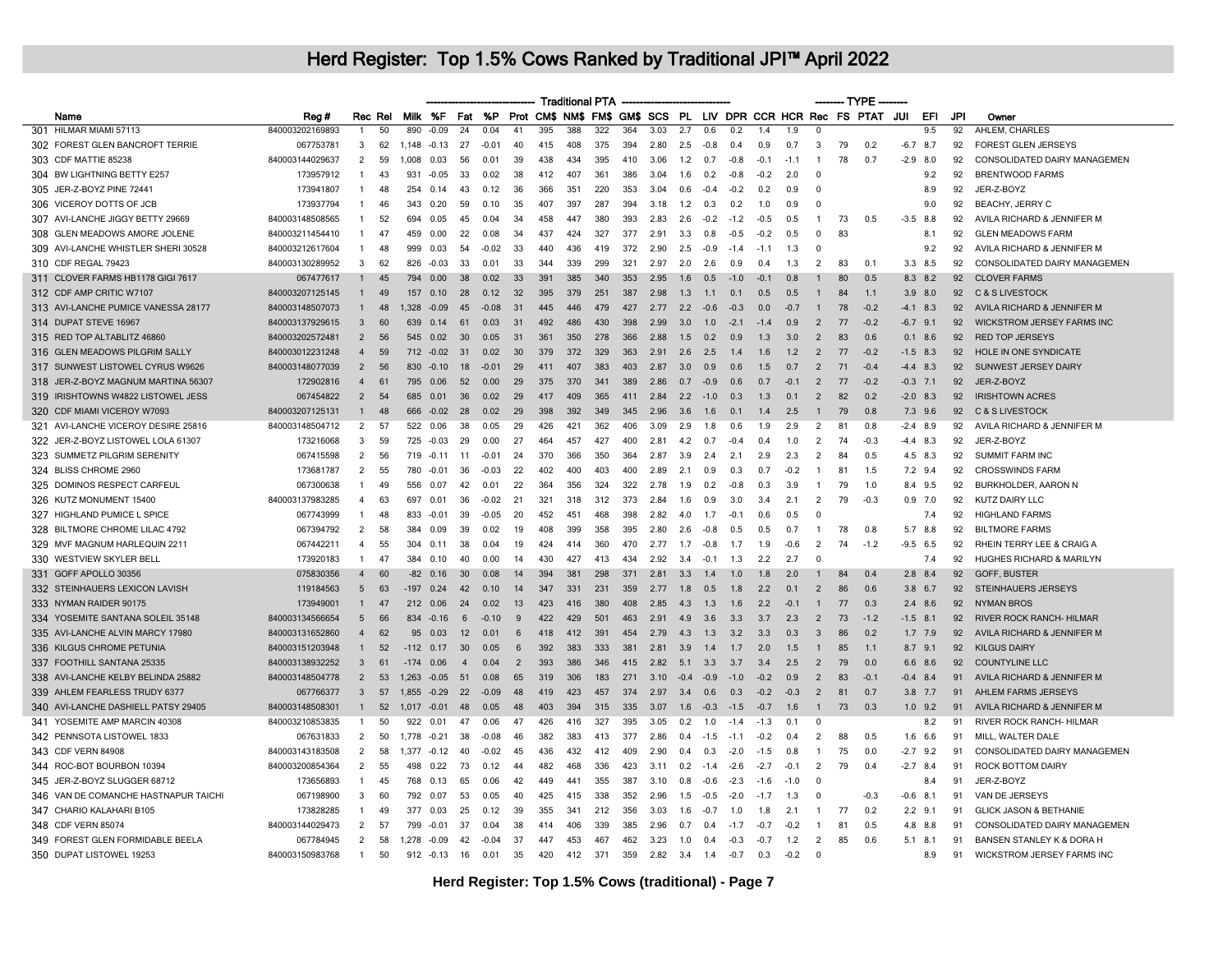|                                      |                 |                       |         |                |              |                 |               |                |     | <b>Traditional PTA</b> |     |     |      |                  |        |        |                  |        |                | — TYPE |                                                             |                |     |                 |                                   |
|--------------------------------------|-----------------|-----------------------|---------|----------------|--------------|-----------------|---------------|----------------|-----|------------------------|-----|-----|------|------------------|--------|--------|------------------|--------|----------------|--------|-------------------------------------------------------------|----------------|-----|-----------------|-----------------------------------|
| Name                                 | Reg#            |                       | Rec Rel |                | Milk %F      | Fat             | %P            |                |     |                        |     |     |      |                  |        |        |                  |        |                |        | Prot CM\$ NM\$ FM\$ GM\$ SCS PL LIV DPR CCR HCR Rec FS PTAT | JUI            | EFI | JPI             | Owner                             |
| 301 HILMAR MIAMI 57113               | 840003202169893 | -1                    | 50      | 890            | $-0.09$      | $\overline{24}$ | 0.04          | $-41$          | 395 | 388                    | 322 | 364 | 3.03 | $\overline{2.7}$ | 0.6    | 0.2    | 14               | 19     | $\Omega$       |        |                                                             |                | 9.5 | $\overline{92}$ | AHLEM, CHARLES                    |
| 302 FOREST GLEN BANCROFT TERRIE      | 067753781       | 3                     | 62      | 1,148          | $-0.13$      | 27              | $-0.01$       | 40             | 415 | 408                    | 375 | 394 | 2.80 | 2.5              | $-0.8$ | 0.4    | 0.9              | 0.7    | 3              | 79     | 0.2                                                         | $-6.7$         | 8.7 | 92              | FOREST GLEN JERSEYS               |
| 303 CDF MATTIE 85238                 | 840003144029637 | $\overline{2}$        | 59      | 1.008          | 0.03         | 56              | 0.01          | 39             | 438 | 434                    | 395 | 410 | 3.06 | 1.2              | 0.7    | $-0.8$ | $-0.1$           | $-1.1$ | $\overline{1}$ | 78     | 0.7                                                         | $-2.9$ 8.0     |     | 92              | CONSOLIDATED DAIRY MANAGEMEN      |
| 304 BW LIGHTNING BETTY E257          | 173957912       | $\mathbf{1}$          | 43      | 931            | $-0.05$      | 33              | 0.02          | 38             | 412 | 407                    | 361 | 386 | 3.04 | 1.6              | 0.2    | $-0.8$ | $-0.2$           | 2.0    | $\Omega$       |        |                                                             |                | 9.2 | 92              | <b>BRENTWOOD FARMS</b>            |
| 305 JER-Z-BOYZ PINE 72441            | 173941807       | $\mathbf{1}$          | 48      | 254            | 0.14         | 43              | 0.12          | 36             | 366 | 351                    | 220 | 353 | 3.04 | 0.6              | $-0.4$ | $-0.2$ | 0.2              | 0.9    | $\Omega$       |        |                                                             |                | 8.9 | 92              | JER-Z-BOYZ                        |
| 306 VICEROY DOTTS OF JCB             | 173937794       | $\mathbf{1}$          | 46      | 343            | 0.20         | 59              | 0.10          | 35             | 407 | 397                    | 287 | 394 | 3.18 | 1.2              | 0.3    | 0.2    | 1.0              | 0.9    | $\Omega$       |        |                                                             |                | 9.0 | 92              | <b>BEACHY, JERRY C</b>            |
| 307 AVI-LANCHE JIGGY BETTY 29669     | 840003148508565 | 1                     | 52      | 694            | 0.05         | 45              | 0.04          | -34            | 458 | 447                    | 380 | 393 | 283  | 2.6              | $-0.2$ | $-1.2$ | $-0.5$           | 0.5    | -1             | 73     | 0.5                                                         | $-3.5$         | 8.8 | 92              | AVILA RICHARD & JENNIFER M        |
| 308 GLEN MEADOWS AMORE JOLENE        | 840003211454410 | $\mathbf{1}$          | 47      | 459            | 0.00         | 22              | 0.08          | 34             | 437 | 424                    | 327 | 377 | 2.91 | 3.3              | 0.8    | $-0.5$ | $-0.2$           | 0.5    | $\mathbf{0}$   | 83     |                                                             |                | 8.1 | 92              | <b>GLEN MEADOWS FARM</b>          |
| 309 AVI-LANCHE WHISTLER SHERI 30528  | 840003212617604 | 1                     | 48      | 999            | 0.03         | 54              | $-0.02$       | 33             | 440 | 436                    | 419 | 372 | 2.90 | 2.5              | $-0.9$ | $-1.4$ | $-1.1$           | 1.3    | $\Omega$       |        |                                                             |                | 9.2 | 92              | AVILA RICHARD & JENNIFER M        |
| 310 CDF REGAL 79423                  | 840003130289952 | 3                     | 62      | 826            | $-0.03$      | 33              | 0.01          | 33             | 344 | 339                    | 299 | 321 | 2.97 | 2.0              | 2.6    | 0.9    | 0.4              | 1.3    | -2             | 83     | 0.1                                                         | 3.3 8.5        |     | 92              | CONSOLIDATED DAIRY MANAGEMEN      |
| 311 CLOVER FARMS HB1178 GIGI 7617    | 067477617       | $\mathbf{1}$          | 45      | 794            | 0.00         | 38              | 0.02          | -33            | 391 | 385                    | 340 | 353 | 2.95 | 1.6              | 0.5    | $-1.0$ | $-0.1$           | 0.8    |                | 80     | 0.5                                                         | 8.3            | 8.2 | 92              | <b>CLOVER FARMS</b>               |
| 312 CDF AMP CRITIC W7107             | 840003207125145 | $\mathbf{1}$          | 49      | 157            | 0.10         | 28              | 0.12          | 32             | 395 | 379                    | 251 | 387 | 2.98 | 1.3              | 1.1    | 0.1    | 0.5              | 0.5    | $\mathbf{1}$   | 84     | 1.1                                                         | $3.9$ $8.0$    |     | 92              | C & S LIVESTOCK                   |
| 313 AVI-LANCHE PUMICE VANESSA 28177  | 840003148507073 | $\mathbf{1}$          | 48      | 1.328          | $-0.09$      | 45              | $-0.08$       | 31             | 445 | 446                    | 479 | 427 | 2.77 | 2.2              | $-0.6$ | $-0.3$ | 0.0              | $-0.7$ |                | 78     | $-0.2$                                                      | $-4.1$ 8.3     |     | 92              | AVILA RICHARD & JENNIFER M        |
| 314 DUPAT STEVE 16967                | 840003137929615 | 3                     | 60      | 639            | 0.14         | 61              | 0.03          | 31             | 492 | 486                    | 430 | 398 | 2.99 | 3.0              | 1.0    | $-2.1$ | $-1.4$           | 0.9    | $\overline{2}$ | 77     | $-0.2$                                                      | $-6.7$ 9.1     |     | 92              | WICKSTROM JERSEY FARMS INC        |
| 315 RED TOP ALTABLITZ 46860          | 840003202572481 | $\overline{2}$        | 56      | 545            | 0.02         | 30              | 0.05          | 31             | 361 | 350                    | 278 | 366 | 288  | 1.5              | 0.2    | 0.9    | 1.3              | 3.0    | $\mathcal{P}$  | 83     | 0.6                                                         | $0.1$ 8.6      |     | 92              | <b>RED TOP JERSEYS</b>            |
| 316 GLEN MEADOWS PILGRIM SALLY       | 840003012231248 | $\overline{4}$        | 59      | 712            | $-0.02$      | 31              | 0.02          | 30             | 379 | 372                    | 329 | 363 | 2.91 | 2.6              | 2.5    | 1.4    | 1.6              | 1.2    | $\overline{2}$ | 77     | $-0.2$                                                      | $-1.5$ 8.3     |     | 92              | <b>HOLE IN ONE SYNDICATE</b>      |
| 317 SUNWEST LISTOWEL CYRUS W9626     | 840003148077039 | $\overline{2}$        | 56      | 830            | $-0.10$      | -18             | $-0.01$       | 29             | 411 | 407                    | 383 | 403 | 2.87 | 3.0              | 0.9    | 0.6    | 1.5              | 0.7    | $\overline{2}$ | 71     | $-0.4$                                                      | $-4.4$ 8.3     |     | 92              | SUNWEST JERSEY DAIRY              |
| 318 JER-Z-BOYZ MAGNUM MARTINA 56307  | 172902816       | $\overline{4}$        | 61      | 795            | 0.06         | 52              | 0.00          | 29             | 375 | 370                    | 341 | 389 | 2.86 | 0.7              | $-0.9$ | 0.6    | 0.7              | $-0.1$ | $\overline{2}$ | 77     | $-0.2$                                                      | $-0.3$ 7.1     |     | 92              | JER-Z-BOYZ                        |
| 319 IRISHTOWNS W4822 LISTOWEL JESS   | 067454822       | $\overline{2}$        | 54      | 685            | 0.01         | 36              | 0.02          | 29             | 417 | 409                    | 365 | 411 | 2.84 | 2.2              | $-1.0$ | 0.3    | 1.3              | 0.1    | $\overline{2}$ | 82     | 0.2                                                         | $-2.0$ 8.3     |     | 92              | <b>IRISHTOWN ACRES</b>            |
| 320 CDF MIAMI VICEROY W7093          | 840003207125131 | $\mathbf{1}$          | 48      | 666            | $-0.02$      | 28              | 0.02          | 29             | 398 | 392                    | 349 | 345 | 2.96 | 3.6              | 1.6    | 0.1    | 1.4              | 2.5    | $\mathbf{1}$   | 79     | 0.8                                                         | $7.3$ 9.6      |     | 92              | <b>C &amp; S LIVESTOCK</b>        |
| 321 AVI-LANCHE VICEROY DESIRE 25816  | 840003148504712 | $\overline{2}$        | 57      | 522            | 0.06         | 38              | 0.05          | 29             | 426 | 421                    | 362 | 406 | 3.09 | 2.9              | 1.8    | 0.6    | 1.9              | 2.9    | $\overline{2}$ | 81     | 0.8                                                         | $-2.4$ 8.9     |     | 92              | AVILA RICHARD & JENNIFER M        |
| 322 JER-Z-BOYZ LISTOWEL LOLA 61307   | 173216068       | 3                     | 59      |                | 725 -0.03    | 29              | 0.00          | 27             | 464 | 457                    | 427 | 400 | 2.81 | 4.2              | 0.7    | $-0.4$ | 0.4              | 1.0    | 2              | 74     | $-0.3$                                                      | $-4.4$ 8.3     |     | 92              | JER-Z-BOYZ                        |
| 323 SUMMETZ PILGRIM SERENITY         | 067415598       | $\overline{2}$        | 56      | 719            | $-0.11$      | - 11            | $-0.01$       | -24            | 370 | 366                    | 350 | 364 | 2.87 | 3.9              | 2.4    | 2.1    | 29               | 2.3    | $\overline{2}$ | 84     | 0.5                                                         | 4.5 8.3        |     | 92              | <b>SUMMIT FARM INC</b>            |
| 324 BLISS CHROME 2960                | 173681787       | 2                     | 55      | 780            | $-0.01$      | 36              | $-0.03$       | 22             | 402 | 400                    | 403 | 400 | 2.89 | 2.1              | 0.9    | 0.3    | 0.7              | $-0.2$ | $\mathbf{1}$   | 81     | 1.5                                                         | $7.2$ 9.4      |     | 92              | <b>CROSSWINDS FARM</b>            |
| 325 DOMINOS RESPECT CARFEUL          | 067300638       | 1                     | 49      | 556            | 0.07         | 42              | $0.0^{\circ}$ | 22             | 364 | 356                    | 324 | 322 | 2.78 | 1.9              | 0.2    | -0.8   | 0.3              | 3.9    |                | 79     | 1.0                                                         | 8.4            | 9.5 | 92              | BURKHOLDER, AARON N               |
| 326 KUTZ MONUMENT 15400              | 840003137983285 | 4                     | 63      | 697            | 0.01         | 36              | $-0.02$       | 21             | 321 | 318                    | 312 | 373 | 2.84 | 1.6              | 0.9    | 3.0    | 3.4              | 2.1    | 2              | 79     | $-0.3$                                                      | $0.9$ 7.0      |     | 92              | <b>KUTZ DAIRY LLC</b>             |
| 327 HIGHLAND PUMICE L SPICE          | 067743999       | $\mathbf{1}$          | 48      | 833            | $-0.01$      | 39              | $-0.05$       | 20             | 452 | 451                    | 468 | 398 | 2.82 | 4.0              | 1.7    | $-0.1$ | 0.6              | 0.5    | $\Omega$       |        |                                                             |                | 7.4 | 92              | <b>HIGHLAND FARMS</b>             |
| 328 BILTMORE CHROME LILAC 4792       | 067394792       | 2                     | 58      | 384            | 0.09         | 39              | 0.02          | 19             | 408 | 399                    | 358 | 395 | 2.80 | 2.6              | $-0.8$ | 0.5    | 0.5              | 0.7    | $\overline{1}$ | 78     | 0.8                                                         | 5.7 8.8        |     | 92              | <b>BILTMORE FARMS</b>             |
| 329 MVF MAGNUM HARLEQUIN 2211        | 067442211       | $\overline{4}$        | 55      | 304            | 0.11         | 38              | 0.04          | 19             | 424 | 414                    | 360 | 470 | 2.77 | 1.7              | $-0.8$ | 1.7    | 1.9              | $-0.6$ | $\overline{2}$ | 74     | $-12$                                                       | $-9.5$ 6.5     |     | 92              | RHEIN TERRY LEE & CRAIG A         |
| 330 WESTVIEW SKYLER BELL             | 173920183       | $\mathbf{1}$          | 47      | 384            | 0.10         | 40              | 0.00          | -14            | 430 | 427                    | 413 | 434 | 2.92 | 3.4              | $-0.1$ | 1.3    | 2.2              | 2.7    | $\Omega$       |        |                                                             |                | 7.4 | 92              | HUGHES RICHARD & MARILYN          |
| 331 GOFF APOLLO 30356                | 075830356       | $\boldsymbol{\Delta}$ | 60      | $-82$          | 0 16         | 30              | 0.08          |                | 394 | 381                    | 298 | 371 | 2.81 | 3.3              | 1.4    | 1.0    | 1.8              | 2.0    | $\mathbf{1}$   | 84     | 0.4                                                         | 2.8 8.4        |     | 92              | <b>GOFF, BUSTER</b>               |
| 332 STEINHAUERS LEXICON LAVISH       | 119184563       | 5                     | 63      | $-197$         | 0.24         | 42              | 0.10          | 14             | 347 | 331                    | 231 | 359 | 2.77 | 18               | 0.5    | 1.8    | 22               | 0.1    | $\mathcal{P}$  | 86     | 06                                                          | 3 <sup>8</sup> | 67  | 92              | STEINHAUERS JERSEYS               |
| 333 NYMAN RAIDER 90175               | 173949001       |                       | 47      | 212            | 0.06         | 24              | 0.02          | 13             | 423 | 416                    | 380 | 408 | 2.85 | 4.3              | 1.3    | 1.6    | 2.2              | $-0.1$ |                | 77     | 0.3                                                         | $2.4$ 8.6      |     | 92              | <b>NYMAN BROS</b>                 |
| 334 YOSEMITE SANTANA SOLEIL 35148    | 840003134566654 | 5                     | 66      | 834            | $-0.16$      | 6               | $-0.10$       | 9              | 422 | 429                    | 501 | 463 | 2.91 | 4.9              | 3.6    | 3.3    | 3.7              | 2.3    | $\overline{2}$ | 73     | $-1.2$                                                      | $-1.5$ 8.1     |     | 92              | RIVER ROCK RANCH- HILMAR          |
| 335 AVI-LANCHE ALVIN MARCY 17980     | 840003131652860 | $\overline{4}$        | 62      | 95             | 0.03         | 12              | 0.01          | -6             | 418 | 412                    | 391 | 454 | 2.79 | 4.3              | 1.3    | 3.2    | 3.3 <sub>2</sub> | 0.3    | -3             | 86     | 0.2                                                         | $1.7$ 7.9      |     | 92              | AVILA RICHARD & JENNIFER M        |
| 336 KILGUS CHROME PETUNIA            | 840003151203948 | $\mathbf{1}$          | 52      | $-112$         | 0.17         | 30              | 0.05          | 6              | 392 | 383                    | 333 | 381 | 2.81 | 3.9              | 1.4    | 1.7    | 2.0              | 1.5    | $\overline{1}$ | 85     | 1.1                                                         | 8.7 9.1        |     | 92              | <b>KILGUS DAIRY</b>               |
| 337 FOOTHILL SANTANA 25335           | 840003138932252 | 3                     | 61      | $-174$         | 0.06         | $\overline{4}$  | 0.04          | $\overline{2}$ | 393 | 386                    | 346 | 415 | 2.82 | 5.1              | 3.3    | 3.7    | 3.4              | 2.5    | $\overline{2}$ | 79     | 0.0                                                         | 6.6 8.6        |     | 92              | <b>COUNTYLINE LLC</b>             |
| 338 AVI-LANCHE KELBY BELINDA 25882   | 840003148504778 | $\overline{2}$        | 53      | 1,263          | $-0.05$      | 51              | 0.08          | 65             | 319 | 306                    | 183 | 271 | 3.10 | $-0.4$           | $-0.9$ | $-1.0$ | $-0.2$           | 0.9    | $\overline{2}$ | 83     | $-0.1$                                                      | $-0.4$ 8.4     |     | 91              | AVILA RICHARD & JENNIFER M        |
| 339 AHLEM FEARLESS TRUDY 6377        | 067766377       | 3                     | 57      |                | 1,855 -0.29  | 22              | $-0.09$       | 48             | 419 | 423                    | 457 | 374 | 2.97 | 3.4              | 0.6    | 0.3    | $-0.2$           | $-0.3$ | $\overline{2}$ | 81     | 0.7                                                         | $3.8$ 7.7      |     | 91              | AHLEM FARMS JERSEYS               |
| 340 AVI-LANCHE DASHIELL PATSY 29405  | 840003148508301 | $\mathbf{1}$          | 52      | $1.017 - 0.01$ |              | 48              | 0.05          | 48             | 403 | 394                    | 315 | 335 | 3.07 | 1.6              | $-0.3$ | $-1.5$ | $-0.7$           | 1.6    | $\mathbf{1}$   | 73     | 0.3                                                         | $1.0$ 9.2      |     | 91              | AVILA RICHARD & JENNIFER M        |
| 341 YOSEMITE AMP MARCIN 40308        | 840003210853835 | -1                    | 50      | 922            | 0.01         | 47              | 0.06          | 47             | 426 | 416                    | 327 | 395 | 3.05 | 0.2              | 1.0    | $-1.4$ | $-1.3$           | 0.1    | $\Omega$       |        |                                                             |                | 8.2 | 91              | RIVER ROCK RANCH- HILMAR          |
| 342 PENNSOTA LISTOWEL 1833           | 067631833       | 2                     | 50      | 1,778          | $-0.21$      | 38              | $-0.08$       | 46             | 382 | 383                    | 413 | 377 | 2.86 | 0.4              | $-1.5$ | $-1.1$ | $-0.2$           | 0.4    | $\overline{2}$ | 88     | 0.5                                                         | $1.6$ 6.6      |     | 91              | MILL, WALTER DALE                 |
| 343 CDF VERN 84908                   | 840003143183508 | 2                     | 58      | 1.377          | $-0.12$      | 40              | $-0.02$       | 45             | 436 | 432                    | 412 | 409 | 2.90 | 0.4              | 0.3    | $-2.0$ | $-1.5$           | 0.8    | $\mathbf{1}$   | 75     | 0.0                                                         | $-2.7$         | 9.2 | 91              | CONSOLIDATED DAIRY MANAGEMEN      |
| 344 ROC-BOT BOURBON 10394            | 840003200854364 | $\overline{2}$        | 55      | 498            | 0.22         | 73              | 0.12          | 44             | 482 | 468                    | 336 | 423 | 3.11 | 0.2              | $-1.4$ | $-2.6$ | $-2.7$           | $-0.1$ | 2              | 79     | 0.4                                                         | $-2.7$ 8.4     |     | 91              | <b>ROCK BOTTOM DAIRY</b>          |
| 345 JER-Z-BOYZ SLUGGER 68712         | 173656893       | $\mathbf{1}$          | 45      | 768            | 0.13         | 65              | 0.06          | 42             | 449 | 441                    | 355 | 387 | 3.10 | 0.8              | $-0.6$ | $-2.3$ | $-1.6$           | $-1.0$ | $\Omega$       |        |                                                             |                | 8.4 | 91              | JER-Z-BOYZ                        |
| 346 VAN DE COMANCHE HASTNAPUR TAICHI | 067198900       | 3                     | 60      | 792            | 0.07         | 53              | 0.05          | 40             | 425 | 415                    | 338 | 352 | 2.96 | 1.5              | $-0.5$ | $-2.0$ | $-1.7$           | 1.3    | $\Omega$       |        | $-0.3$                                                      | $-0.6$ 8.1     |     | 91              | VAN DE JERSEYS                    |
| 347 CHARIO KALAHARI B105             | 173828285       | $\mathbf{1}$          | 49      | 377            | 0.03         | 25              | 0.12          | 39             | 355 | 341                    | 212 | 356 | 3.03 | 1.6              | $-0.7$ | 1.0    | 1.8              | 2.1    | $\overline{1}$ | 77     | 0.2                                                         | $2.2$ 9.1      |     | 91              | <b>GLICK JASON &amp; BETHANIE</b> |
| 348 CDF VERN 85074                   | 840003144029473 | 2                     | 57      | 799            | $-0.01$      | -37             | 0.04          | 38             | 414 | 406                    | 339 | 385 | 2.96 | 0.7              | 0.4    | $-1.7$ | $-0.7$           | $-0.2$ | -1             | 81     | 0.5                                                         | 4.8            | 8.8 | 91              | CONSOLIDATED DAIRY MANAGEMEN      |
| 349 FOREST GLEN FORMIDABLE BEELA     | 067784945       | 2                     | 58      | 1.278 -0.09    |              | 42              | $-0.04$       | 37             | 447 | 453                    | 467 | 462 | 3.23 | 1.0              | 0.4    | $-0.3$ | $-0.7$           | 1.2    | 2              | 85     | 0.6                                                         | $5.1$ 8.1      |     | 91              | BANSEN STANLEY K & DORA H         |
| 350 DUPAT LISTOWEL 19253             | 840003150983768 | $\mathbf{1}$          | 50      |                | $912 - 0.13$ | 16              | 0.01          | 35             | 420 | 412                    | 371 | 359 | 2.82 | 3.4              | 1.4    | $-0.7$ | 0.3              | $-0.2$ | $\Omega$       |        |                                                             |                | 8.9 | 91              | WICKSTROM JERSEY FARMS INC        |
|                                      |                 |                       |         |                |              |                 |               |                |     |                        |     |     |      |                  |        |        |                  |        |                |        |                                                             |                |     |                 |                                   |